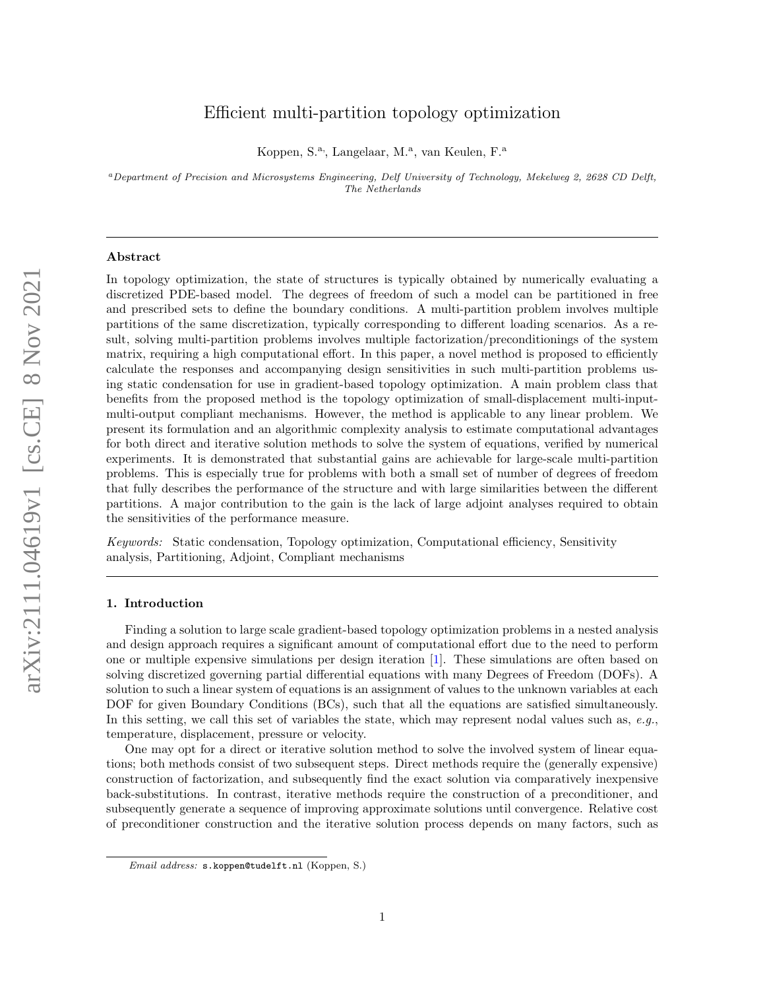# Efficient multi-partition topology optimization

Koppen, S.<sup>a</sup>., Langelaar, M.<sup>a</sup>., van Keulen, F.<sup>a</sup>

<sup>a</sup>Department of Precision and Microsystems Engineering, Delf University of Technology, Mekelweg 2, 2628 CD Delft, The Netherlands

#### Abstract

In topology optimization, the state of structures is typically obtained by numerically evaluating a discretized PDE-based model. The degrees of freedom of such a model can be partitioned in free and prescribed sets to define the boundary conditions. A multi-partition problem involves multiple partitions of the same discretization, typically corresponding to different loading scenarios. As a result, solving multi-partition problems involves multiple factorization/preconditionings of the system matrix, requiring a high computational effort. In this paper, a novel method is proposed to efficiently calculate the responses and accompanying design sensitivities in such multi-partition problems using static condensation for use in gradient-based topology optimization. A main problem class that benefits from the proposed method is the topology optimization of small-displacement multi-inputmulti-output compliant mechanisms. However, the method is applicable to any linear problem. We present its formulation and an algorithmic complexity analysis to estimate computational advantages for both direct and iterative solution methods to solve the system of equations, verified by numerical experiments. It is demonstrated that substantial gains are achievable for large-scale multi-partition problems. This is especially true for problems with both a small set of number of degrees of freedom that fully describes the performance of the structure and with large similarities between the different partitions. A major contribution to the gain is the lack of large adjoint analyses required to obtain the sensitivities of the performance measure.

Keywords: Static condensation, Topology optimization, Computational efficiency, Sensitivity analysis, Partitioning, Adjoint, Compliant mechanisms

# 1. Introduction

Finding a solution to large scale gradient-based topology optimization problems in a nested analysis and design approach requires a significant amount of computational effort due to the need to perform one or multiple expensive simulations per design iteration [\[1\]](#page-26-0). These simulations are often based on solving discretized governing partial differential equations with many Degrees of Freedom (DOFs). A solution to such a linear system of equations is an assignment of values to the unknown variables at each DOF for given Boundary Conditions (BCs), such that all the equations are satisfied simultaneously. In this setting, we call this set of variables the state, which may represent nodal values such as, e.g., temperature, displacement, pressure or velocity.

One may opt for a direct or iterative solution method to solve the involved system of linear equations; both methods consist of two subsequent steps. Direct methods require the (generally expensive) construction of factorization, and subsequently find the exact solution via comparatively inexpensive back-substitutions. In contrast, iterative methods require the construction of a preconditioner, and subsequently generate a sequence of improving approximate solutions until convergence. Relative cost of preconditioner construction and the iterative solution process depends on many factors, such as

Email address: s.koppen@tudelft.nl (Koppen, S.)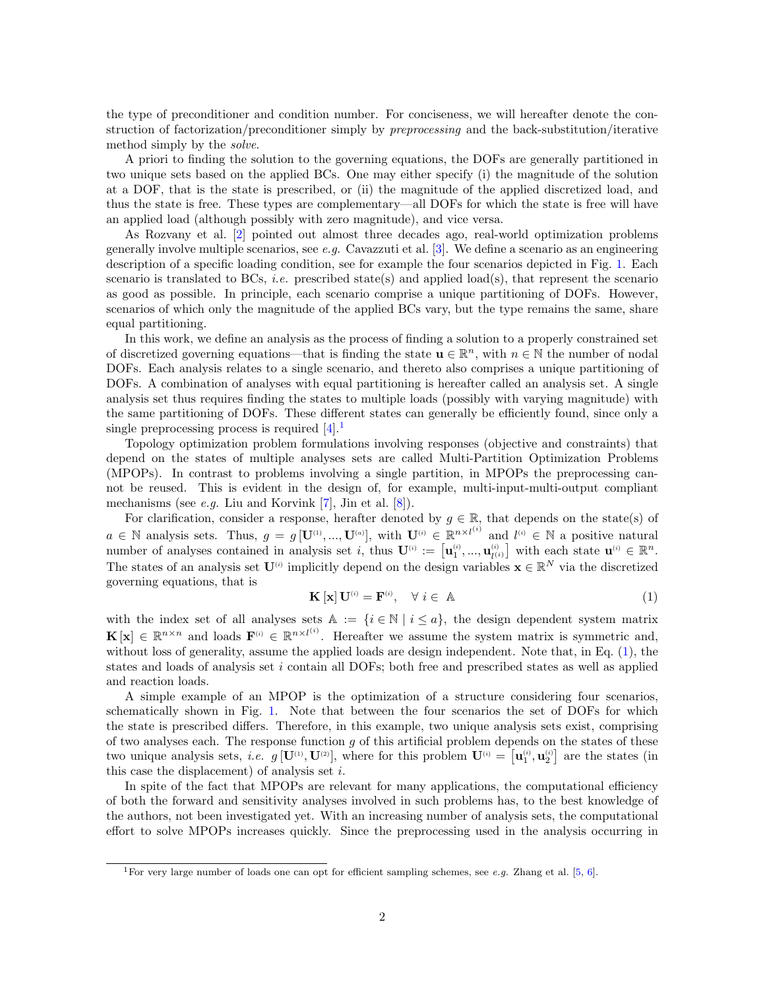the type of preconditioner and condition number. For conciseness, we will hereafter denote the construction of factorization/preconditioner simply by preprocessing and the back-substitution/iterative method simply by the solve.

A priori to finding the solution to the governing equations, the DOFs are generally partitioned in two unique sets based on the applied BCs. One may either specify (i) the magnitude of the solution at a DOF, that is the state is prescribed, or (ii) the magnitude of the applied discretized load, and thus the state is free. These types are complementary—all DOFs for which the state is free will have an applied load (although possibly with zero magnitude), and vice versa.

As Rozvany et al. [\[2\]](#page-26-1) pointed out almost three decades ago, real-world optimization problems generally involve multiple scenarios, see e.g. Cavazzuti et al. [\[3\]](#page-26-2). We define a scenario as an engineering description of a specific loading condition, see for example the four scenarios depicted in Fig. [1.](#page-2-0) Each scenario is translated to BCs, *i.e.* prescribed state(s) and applied load(s), that represent the scenario as good as possible. In principle, each scenario comprise a unique partitioning of DOFs. However, scenarios of which only the magnitude of the applied BCs vary, but the type remains the same, share equal partitioning.

In this work, we define an analysis as the process of finding a solution to a properly constrained set of discretized governing equations—that is finding the state  $\mathbf{u} \in \mathbb{R}^n$ , with  $n \in \mathbb{N}$  the number of nodal DOFs. Each analysis relates to a single scenario, and thereto also comprises a unique partitioning of DOFs. A combination of analyses with equal partitioning is hereafter called an analysis set. A single analysis set thus requires finding the states to multiple loads (possibly with varying magnitude) with the same partitioning of DOFs. These different states can generally be efficiently found, since only a single preprocessing process is required  $[4]$ .

Topology optimization problem formulations involving responses (objective and constraints) that depend on the states of multiple analyses sets are called Multi-Partition Optimization Problems (MPOPs). In contrast to problems involving a single partition, in MPOPs the preprocessing cannot be reused. This is evident in the design of, for example, multi-input-multi-output compliant mechanisms (see *e.g.* Liu and Korvink [\[7\]](#page-27-0), Jin et al.  $[8]$ ).

For clarification, consider a response, herafter denoted by  $g \in \mathbb{R}$ , that depends on the state(s) of  $a \in \mathbb{N}$  analysis sets. Thus,  $g = g[\mathbf{U}^{(1)},...,\mathbf{U}^{(a)}],$  with  $\mathbf{U}^{(i)} \in \mathbb{R}^{n \times l^{(i)}}$  and  $l^{(i)} \in \mathbb{N}$  a positive natural number of analyses contained in analysis set i, thus  $\mathbf{U}^{(i)} := \left[ \mathbf{u}_1^{(i)}, ..., \mathbf{u}_{l^{(i)}}^{(i)} \right]$  with each state  $\mathbf{u}^{(i)} \in \mathbb{R}^n$ . The states of an analysis set  $\mathbf{U}^{(i)}$  implicitly depend on the design variables  $\mathbf{x} \in \mathbb{R}^N$  via the discretized governing equations, that is

<span id="page-1-1"></span>
$$
\mathbf{K} \left[ \mathbf{x} \right] \mathbf{U}^{(i)} = \mathbf{F}^{(i)}, \quad \forall \ i \in \ \mathbb{A} \tag{1}
$$

with the index set of all analyses sets  $A := \{i \in \mathbb{N} \mid i \leq a\}$ , the design dependent system matrix  $\mathbf{K}[\mathbf{x}] \in \mathbb{R}^{n \times n}$  and loads  $\mathbf{F}^{(i)} \in \mathbb{R}^{n \times l^{(i)}}$ . Hereafter we assume the system matrix is symmetric and, without loss of generality, assume the applied loads are design independent. Note that, in Eq. [\(1\)](#page-1-1), the states and loads of analysis set  $i$  contain all DOFs; both free and prescribed states as well as applied and reaction loads.

A simple example of an MPOP is the optimization of a structure considering four scenarios, schematically shown in Fig. [1.](#page-2-0) Note that between the four scenarios the set of DOFs for which the state is prescribed differs. Therefore, in this example, two unique analysis sets exist, comprising of two analyses each. The response function  $g$  of this artificial problem depends on the states of these two unique analysis sets, *i.e.*  $g[\mathbf{U}^{(1)}, \mathbf{U}^{(2)}],$  where for this problem  $\mathbf{U}^{(i)} = [\mathbf{u}_1^{(i)}, \mathbf{u}_2^{(i)}]$  are the states (in this case the displacement) of analysis set  $i$ .

In spite of the fact that MPOPs are relevant for many applications, the computational efficiency of both the forward and sensitivity analyses involved in such problems has, to the best knowledge of the authors, not been investigated yet. With an increasing number of analysis sets, the computational effort to solve MPOPs increases quickly. Since the preprocessing used in the analysis occurring in

<span id="page-1-0"></span><sup>&</sup>lt;sup>1</sup>For very large number of loads one can opt for efficient sampling schemes, see e.g. Zhang et al.  $[5, 6]$  $[5, 6]$  $[5, 6]$ .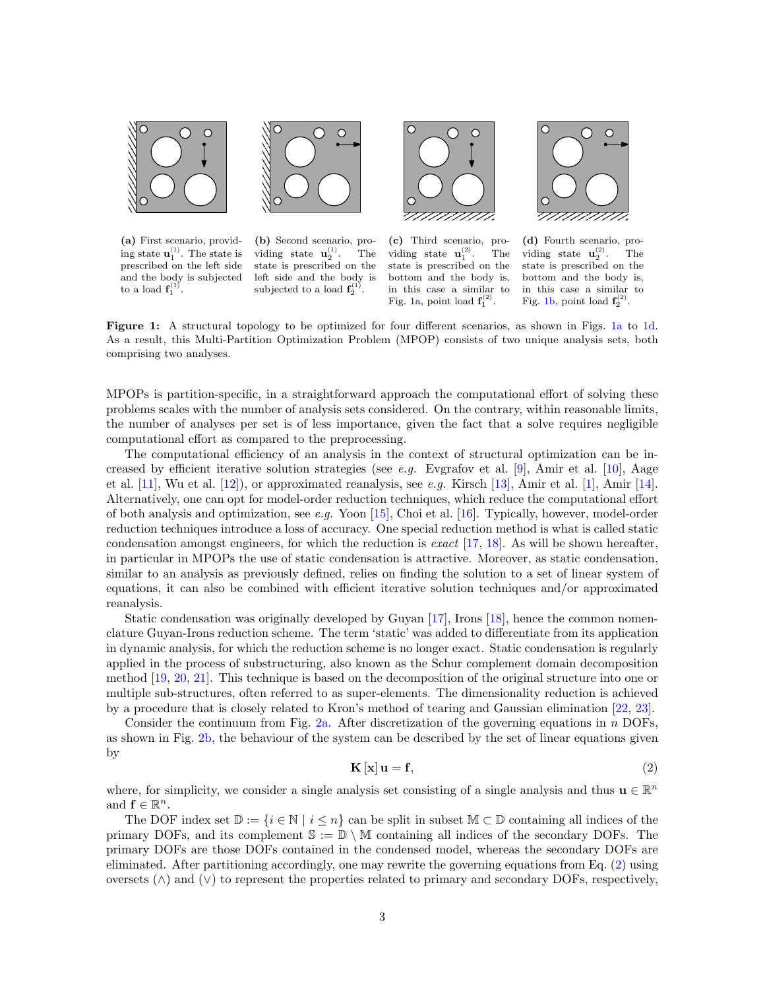<span id="page-2-0"></span>

(a) First scenario, providing state  $\mathbf{u}_1^{(1)}$ . The state is prescribed on the left side and the body is subjected to a load  $\mathbf{f}_1^{(1)}$ .



(b) Second scenario, providing state  $\mathbf{u}_2^{(1)}$ . The state is prescribed on the left side and the body is subjected to a load  $f_2^{(1)}$ .



(c) Third scenario, providing state  $\mathbf{u}_1^{(2)}$ . The state is prescribed on the bottom and the body is, in this case a similar to Fig. [1a,](#page-2-0) point load  $f_1^{(2)}$ .



(d) Fourth scenario, providing state  $\mathbf{u}_2^{(2)}$ . The state is prescribed on the bottom and the body is, in this case a similar to Fig. [1b,](#page-2-0) point load  $f_2^{(2)}$ .

Figure 1: A structural topology to be optimized for four different scenarios, as shown in Figs. [1a](#page-2-0) to [1d.](#page-2-0) As a result, this Multi-Partition Optimization Problem (MPOP) consists of two unique analysis sets, both comprising two analyses.

MPOPs is partition-specific, in a straightforward approach the computational effort of solving these problems scales with the number of analysis sets considered. On the contrary, within reasonable limits, the number of analyses per set is of less importance, given the fact that a solve requires negligible computational effort as compared to the preprocessing.

The computational efficiency of an analysis in the context of structural optimization can be in-creased by efficient iterative solution strategies (see e.g. Evgrafov et al. [\[9\]](#page-27-2), Amir et al. [\[10\]](#page-27-3), Aage et al. [\[11\]](#page-27-4), Wu et al. [\[12\]](#page-27-5)), or approximated reanalysis, see e.g. Kirsch [\[13\]](#page-27-6), Amir et al. [\[1\]](#page-26-0), Amir [\[14\]](#page-27-7). Alternatively, one can opt for model-order reduction techniques, which reduce the computational effort of both analysis and optimization, see e.g. Yoon [\[15\]](#page-27-8), Choi et al. [\[16\]](#page-27-9). Typically, however, model-order reduction techniques introduce a loss of accuracy. One special reduction method is what is called static condensation amongst engineers, for which the reduction is exact  $[17, 18]$  $[17, 18]$  $[17, 18]$ . As will be shown hereafter, in particular in MPOPs the use of static condensation is attractive. Moreover, as static condensation, similar to an analysis as previously defined, relies on finding the solution to a set of linear system of equations, it can also be combined with efficient iterative solution techniques and/or approximated reanalysis.

Static condensation was originally developed by Guyan [\[17\]](#page-27-10), Irons [\[18\]](#page-27-11), hence the common nomenclature Guyan-Irons reduction scheme. The term 'static' was added to differentiate from its application in dynamic analysis, for which the reduction scheme is no longer exact. Static condensation is regularly applied in the process of substructuring, also known as the Schur complement domain decomposition method [\[19,](#page-27-12) [20,](#page-27-13) [21\]](#page-27-14). This technique is based on the decomposition of the original structure into one or multiple sub-structures, often referred to as super-elements. The dimensionality reduction is achieved by a procedure that is closely related to Kron's method of tearing and Gaussian elimination [\[22,](#page-27-15) [23\]](#page-27-16).

Consider the continuum from Fig. [2a.](#page-3-0) After discretization of the governing equations in  $n$  DOFs, as shown in Fig. [2b,](#page-3-0) the behaviour of the system can be described by the set of linear equations given by

<span id="page-2-1"></span>
$$
\mathbf{K}\left[\mathbf{x}\right]\mathbf{u}=\mathbf{f},\tag{2}
$$

where, for simplicity, we consider a single analysis set consisting of a single analysis and thus  $\mathbf{u} \in \mathbb{R}^n$ and  $f \in \mathbb{R}^n$ .

The DOF index set  $\mathbb{D} := \{i \in \mathbb{N} \mid i \leq n\}$  can be split in subset  $\mathbb{M} \subset \mathbb{D}$  containing all indices of the primary DOFs, and its complement  $\mathbb{S} := \mathbb{D} \setminus \mathbb{M}$  containing all indices of the secondary DOFs. The primary DOFs are those DOFs contained in the condensed model, whereas the secondary DOFs are eliminated. After partitioning accordingly, one may rewrite the governing equations from Eq. [\(2\)](#page-2-1) using oversets (∧) and (∨) to represent the properties related to primary and secondary DOFs, respectively,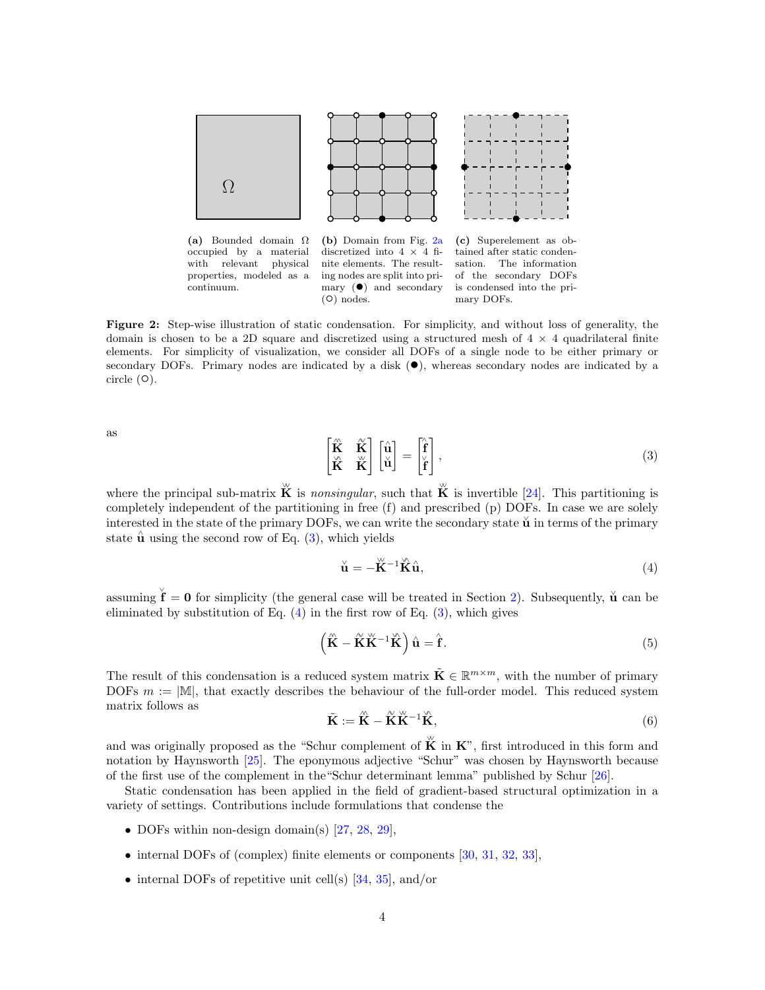<span id="page-3-0"></span>

Figure 2: Step-wise illustration of static condensation. For simplicity, and without loss of generality, the domain is chosen to be a 2D square and discretized using a structured mesh of  $4 \times 4$  quadrilateral finite elements. For simplicity of visualization, we consider all DOFs of a single node to be either primary or secondary DOFs. Primary nodes are indicated by a disk  $(\bullet)$ , whereas secondary nodes are indicated by a circle  $(①)$ .

as

<span id="page-3-1"></span>
$$
\begin{bmatrix} \hat{\mathbf{K}} & \hat{\mathbf{K}} \\ \hat{\mathbf{K}} & \hat{\mathbf{K}} \end{bmatrix} \begin{bmatrix} \hat{\mathbf{u}} \\ \check{\mathbf{u}} \end{bmatrix} = \begin{bmatrix} \hat{\mathbf{f}} \\ \check{\mathbf{f}} \end{bmatrix},
$$
\n(3)

where the principal sub-matrix  $\stackrel{w}{\mathbf{K}}$  is nonsingular, such that  $\stackrel{w}{\mathbf{K}}$  is invertible [\[24\]](#page-27-17). This partitioning is completely independent of the partitioning in free (f) and prescribed (p) DOFs. In case we are solely interested in the state of the primary DOFs, we can write the secondary state  $\check{u}$  in terms of the primary state  $\hat{u}$  using the second row of Eq. [\(3\)](#page-3-1), which yields

<span id="page-3-2"></span>
$$
\check{\mathbf{u}} = -\check{\mathbf{K}}^{-1}\check{\mathbf{K}}\hat{\mathbf{u}},\tag{4}
$$

assuming  $\check{\mathbf{f}} = \mathbf{0}$  for simplicity (the general case will be treated in Section [2\)](#page-6-0). Subsequently,  $\check{\mathbf{u}}$  can be eliminated by substitution of Eq.  $(4)$  in the first row of Eq.  $(3)$ , which gives

$$
\left(\hat{\mathbf{K}} - \hat{\mathbf{K}}\hat{\mathbf{K}}^{-1}\hat{\mathbf{K}}\right)\hat{\mathbf{u}} = \hat{\mathbf{f}}.
$$
\n(5)

The result of this condensation is a reduced system matrix  $\tilde{\mathbf{K}} \in \mathbb{R}^{m \times m}$ , with the number of primary DOFs  $m := |\mathbb{M}|$ , that exactly describes the behaviour of the full-order model. This reduced system matrix follows as

<span id="page-3-3"></span>
$$
\tilde{\mathbf{K}} := \hat{\mathbf{K}} - \tilde{\mathbf{K}} \tilde{\mathbf{K}}^{-1} \tilde{\mathbf{K}},\tag{6}
$$

and was originally proposed as the "Schur complement of  $\stackrel{w}{\mathbf{K}}$  in  $\mathbf{K}$ ", first introduced in this form and notation by Haynsworth [\[25\]](#page-27-18). The eponymous adjective "Schur" was chosen by Haynsworth because of the first use of the complement in the"Schur determinant lemma" published by Schur [\[26\]](#page-27-19).

Static condensation has been applied in the field of gradient-based structural optimization in a variety of settings. Contributions include formulations that condense the

- DOFs within non-design domain(s) [\[27,](#page-27-20) [28,](#page-27-21) [29\]](#page-27-22),
- internal DOFs of (complex) finite elements or components [\[30,](#page-27-23) [31,](#page-27-24) [32,](#page-28-0) [33\]](#page-28-1),
- internal DOFs of repetitive unit cell(s)  $[34, 35]$  $[34, 35]$  $[34, 35]$ , and/or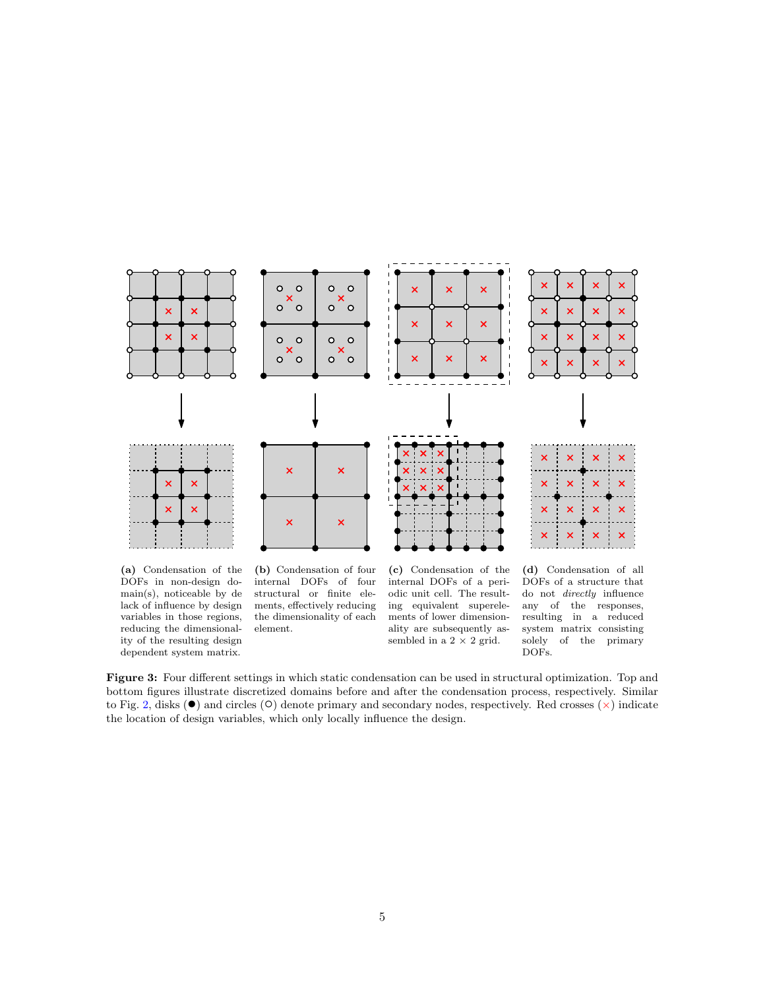<span id="page-4-0"></span>

(a) Condensation of the DOFs in non-design domain(s), noticeable by de lack of influence by design variables in those regions, reducing the dimensionality of the resulting design dependent system matrix.

(b) Condensation of four internal DOFs of four structural or finite elements, effectively reducing the dimensionality of each element.

(c) Condensation of the internal DOFs of a periodic unit cell. The resulting equivalent superelements of lower dimensionality are subsequently assembled in a  $2 \times 2$  grid.

(d) Condensation of all DOFs of a structure that do not directly influence any of the responses, resulting in a reduced system matrix consisting solely of the primary DOFs.

Figure 3: Four different settings in which static condensation can be used in structural optimization. Top and bottom figures illustrate discretized domains before and after the condensation process, respectively. Similar to Fig. [2,](#page-3-0) disks  $(\bullet)$  and circles ( $\circ$ ) denote primary and secondary nodes, respectively. Red crosses  $(\times)$  indicate the location of design variables, which only locally influence the design.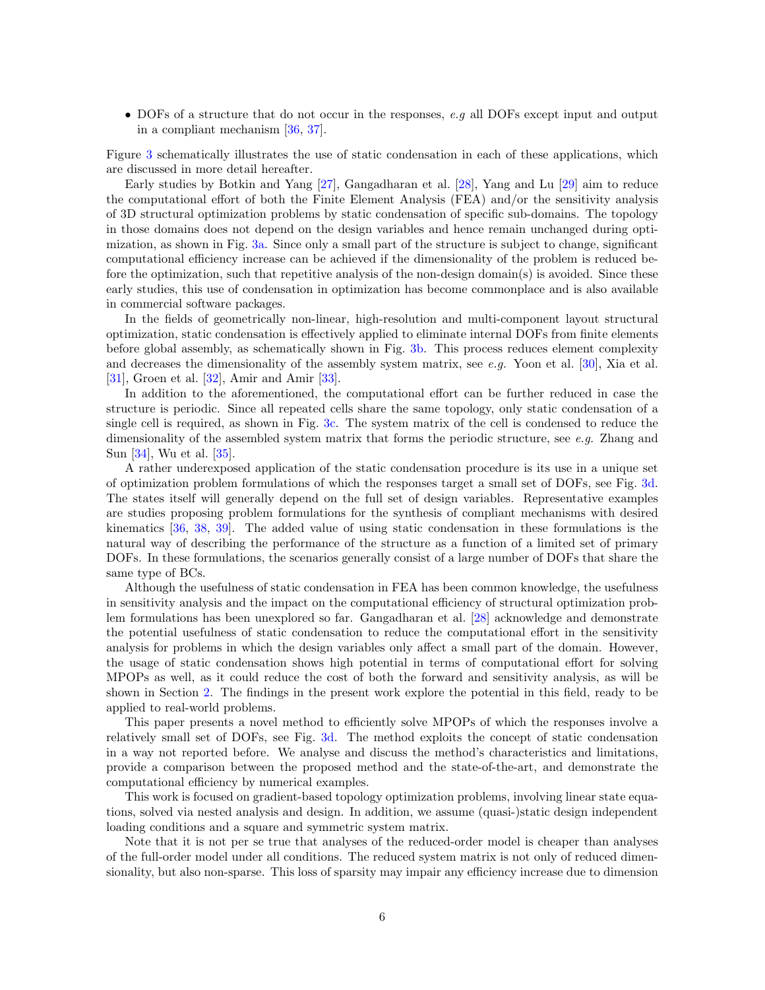• DOFs of a structure that do not occur in the responses, e.g all DOFs except input and output in a compliant mechanism [\[36,](#page-28-4) [37\]](#page-28-5).

Figure [3](#page-4-0) schematically illustrates the use of static condensation in each of these applications, which are discussed in more detail hereafter.

Early studies by Botkin and Yang [\[27\]](#page-27-20), Gangadharan et al. [\[28\]](#page-27-21), Yang and Lu [\[29\]](#page-27-22) aim to reduce the computational effort of both the Finite Element Analysis (FEA) and/or the sensitivity analysis of 3D structural optimization problems by static condensation of specific sub-domains. The topology in those domains does not depend on the design variables and hence remain unchanged during optimization, as shown in Fig. [3a.](#page-4-0) Since only a small part of the structure is subject to change, significant computational efficiency increase can be achieved if the dimensionality of the problem is reduced before the optimization, such that repetitive analysis of the non-design domain(s) is avoided. Since these early studies, this use of condensation in optimization has become commonplace and is also available in commercial software packages.

In the fields of geometrically non-linear, high-resolution and multi-component layout structural optimization, static condensation is effectively applied to eliminate internal DOFs from finite elements before global assembly, as schematically shown in Fig. [3b.](#page-4-0) This process reduces element complexity and decreases the dimensionality of the assembly system matrix, see  $e.g.$  Yoon et al. [\[30\]](#page-27-23), Xia et al. [\[31\]](#page-27-24), Groen et al. [\[32\]](#page-28-0), Amir and Amir [\[33\]](#page-28-1).

In addition to the aforementioned, the computational effort can be further reduced in case the structure is periodic. Since all repeated cells share the same topology, only static condensation of a single cell is required, as shown in Fig. [3c.](#page-4-0) The system matrix of the cell is condensed to reduce the dimensionality of the assembled system matrix that forms the periodic structure, see e.g. Zhang and Sun [\[34\]](#page-28-2), Wu et al. [\[35\]](#page-28-3).

A rather underexposed application of the static condensation procedure is its use in a unique set of optimization problem formulations of which the responses target a small set of DOFs, see Fig. [3d.](#page-4-0) The states itself will generally depend on the full set of design variables. Representative examples are studies proposing problem formulations for the synthesis of compliant mechanisms with desired kinematics [\[36,](#page-28-4) [38,](#page-28-6) [39\]](#page-28-7). The added value of using static condensation in these formulations is the natural way of describing the performance of the structure as a function of a limited set of primary DOFs. In these formulations, the scenarios generally consist of a large number of DOFs that share the same type of BCs.

Although the usefulness of static condensation in FEA has been common knowledge, the usefulness in sensitivity analysis and the impact on the computational efficiency of structural optimization problem formulations has been unexplored so far. Gangadharan et al. [\[28\]](#page-27-21) acknowledge and demonstrate the potential usefulness of static condensation to reduce the computational effort in the sensitivity analysis for problems in which the design variables only affect a small part of the domain. However, the usage of static condensation shows high potential in terms of computational effort for solving MPOPs as well, as it could reduce the cost of both the forward and sensitivity analysis, as will be shown in Section [2.](#page-6-0) The findings in the present work explore the potential in this field, ready to be applied to real-world problems.

This paper presents a novel method to efficiently solve MPOPs of which the responses involve a relatively small set of DOFs, see Fig. [3d.](#page-4-0) The method exploits the concept of static condensation in a way not reported before. We analyse and discuss the method's characteristics and limitations, provide a comparison between the proposed method and the state-of-the-art, and demonstrate the computational efficiency by numerical examples.

This work is focused on gradient-based topology optimization problems, involving linear state equations, solved via nested analysis and design. In addition, we assume (quasi-)static design independent loading conditions and a square and symmetric system matrix.

Note that it is not per se true that analyses of the reduced-order model is cheaper than analyses of the full-order model under all conditions. The reduced system matrix is not only of reduced dimensionality, but also non-sparse. This loss of sparsity may impair any efficiency increase due to dimension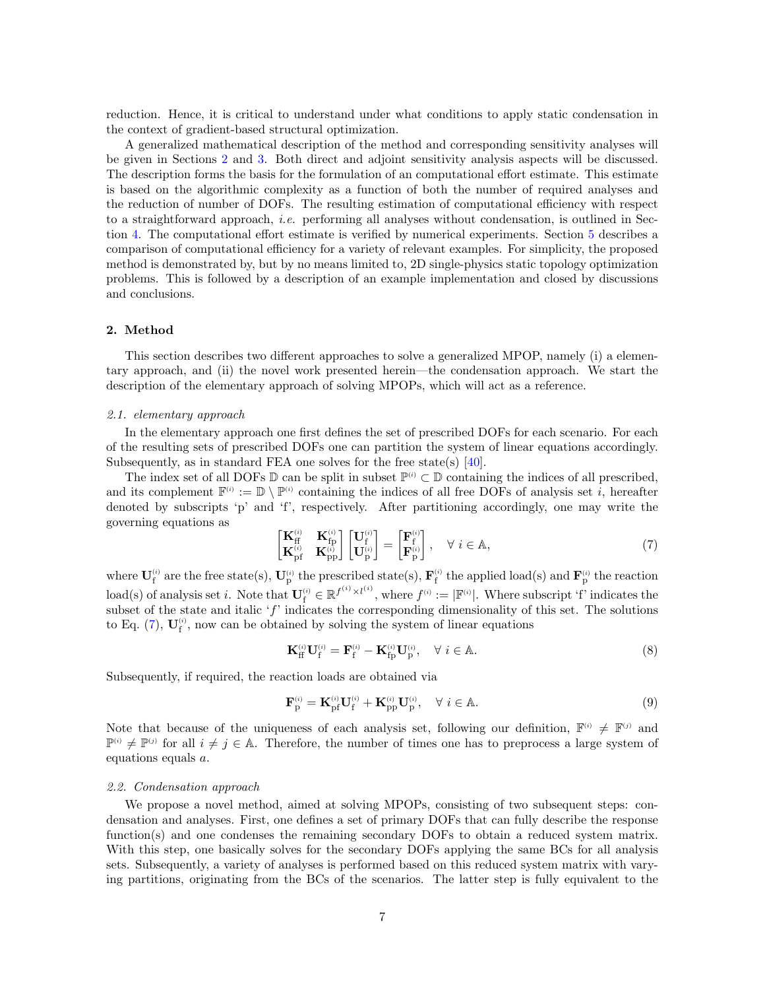reduction. Hence, it is critical to understand under what conditions to apply static condensation in the context of gradient-based structural optimization.

A generalized mathematical description of the method and corresponding sensitivity analyses will be given in Sections [2](#page-6-0) and [3.](#page-11-0) Both direct and adjoint sensitivity analysis aspects will be discussed. The description forms the basis for the formulation of an computational effort estimate. This estimate is based on the algorithmic complexity as a function of both the number of required analyses and the reduction of number of DOFs. The resulting estimation of computational efficiency with respect to a straightforward approach, i.e. performing all analyses without condensation, is outlined in Section [4.](#page-16-0) The computational effort estimate is verified by numerical experiments. Section [5](#page-19-0) describes a comparison of computational efficiency for a variety of relevant examples. For simplicity, the proposed method is demonstrated by, but by no means limited to, 2D single-physics static topology optimization problems. This is followed by a description of an example implementation and closed by discussions and conclusions.

## <span id="page-6-0"></span>2. Method

This section describes two different approaches to solve a generalized MPOP, namely (i) a elementary approach, and (ii) the novel work presented herein—the condensation approach. We start the description of the elementary approach of solving MPOPs, which will act as a reference.

#### <span id="page-6-2"></span>2.1. elementary approach

In the elementary approach one first defines the set of prescribed DOFs for each scenario. For each of the resulting sets of prescribed DOFs one can partition the system of linear equations accordingly. Subsequently, as in standard FEA one solves for the free state(s) [\[40\]](#page-28-8).

The index set of all DOFs  $\mathbb D$  can be split in subset  $\mathbb P^{(i)} \subset \mathbb D$  containing the indices of all prescribed, and its complement  $\mathbb{F}^{(i)} := \mathbb{D} \setminus \mathbb{P}^{(i)}$  containing the indices of all free DOFs of analysis set i, hereafter denoted by subscripts 'p' and 'f', respectively. After partitioning accordingly, one may write the governing equations as

<span id="page-6-1"></span>
$$
\begin{bmatrix}\n\mathbf{K}_{\text{ff}}^{(i)} & \mathbf{K}_{\text{fp}}^{(i)} \\
\mathbf{K}_{\text{pf}}^{(i)} & \mathbf{K}_{\text{pp}}^{(i)}\n\end{bmatrix}\n\begin{bmatrix}\n\mathbf{U}_{\text{f}}^{(i)} \\
\mathbf{U}_{\text{p}}^{(i)}\n\end{bmatrix} =\n\begin{bmatrix}\n\mathbf{F}_{\text{f}}^{(i)} \\
\mathbf{F}_{\text{p}}^{(i)}\n\end{bmatrix}, \quad \forall i \in \mathbb{A},
$$
\n(7)

where  $\mathbf{U}_{f}^{(i)}$  are the free state(s),  $\mathbf{U}_{p}^{(i)}$  the prescribed state(s),  $\mathbf{F}_{f}^{(i)}$  the applied load(s) and  $\mathbf{F}_{p}^{(i)}$  the reaction  $\text{load}(s)$  of analysis set i. Note that  $\mathbf{U}_{f}^{(i)} \in \mathbb{R}^{f^{(i)} \times l^{(i)}},$  where  $f^{(i)} := |\mathbb{F}^{(i)}|$ . Where subscript 'f' indicates the subset of the state and italic  $f'$  indicates the corresponding dimensionality of this set. The solutions to Eq. [\(7\)](#page-6-1),  $U_f^{(i)}$ , now can be obtained by solving the system of linear equations

<span id="page-6-3"></span>
$$
\mathbf{K}_{\rm{ff}}^{(i)}\mathbf{U}_{\rm{f}}^{(i)} = \mathbf{F}_{\rm{f}}^{(i)} - \mathbf{K}_{\rm{fp}}^{(i)}\mathbf{U}_{\rm{p}}^{(i)}, \quad \forall \ i \in \mathbb{A}.
$$
 (8)

Subsequently, if required, the reaction loads are obtained via

$$
\mathbf{F}_{\rm p}^{(i)} = \mathbf{K}_{\rm pf}^{(i)} \mathbf{U}_{\rm f}^{(i)} + \mathbf{K}_{\rm pp}^{(i)} \mathbf{U}_{\rm p}^{(i)}, \quad \forall \ i \in \mathbb{A}.
$$
 (9)

Note that because of the uniqueness of each analysis set, following our definition,  $\mathbb{F}^{(i)} \neq \mathbb{F}^{(j)}$  and  $\mathbb{P}^{(i)} \neq \mathbb{P}^{(j)}$  for all  $i \neq j \in \mathbb{A}$ . Therefore, the number of times one has to preprocess a large system of equations equals a.

#### <span id="page-6-4"></span>2.2. Condensation approach

We propose a novel method, aimed at solving MPOPs, consisting of two subsequent steps: condensation and analyses. First, one defines a set of primary DOFs that can fully describe the response function(s) and one condenses the remaining secondary DOFs to obtain a reduced system matrix. With this step, one basically solves for the secondary DOFs applying the same BCs for all analysis sets. Subsequently, a variety of analyses is performed based on this reduced system matrix with varying partitions, originating from the BCs of the scenarios. The latter step is fully equivalent to the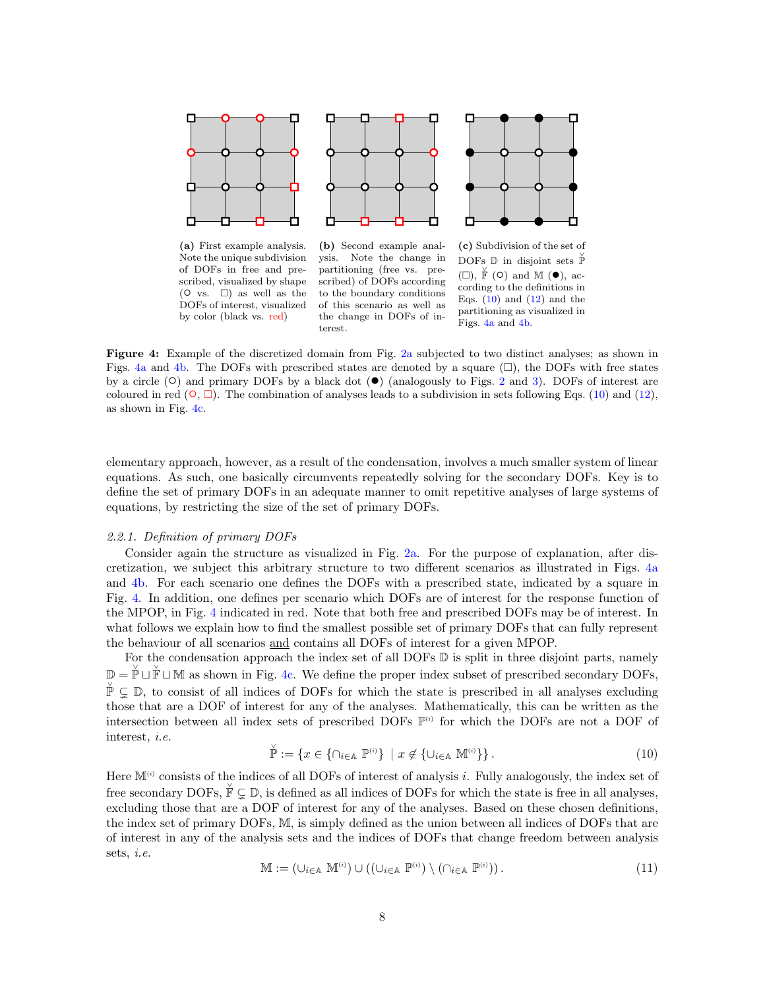<span id="page-7-1"></span>

of DOFs in free and prescribed, visualized by shape  $(① \text{ vs. } \Box)$  as well as the DOFs of interest, visualized by color (black vs. red)

partitioning (free vs. prescribed) of DOFs according to the boundary conditions of this scenario as well as the change in DOFs of interest.



Figs. [4a](#page-7-1) and [4b.](#page-7-1)

Figure 4: Example of the discretized domain from Fig. [2a](#page-3-0) subjected to two distinct analyses; as shown in Figs. [4a](#page-7-1) and [4b.](#page-7-1) The DOFs with prescribed states are denoted by a square  $(\square)$ , the DOFs with free states by a circle  $(\circ)$  and primary DOFs by a black dot  $(\bullet)$  (analogously to Figs. [2](#page-3-0) and [3\)](#page-4-0). DOFs of interest are coloured in red  $(\circ, \Box)$ . The combination of analyses leads to a subdivision in sets following Eqs. [\(10\)](#page-7-0) and [\(12\)](#page-8-0), as shown in Fig. [4c.](#page-7-1)

elementary approach, however, as a result of the condensation, involves a much smaller system of linear equations. As such, one basically circumvents repeatedly solving for the secondary DOFs. Key is to define the set of primary DOFs in an adequate manner to omit repetitive analyses of large systems of equations, by restricting the size of the set of primary DOFs.

#### <span id="page-7-2"></span>2.2.1. Definition of primary DOFs

Consider again the structure as visualized in Fig. [2a.](#page-3-0) For the purpose of explanation, after discretization, we subject this arbitrary structure to two different scenarios as illustrated in Figs. [4a](#page-7-1) and [4b.](#page-7-1) For each scenario one defines the DOFs with a prescribed state, indicated by a square in Fig. [4.](#page-7-1) In addition, one defines per scenario which DOFs are of interest for the response function of the MPOP, in Fig. [4](#page-7-1) indicated in red. Note that both free and prescribed DOFs may be of interest. In what follows we explain how to find the smallest possible set of primary DOFs that can fully represent the behaviour of all scenarios and contains all DOFs of interest for a given MPOP.

For the condensation approach the index set of all DOFs  $\mathbb D$  is split in three disjoint parts, namely  $\mathbb{D} = \check{\mathbb{P}} \cup \check{\mathbb{F}} \cup \mathbb{M}$  as shown in Fig. [4c.](#page-7-1) We define the proper index subset of prescribed secondary DOFs, ∨ P ( D, to consist of all indices of DOFs for which the state is prescribed in all analyses excluding those that are a DOF of interest for any of the analyses. Mathematically, this can be written as the intersection between all index sets of prescribed DOFs  $\mathbb{P}^{(i)}$  for which the DOFs are not a DOF of interest, i.e.

<span id="page-7-0"></span>
$$
\check{\mathbb{P}} := \{ x \in \{ \cap_{i \in \mathbb{A}} \ \mathbb{P}^{(i)} \} \mid x \notin \{ \cup_{i \in \mathbb{A}} \ \mathbb{M}^{(i)} \} \}.
$$
\n(10)

Here  $M^{(i)}$  consists of the indices of all DOFs of interest of analysis i. Fully analogously, the index set of free secondary DOFs,  $\check{\mathbb{F}} \subsetneq \mathbb{D}$ , is defined as all indices of DOFs for which the state is free in all analyses, excluding those that are a DOF of interest for any of the analyses. Based on these chosen definitions, the index set of primary DOFs, M, is simply defined as the union between all indices of DOFs that are of interest in any of the analysis sets and the indices of DOFs that change freedom between analysis sets, i.e.

$$
\mathbb{M} := (\cup_{i \in \mathbb{A}} \mathbb{M}^{(i)}) \cup ((\cup_{i \in \mathbb{A}} \mathbb{P}^{(i)}) \setminus (\cap_{i \in \mathbb{A}} \mathbb{P}^{(i)})). \tag{11}
$$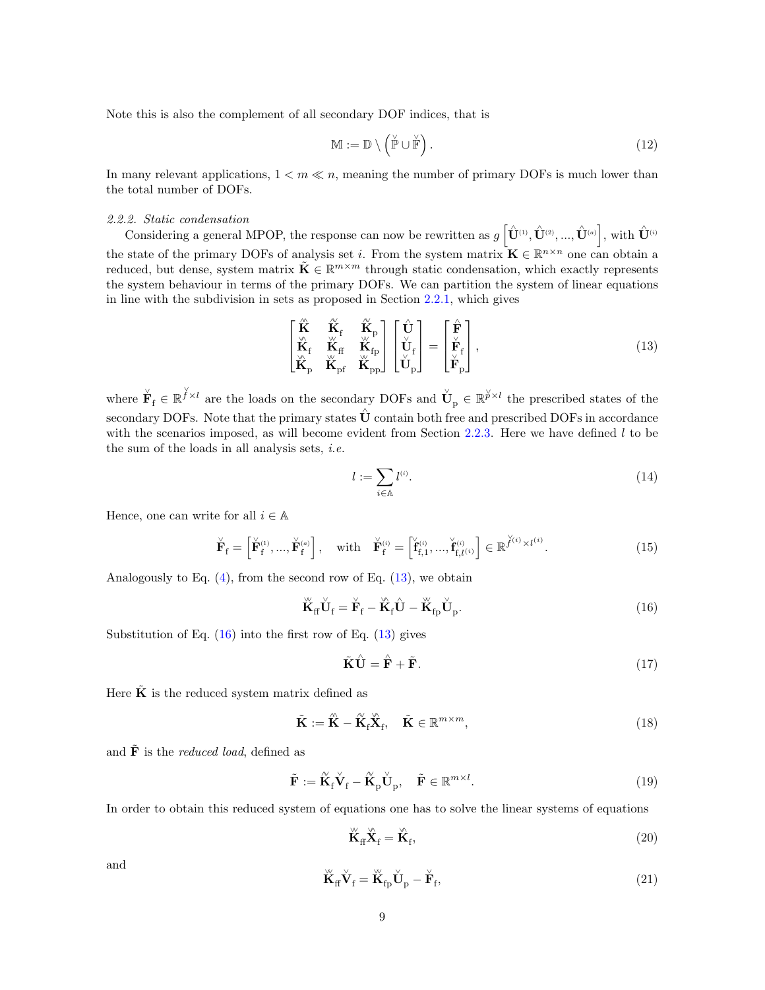Note this is also the complement of all secondary DOF indices, that is

<span id="page-8-0"></span>
$$
\mathbb{M} := \mathbb{D} \setminus \left( \check{\mathbb{P}} \cup \check{\mathbb{F}} \right). \tag{12}
$$

In many relevant applications,  $1 < m \ll n$ , meaning the number of primary DOFs is much lower than the total number of DOFs.

# 2.2.2. Static condensation

Considering a general MPOP, the response can now be rewritten as  $g\left[\hat{\mathbf{U}}^{(1)}, \hat{\mathbf{U}}^{(2)}, ..., \hat{\mathbf{U}}^{(a)}\right]$ , with  $\hat{\mathbf{U}}^{(i)}$ the state of the primary DOFs of analysis set *i*. From the system matrix  $\mathbf{K} \in \mathbb{R}^{n \times n}$  one can obtain a reduced, but dense, system matrix  $\tilde{\mathbf{K}} \in \mathbb{R}^{m \times m}$  through static condensation, which exactly represents the system behaviour in terms of the primary DOFs. We can partition the system of linear equations in line with the subdivision in sets as proposed in Section [2.2.1,](#page-7-2) which gives

<span id="page-8-1"></span>
$$
\begin{bmatrix}\n\hat{\mathbf{K}} & \hat{\mathbf{K}}_{\text{f}} & \hat{\mathbf{K}}_{\text{p}} \\
\hat{\mathbf{K}}_{\text{f}} & \hat{\mathbf{K}}_{\text{ff}} & \hat{\mathbf{K}}_{\text{fp}} \\
\hat{\mathbf{K}}_{\text{p}} & \hat{\mathbf{K}}_{\text{p}f} & \hat{\mathbf{K}}_{\text{pp}}\n\end{bmatrix}\n\begin{bmatrix}\n\hat{\mathbf{U}} \\
\hat{\mathbf{U}}_{\text{f}} \\
\hat{\mathbf{U}}_{\text{p}}\n\end{bmatrix} = \n\begin{bmatrix}\n\hat{\mathbf{F}} \\
\hat{\mathbf{F}}_{\text{f}} \\
\hat{\mathbf{F}}_{\text{p}}\n\end{bmatrix},
$$
\n(13)

where  $\check{\mathbf{F}}_f \in \mathbb{R}^{\check{\gamma} \times l}$  are the loads on the secondary DOFs and  $\check{\mathbf{U}}_p \in \mathbb{R}^{\check{\gamma} \times l}$  the prescribed states of the secondary DOFs. Note that the primary states  $\hat{U}$  contain both free and prescribed DOFs in accordance with the scenarios imposed, as will become evident from Section  $2.2.3$ . Here we have defined l to be the sum of the loads in all analysis sets,  $i.e.$ 

$$
l := \sum_{i \in \mathbb{A}} l^{(i)}.
$$
\n
$$
(14)
$$

Hence, one can write for all  $i \in \mathbb{A}$ 

$$
\check{\mathbf{F}}_{\mathbf{f}} = \begin{bmatrix} \check{\mathbf{F}}_{\mathbf{f}}^{(1)}, \dots, \check{\mathbf{F}}_{\mathbf{f}}^{(a)} \end{bmatrix}, \quad \text{with} \quad \check{\mathbf{F}}_{\mathbf{f}}^{(i)} = \begin{bmatrix} \check{\mathbf{f}}_{\mathbf{f},1}^{(i)}, \dots, \check{\mathbf{f}}_{\mathbf{f},l}^{(i)} \end{bmatrix} \in \mathbb{R}^{\check{\mathcal{J}}^{(i)} \times l^{(i)}}.
$$
\n(15)

Analogously to Eq.  $(4)$ , from the second row of Eq.  $(13)$ , we obtain

<span id="page-8-2"></span>
$$
\breve{\mathbf{K}}_{\rm ff} \breve{\mathbf{U}}_{\rm f} = \breve{\mathbf{F}}_{\rm f} - \breve{\mathbf{K}}_{\rm f} \hat{\mathbf{U}} - \breve{\mathbf{K}}_{\rm fp} \breve{\mathbf{U}}_{\rm p}.
$$
\n(16)

Substitution of Eq.  $(16)$  into the first row of Eq.  $(13)$  gives

<span id="page-8-3"></span>
$$
\tilde{\mathbf{K}}\hat{\mathbf{U}} = \hat{\mathbf{F}} + \tilde{\mathbf{F}}.\tag{17}
$$

Here  $\tilde{\mathbf{K}}$  is the reduced system matrix defined as

<span id="page-8-4"></span>
$$
\tilde{\mathbf{K}} := \hat{\mathbf{K}} - \tilde{\mathbf{K}}_{\text{f}} \hat{\mathbf{X}}_{\text{f}}, \quad \tilde{\mathbf{K}} \in \mathbb{R}^{m \times m}, \tag{18}
$$

and  $\tilde{\mathbf{F}}$  is the *reduced load*, defined as

<span id="page-8-5"></span>
$$
\tilde{\mathbf{F}} := \tilde{\mathbf{K}}_{f} \dot{\mathbf{V}}_{f} - \tilde{\mathbf{K}}_{p} \dot{\mathbf{U}}_{p}, \quad \tilde{\mathbf{F}} \in \mathbb{R}^{m \times l}.
$$
\n(19)

In order to obtain this reduced system of equations one has to solve the linear systems of equations

<span id="page-8-6"></span>
$$
\stackrel{\scriptscriptstyle{W}}{\mathbf{K}}_{\rm{ff}} \stackrel{\scriptscriptstyle{W}}{\mathbf{X}}_{\rm{f}} = \stackrel{\scriptscriptstyle{W}}{\mathbf{K}}_{\rm{f}},\tag{20}
$$

and ∨∨

<span id="page-8-7"></span>
$$
\breve{\mathbf{K}}_{\rm f} \breve{\mathbf{V}}_{\rm f} = \breve{\mathbf{K}}_{\rm fp} \breve{\mathbf{U}}_{\rm p} - \breve{\mathbf{F}}_{\rm f},\tag{21}
$$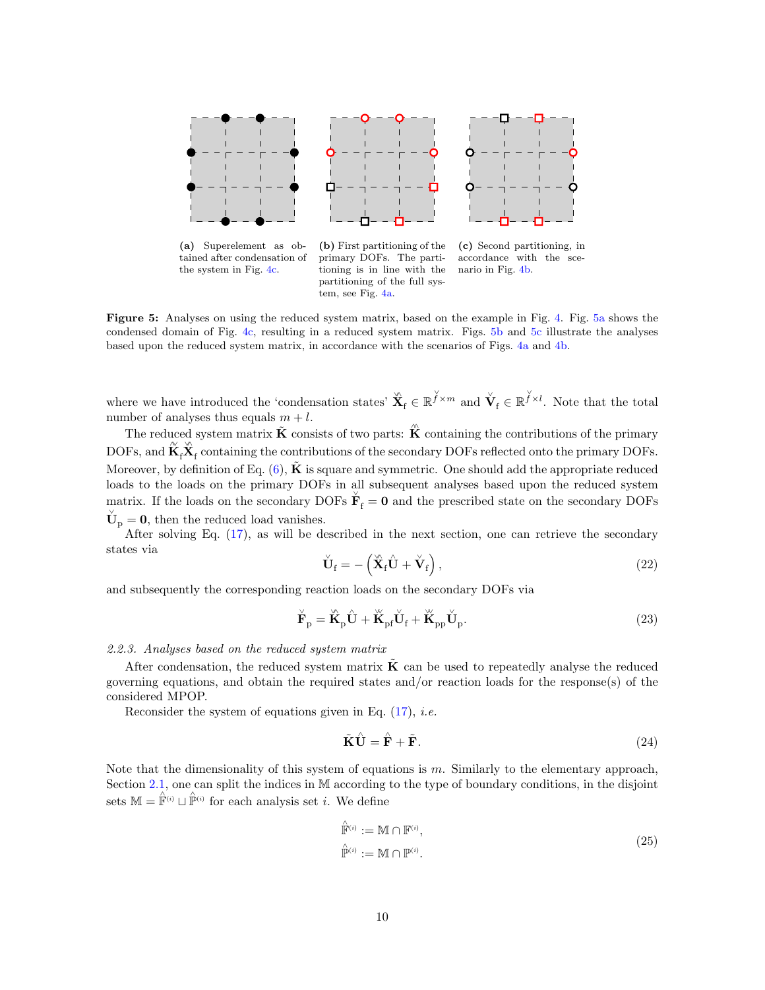<span id="page-9-1"></span>

Figure 5: Analyses on using the reduced system matrix, based on the example in Fig. [4.](#page-7-1) Fig. [5a](#page-9-1) shows the condensed domain of Fig. [4c,](#page-7-1) resulting in a reduced system matrix. Figs. [5b](#page-9-1) and [5c](#page-9-1) illustrate the analyses based upon the reduced system matrix, in accordance with the scenarios of Figs. [4a](#page-7-1) and [4b.](#page-7-1)

where we have introduced the 'condensation states'  $\mathbf{\hat{X}}_f \in \mathbb{R}^{\check{f} \times m}$  and  $\mathbf{\check{V}}_f \in \mathbb{R}^{\check{f} \times l}$ . Note that the total number of analyses thus equals  $m + l$ .

The reduced system matrix  $\tilde{\mathbf{K}}$  consists of two parts:  $\hat{\mathbf{K}}$  containing the contributions of the primary  $\mathrm{DOFs}, \mathrm{and} \, \widetilde{\mathbf{K}}_{\mathrm{f}} \dot{\mathbf{X}}_{\mathrm{f}}$  containing the contributions of the secondary  $\mathrm{DOFs}$  reflected onto the primary  $\mathrm{DOFs}.$ Moreover, by definition of Eq.  $(6)$ ,  $\tilde{\mathbf{K}}$  is square and symmetric. One should add the appropriate reduced loads to the loads on the primary DOFs in all subsequent analyses based upon the reduced system matrix. If the loads on the secondary DOFs  $\check{\mathbf{F}}_f = \mathbf{0}$  and the prescribed state on the secondary DOFs  $\check{\mathbf{U}}_{\mathrm{p}} = \mathbf{0}$ , then the reduced load vanishes.

After solving Eq. [\(17\)](#page-8-3), as will be described in the next section, one can retrieve the secondary states via

<span id="page-9-2"></span>
$$
\check{\mathbf{U}}_{\mathrm{f}} = -\left(\check{\mathbf{X}}_{\mathrm{f}}\hat{\mathbf{U}} + \check{\mathbf{V}}_{\mathrm{f}}\right),\tag{22}
$$

and subsequently the corresponding reaction loads on the secondary DOFs via

<span id="page-9-3"></span>
$$
\breve{\mathbf{F}}_{\mathbf{p}} = \breve{\mathbf{K}}_{\mathbf{p}} \hat{\mathbf{U}} + \breve{\mathbf{K}}_{\mathbf{p} \mathbf{f}} \breve{\mathbf{U}}_{\mathbf{f}} + \breve{\mathbf{K}}_{\mathbf{p} \mathbf{p}} \breve{\mathbf{U}}_{\mathbf{p}}.
$$
\n(23)

### <span id="page-9-0"></span>2.2.3. Analyses based on the reduced system matrix

After condensation, the reduced system matrix  $\tilde{\mathbf{K}}$  can be used to repeatedly analyse the reduced governing equations, and obtain the required states and/or reaction loads for the response(s) of the considered MPOP.

Reconsider the system of equations given in Eq.  $(17)$ , *i.e.* 

$$
\tilde{\mathbf{K}}\hat{\mathbf{U}} = \hat{\mathbf{F}} + \tilde{\mathbf{F}}.\tag{24}
$$

Note that the dimensionality of this system of equations is  $m$ . Similarly to the elementary approach, Section [2.1,](#page-6-2) one can split the indices in M according to the type of boundary conditions, in the disjoint sets  $\mathbb{M} = \hat{\mathbb{F}}^{(i)} \sqcup \hat{\mathbb{P}}^{(i)}$  for each analysis set *i*. We define

$$
\hat{\mathbb{F}}^{(i)} := \mathbb{M} \cap \mathbb{F}^{(i)},
$$
\n
$$
\hat{\mathbb{P}}^{(i)} := \mathbb{M} \cap \mathbb{P}^{(i)}.
$$
\n(25)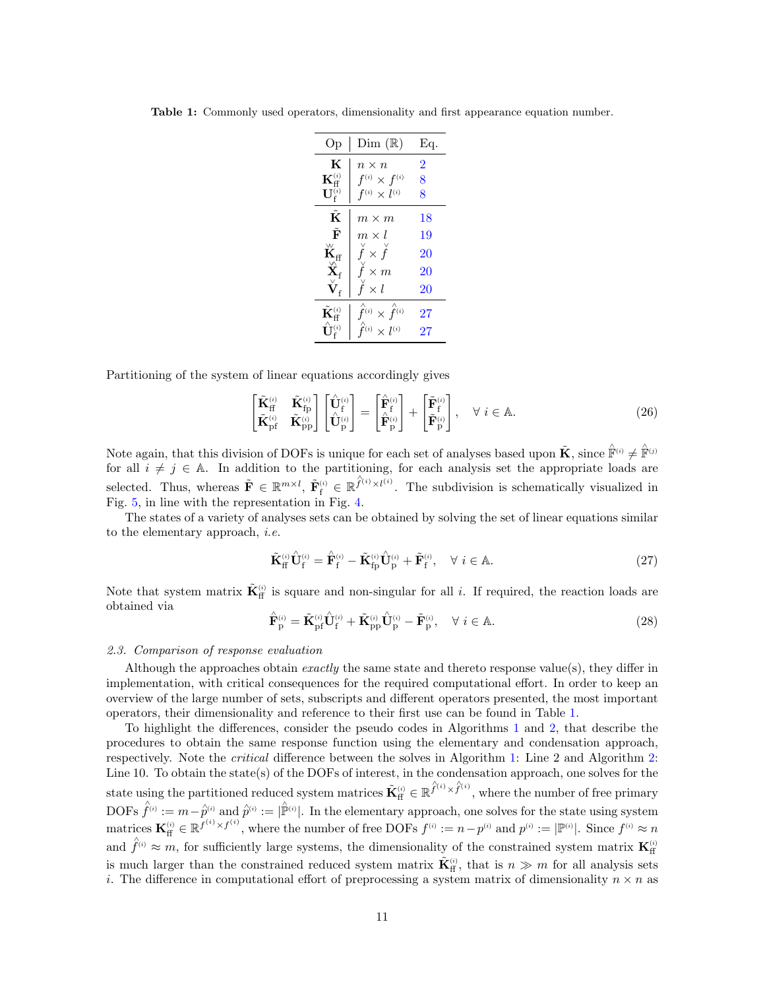| Oр                                        | Dim(R)                                                                 | Eq.            |
|-------------------------------------------|------------------------------------------------------------------------|----------------|
| K                                         | $n \times n$                                                           | $\overline{2}$ |
| $\mathbf{K}_\mathrm{ff}^{(i)}$            | $f^{(i)} \times f^{(i)}$                                               | 8              |
| $\mathbf{U}^{(i)}_{\mathrm{f}}$           | $f^{(i)} \times l^{(i)}$                                               | 8              |
| Ķ                                         | $m \times m$                                                           | 18             |
| $\tilde{\mathbf{F}}$                      | $m \times l$                                                           | 19             |
| $\breve{\mathbf{K}}_{\mathbf{f}}$         | $\check{f} \times \check{f}$                                           | 20             |
| $\overset{\vee}{\mathbf{X}}_{\mathrm{f}}$ | $f \times m$                                                           | 20             |
| $\check{\textbf{V}}_{\rm f}$              | $f \times l$                                                           | 20             |
| $\tilde{\mathbf{K}}_\text{ff}^{(i)}$      | $\hat{f}^{\scriptscriptstyle(i)}\times\hat{f}^{\scriptscriptstyle(i)}$ | 27             |
| $\hat{\mathbf{U}}^{(i)}$                  | $\hat{\hat{f}}^{(i)}\times l^{(i)}$                                    | 27             |

<span id="page-10-1"></span>Table 1: Commonly used operators, dimensionality and first appearance equation number.

Partitioning of the system of linear equations accordingly gives

<span id="page-10-2"></span>
$$
\begin{bmatrix}\n\widetilde{\mathbf{K}}_{\text{ff}}^{(i)} & \widetilde{\mathbf{K}}_{\text{fp}}^{(i)} \\
\widetilde{\mathbf{K}}_{\text{pf}}^{(i)} & \widetilde{\mathbf{K}}_{\text{pp}}^{(i)}\n\end{bmatrix}\n\begin{bmatrix}\n\widehat{\mathbf{U}}_{\text{f}}^{(i)} \\
\widehat{\mathbf{U}}_{\text{p}}^{(i)}\n\end{bmatrix} = \begin{bmatrix}\n\widehat{\mathbf{F}}_{\text{f}}^{(i)} \\
\widehat{\mathbf{F}}_{\text{p}}^{(i)}\n\end{bmatrix} + \begin{bmatrix}\n\widetilde{\mathbf{F}}_{\text{f}}^{(i)} \\
\widetilde{\mathbf{F}}_{\text{p}}^{(i)}\n\end{bmatrix}, \quad \forall i \in \mathbb{A}.
$$
\n(26)

Note again, that this division of DOFs is unique for each set of analyses based upon  $\tilde{\mathbf{K}}$ , since  $\hat{\mathbb{F}}^{(i)} \neq \hat{\mathbb{F}}^{(j)}$ for all  $i \neq j \in A$ . In addition to the partitioning, for each analysis set the appropriate loads are selected. Thus, whereas  $\tilde{\mathbf{F}} \in \mathbb{R}^{m \times l}$ ,  $\tilde{\mathbf{F}}_f^{(i)} \in \mathbb{R}^{\hat{f}^{(i)} \times l^{(i)}}$ . The subdivision is schematically visualized in Fig. [5,](#page-9-1) in line with the representation in Fig. [4.](#page-7-1)

The states of a variety of analyses sets can be obtained by solving the set of linear equations similar to the elementary approach, i.e.

<span id="page-10-0"></span>
$$
\tilde{\mathbf{K}}_{\rm ff}^{(i)}\hat{\mathbf{U}}_{\rm f}^{(i)} = \hat{\mathbf{F}}_{\rm f}^{(i)} - \tilde{\mathbf{K}}_{\rm fp}^{(i)}\hat{\mathbf{U}}_{\rm p}^{(i)} + \tilde{\mathbf{F}}_{\rm f}^{(i)}, \quad \forall \ i \in \mathbb{A}.
$$
\n(27)

Note that system matrix  $\tilde{\mathbf{K}}_{\text{ff}}^{(i)}$  is square and non-singular for all i. If required, the reaction loads are obtained via

<span id="page-10-3"></span>
$$
\hat{\mathbf{F}}_{\mathbf{p}}^{(i)} = \tilde{\mathbf{K}}_{\mathbf{p}\mathbf{f}}^{(i)} \hat{\mathbf{U}}_{\mathbf{f}}^{(i)} + \tilde{\mathbf{K}}_{\mathbf{p}\mathbf{p}}^{(i)} \hat{\mathbf{U}}_{\mathbf{p}}^{(i)} - \tilde{\mathbf{F}}_{\mathbf{p}}^{(i)}, \quad \forall \ i \in \mathbb{A}.
$$
\n(28)

#### 2.3. Comparison of response evaluation

Although the approaches obtain *exactly* the same state and thereto response value(s), they differ in implementation, with critical consequences for the required computational effort. In order to keep an overview of the large number of sets, subscripts and different operators presented, the most important operators, their dimensionality and reference to their first use can be found in Table [1.](#page-10-1)

To highlight the differences, consider the pseudo codes in Algorithms [1](#page-11-1) and [2,](#page-11-2) that describe the procedures to obtain the same response function using the elementary and condensation approach, respectively. Note the critical difference between the solves in Algorithm [1:](#page-11-1) Line 2 and Algorithm [2:](#page-11-2) Line 10. To obtain the state(s) of the DOFs of interest, in the condensation approach, one solves for the state using the partitioned reduced system matrices  $\tilde{\mathbf{K}}_{\text{ff}}^{(i)} \in \mathbb{R}^{\hat{f}^{(i)} \times \hat{f}^{(i)}}$ , where the number of free primary DOFs  $\hat{f}^{(i)} := m - \hat{p}^{(i)}$  and  $\hat{p}^{(i)} := |\hat{p}^{(i)}|$ . In the elementary approach, one solves for the state using system  $\text{matrices } \mathbf{K}_{\text{ff}}^{(i)} \in \mathbb{R}^{f^{(i)} \times f^{(i)}}, \text{ where the number of free DOFs } f^{(i)} := n - p^{(i)} \text{ and } p^{(i)} := |\mathbb{P}^{(i)}|. \text{ Since } f^{(i)} \approx n$ and  $\hat{f}^{(i)} \approx m$ , for sufficiently large systems, the dimensionality of the constrained system matrix  $\mathbf{K}_{\text{ff}}^{(i)}$ is much larger than the constrained reduced system matrix  $\tilde{\mathbf{K}}_{\text{ff}}^{(i)}$ , that is  $n \gg m$  for all analysis sets i. The difference in computational effort of preprocessing a system matrix of dimensionality  $n \times n$  as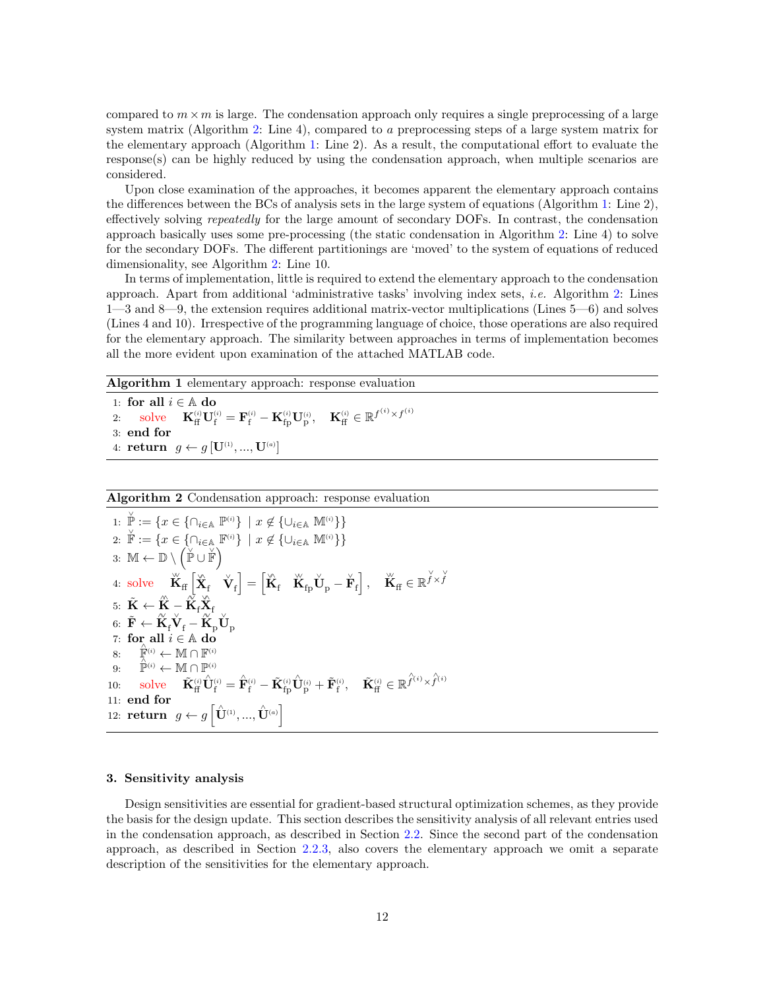compared to  $m \times m$  is large. The condensation approach only requires a single preprocessing of a large system matrix (Algorithm [2:](#page-11-2) Line 4), compared to a preprocessing steps of a large system matrix for the elementary approach (Algorithm [1:](#page-11-1) Line 2). As a result, the computational effort to evaluate the response(s) can be highly reduced by using the condensation approach, when multiple scenarios are considered.

Upon close examination of the approaches, it becomes apparent the elementary approach contains the differences between the BCs of analysis sets in the large system of equations (Algorithm [1:](#page-11-1) Line 2), effectively solving repeatedly for the large amount of secondary DOFs. In contrast, the condensation approach basically uses some pre-processing (the static condensation in Algorithm [2:](#page-11-2) Line 4) to solve for the secondary DOFs. The different partitionings are 'moved' to the system of equations of reduced dimensionality, see Algorithm [2:](#page-11-2) Line 10.

In terms of implementation, little is required to extend the elementary approach to the condensation approach. Apart from additional 'administrative tasks' involving index sets, i.e. Algorithm [2:](#page-11-2) Lines 1—3 and 8—9, the extension requires additional matrix-vector multiplications (Lines 5—6) and solves (Lines 4 and 10). Irrespective of the programming language of choice, those operations are also required for the elementary approach. The similarity between approaches in terms of implementation becomes all the more evident upon examination of the attached MATLAB code.

Algorithm 1 elementary approach: response evaluation

<span id="page-11-1"></span>1: for all  $i \in \mathbb{A}$  do  $2:$  solve  $\mathbf{f}_{\rm ff}^{(i)} \mathbf{U}_{\rm f}^{(i)} = \mathbf{F}_{\rm f}^{(i)} - \mathbf{K}_{\rm fp}^{(i)} \mathbf{U}_{\rm p}^{(i)}, \quad \mathbf{K}_{\rm ff}^{(i)} \in \mathbb{R}^{f^{(i)} \times f^{(i)}}$ 3: end for 4: return  $g \leftarrow g[\mathbf{U}^{\scriptscriptstyle (1)},...,\mathbf{U}^{\scriptscriptstyle (a)}]$ 

# Algorithm 2 Condensation approach: response evaluation

1: 
$$
\check{\mathbb{P}} := \{ x \in \{\cap_{i \in \mathbb{A}} \mathbb{P}^{(i)} \} \mid x \notin \{\cup_{i \in \mathbb{A}} \mathbb{M}^{(i)} \} \}
$$
\n2: 
$$
\check{\mathbb{F}} := \{ x \in \{\cap_{i \in \mathbb{A}} \mathbb{F}^{(i)} \} \mid x \notin \{\cup_{i \in \mathbb{A}} \mathbb{M}^{(i)} \} \}
$$
\n3: 
$$
\mathbb{M} \leftarrow \mathbb{D} \setminus (\check{\mathbb{P}} \cup \check{\mathbb{F}})
$$
\n4: solve 
$$
\check{K}_{\mathrm{ff}} \left[ \check{X}_{\mathrm{f}} \check{Y}_{\mathrm{f}} \right] = \left[ \check{K}_{\mathrm{f}} \check{K}_{\mathrm{fp}} \check{U}_{\mathrm{p}} - \check{F}_{\mathrm{f}} \right], \quad \check{K}_{\mathrm{ff}} \in \mathbb{R}^{\check{f} \times \check{f}}
$$
\n5: 
$$
\tilde{K} \leftarrow \hat{K} - \check{K}_{\mathrm{f}} \check{X}_{\mathrm{f}}
$$
\n6: 
$$
\tilde{F} \leftarrow \check{K}_{\mathrm{f}} \check{V}_{\mathrm{f}} - \check{K}_{\mathrm{p}} \check{U}_{\mathrm{p}}
$$
\n7: for all  $i \in \mathbb{A}$  do\n8: 
$$
\check{\mathbb{F}}^{(i)} \leftarrow \mathbb{M} \cap \mathbb{F}^{(i)}
$$
\n9: 
$$
\hat{\mathbb{P}}^{(i)} \leftarrow \mathbb{M} \cap \mathbb{P}^{(i)}
$$
\n10: solve 
$$
\tilde{K}_{\mathrm{ff}}^{(i)} \hat{U}_{\mathrm{f}}^{(i)} = \hat{F}_{\mathrm{f}}^{(i)} - \tilde{K}_{\mathrm{fp}}^{(i)} \hat{U}_{\mathrm{p}}^{(i)} + \tilde{F}_{\mathrm{f}}^{(i)}, \quad \tilde{K}_{\mathrm{ff}}^{(i)} \in \mathbb{R}^{\hat{f}^{(i)} \times \hat{f}^{(i)}}
$$
\n11: end for\n12: return 
$$
g \leftarrow g \left[ \hat{U}^{(1)}, \dots, \hat{U}^{(a)} \right]
$$

### <span id="page-11-2"></span><span id="page-11-0"></span>3. Sensitivity analysis

Design sensitivities are essential for gradient-based structural optimization schemes, as they provide the basis for the design update. This section describes the sensitivity analysis of all relevant entries used in the condensation approach, as described in Section [2.2.](#page-6-4) Since the second part of the condensation approach, as described in Section [2.2.3,](#page-9-0) also covers the elementary approach we omit a separate description of the sensitivities for the elementary approach.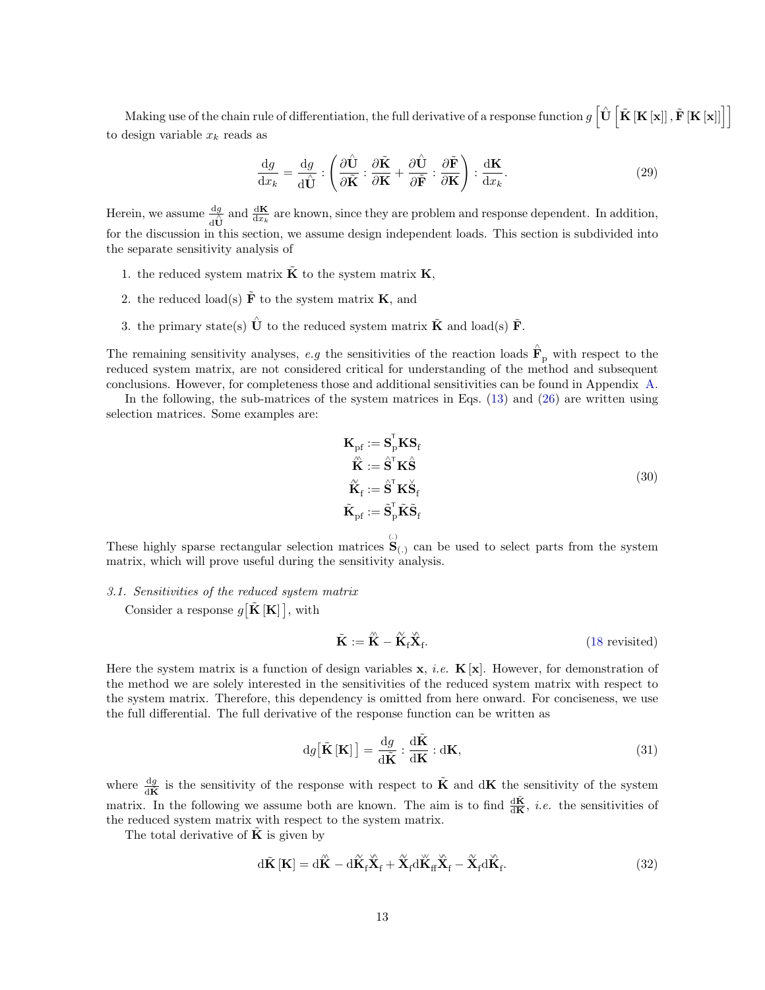Making use of the chain rule of differentiation, the full derivative of a response function  $g\, \big[\hat{\mathbf{U}}\, \big[\tilde{\mathbf{K}}\, [\mathbf{K}\, [\mathbf{x}]]\, \big], \tilde{\mathbf{F}}\, [\mathbf{K}\, [\mathbf{x}]]\big]\big]$ to design variable  $x_k$  reads as

$$
\frac{\mathrm{d}g}{\mathrm{d}x_k} = \frac{\mathrm{d}g}{\mathrm{d}\hat{\mathbf{U}}} : \left( \frac{\partial \hat{\mathbf{U}}}{\partial \tilde{\mathbf{K}}} : \frac{\partial \tilde{\mathbf{K}}}{\partial \mathbf{K}} + \frac{\partial \hat{\mathbf{U}}}{\partial \tilde{\mathbf{F}}} : \frac{\partial \tilde{\mathbf{F}}}{\partial \mathbf{K}} \right) : \frac{\mathrm{d}\mathbf{K}}{\mathrm{d}x_k}.
$$
\n(29)

Herein, we assume  $\frac{dg}{d\Omega}$  and  $\frac{d\mathbf{K}}{dx_k}$  are known, since they are problem and response dependent. In addition, for the discussion in this section, we assume design independent loads. This section is subdivided into the separate sensitivity analysis of

- 1. the reduced system matrix  $\dot{\mathbf{K}}$  to the system matrix  $\mathbf{K},$
- 2. the reduced load(s)  $\tilde{F}$  to the system matrix **K**, and
- 3. the primary state(s)  $\hat{U}$  to the reduced system matrix  $\tilde{K}$  and load(s)  $\tilde{F}$ .

The remaining sensitivity analyses, e.g the sensitivities of the reaction loads  $\hat{F}_p$  with respect to the reduced system matrix, are not considered critical for understanding of the method and subsequent conclusions. However, for completeness those and additional sensitivities can be found in Appendix [A.](#page-28-9)

In the following, the sub-matrices of the system matrices in Eqs.  $(13)$  and  $(26)$  are written using selection matrices. Some examples are:

<span id="page-12-0"></span>
$$
\mathbf{K}_{\rm pf} := \mathbf{S}_{\rm p}^{\rm T} \mathbf{K} \mathbf{S}_{\rm f} \n\hat{\mathbf{K}} := \hat{\mathbf{S}}^{\rm T} \mathbf{K} \hat{\mathbf{S}} \n\hat{\mathbf{K}}_{\rm f} := \hat{\mathbf{S}}^{\rm T} \mathbf{K} \hat{\mathbf{S}}_{\rm f} \n\tilde{\mathbf{K}}_{\rm pf} := \tilde{\mathbf{S}}_{\rm p}^{\rm T} \tilde{\mathbf{K}} \tilde{\mathbf{S}}_{\rm f}
$$
\n(30)

These highly sparse rectangular selection matrices  $S_{(.)}$  can be used to select parts from the system matrix, which will prove useful during the sensitivity analysis.

3.1. Sensitivities of the reduced system matrix

Consider a response  $g[\tilde{\mathbf{K}}|\mathbf{K}]]$ , with

$$
\tilde{\mathbf{K}} := \hat{\mathbf{K}} - \hat{\mathbf{K}}_{\text{f}} \hat{\mathbf{X}}_{\text{f}}.
$$
\n(18 revisited)

Here the system matrix is a function of design variables  $x, i.e.$   $K[x]$ . However, for demonstration of the method we are solely interested in the sensitivities of the reduced system matrix with respect to the system matrix. Therefore, this dependency is omitted from here onward. For conciseness, we use the full differential. The full derivative of the response function can be written as

<span id="page-12-2"></span>
$$
dg\left[\tilde{\mathbf{K}}\left[\mathbf{K}\right]\right] = \frac{dg}{d\tilde{\mathbf{K}}} : \frac{d\tilde{\mathbf{K}}}{d\mathbf{K}} : d\mathbf{K},\tag{31}
$$

where  $\frac{dg}{d\mathbf{K}}$  is the sensitivity of the response with respect to  $\tilde{\mathbf{K}}$  and  $d\mathbf{K}$  the sensitivity of the system matrix. In the following we assume both are known. The aim is to find  $\frac{d\tilde{\mathbf{K}}}{d\mathbf{K}}$ , *i.e.* the sensitivities of the reduced system matrix with respect to the system matrix.

The total derivative of  $\bf{K}$  is given by

<span id="page-12-1"></span>
$$
d\tilde{\mathbf{K}}\left[\mathbf{K}\right] = d\hat{\mathbf{K}} - d\tilde{\mathbf{K}}_{\mathrm{f}}\hat{\mathbf{X}}_{\mathrm{f}} + \tilde{\mathbf{X}}_{\mathrm{f}}d\tilde{\mathbf{K}}_{\mathrm{ff}}\hat{\mathbf{X}}_{\mathrm{f}} - \tilde{\mathbf{X}}_{\mathrm{f}}d\tilde{\mathbf{K}}_{\mathrm{f}}.
$$
\n(32)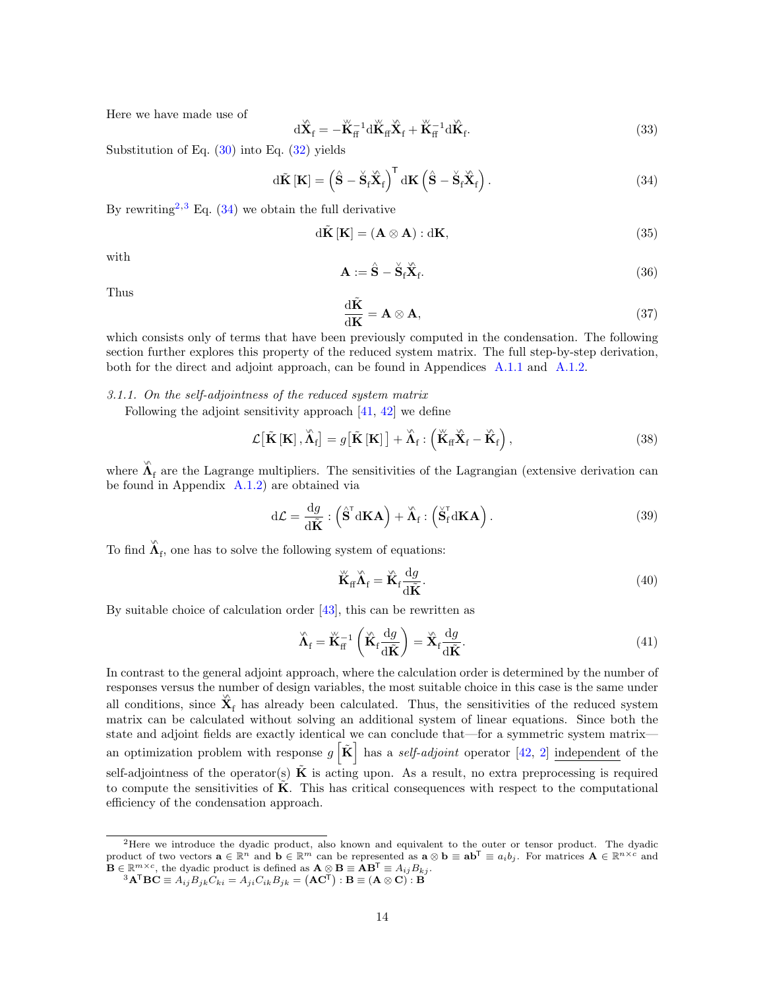Here we have made use of

<span id="page-13-4"></span>
$$
\mathrm{d}\overset{\circ}{\mathbf{X}}_{\mathbf{f}} = -\overset{\circ}{\mathbf{K}}_{\mathbf{f}}^{-1} \mathrm{d}\overset{\circ}{\mathbf{K}}_{\mathbf{f}} \overset{\circ}{\mathbf{X}}_{\mathbf{f}} + \overset{\circ}{\mathbf{K}}_{\mathbf{f}}^{-1} \mathrm{d}\overset{\circ}{\mathbf{K}}_{\mathbf{f}}.
$$
\n(33)

Substitution of Eq. [\(30\)](#page-12-0) into Eq. [\(32\)](#page-12-1) yields

<span id="page-13-2"></span>
$$
d\tilde{\mathbf{K}}\left[\mathbf{K}\right] = \left(\hat{\mathbf{S}} - \check{\mathbf{S}}_{\mathrm{f}}\check{\mathbf{X}}_{\mathrm{f}}\right)^{\mathrm{T}} d\mathbf{K}\left(\hat{\mathbf{S}} - \check{\mathbf{S}}_{\mathrm{f}}\check{\mathbf{X}}_{\mathrm{f}}\right).
$$
\n(34)

By rewriting<sup>[2](#page-13-0)[,3](#page-13-1)</sup> Eq.  $(34)$  we obtain the full derivative

<span id="page-13-10"></span>
$$
d\tilde{\mathbf{K}}\left[\mathbf{K}\right] = (\mathbf{A} \otimes \mathbf{A}) : \mathbf{d}\mathbf{K},\tag{35}
$$

with

<span id="page-13-5"></span>
$$
\mathbf{A} := \hat{\mathbf{S}} - \check{\mathbf{S}}_{\mathrm{f}} \check{\mathbf{X}}_{\mathrm{f}}.\tag{36}
$$

Thus

<span id="page-13-6"></span>
$$
\frac{\mathrm{d}\tilde{\mathbf{K}}}{\mathrm{d}\mathbf{K}} = \mathbf{A} \otimes \mathbf{A},\tag{37}
$$

which consists only of terms that have been previously computed in the condensation. The following section further explores this property of the reduced system matrix. The full step-by-step derivation, both for the direct and adjoint approach, can be found in Appendices [A.1.1](#page-29-0) and [A.1.2.](#page-30-0)

<span id="page-13-3"></span>3.1.1. On the self-adjointness of the reduced system matrix

Following the adjoint sensitivity approach [\[41,](#page-28-10) [42\]](#page-28-11) we define

<span id="page-13-7"></span>
$$
\mathcal{L}\left[\tilde{\mathbf{K}}\left[\mathbf{K}\right],\tilde{\boldsymbol{\Lambda}}_{\mathrm{f}}\right] = g\left[\tilde{\mathbf{K}}\left[\mathbf{K}\right]\right] + \tilde{\boldsymbol{\Lambda}}_{\mathrm{f}}: \left(\tilde{\mathbf{K}}_{\mathrm{ff}}\tilde{\mathbf{X}}_{\mathrm{f}} - \tilde{\mathbf{K}}_{\mathrm{f}}\right),\tag{38}
$$

where  $\hat{\Lambda}_{f}$  are the Lagrange multipliers. The sensitivities of the Lagrangian (extensive derivation can be found in Appendix [A.1.2\)](#page-30-0) are obtained via

$$
d\mathcal{L} = \frac{dg}{d\tilde{K}} : \left(\hat{S}^{\mathsf{T}} dK\mathbf{A}\right) + \tilde{\Lambda}_{\mathbf{f}} : \left(\tilde{S}_{\mathbf{f}}^{\mathsf{T}} dK\mathbf{A}\right).
$$
\n(39)

To find  $\hat{\Lambda}_{\text{f}}$ , one has to solve the following system of equations:

<span id="page-13-9"></span>
$$
\breve{\mathbf{K}}_{\text{ff}} \breve{\mathbf{\Lambda}}_{\text{f}} = \breve{\mathbf{K}}_{\text{f}} \frac{\mathrm{d}g}{\mathrm{d}\tilde{\mathbf{K}}}.\tag{40}
$$

By suitable choice of calculation order  $[43]$ , this can be rewritten as

<span id="page-13-8"></span>
$$
\hat{\mathbf{\Lambda}}_{\rm f} = \breve{\mathbf{K}}_{\rm f}^{-1} \left( \breve{\mathbf{K}}_{\rm f} \frac{\mathrm{d}g}{\mathrm{d}\tilde{\mathbf{K}}} \right) = \breve{\mathbf{X}}_{\rm f} \frac{\mathrm{d}g}{\mathrm{d}\tilde{\mathbf{K}}}.
$$
\n(41)

In contrast to the general adjoint approach, where the calculation order is determined by the number of responses versus the number of design variables, the most suitable choice in this case is the same under all conditions, since  $\hat{\mathbf{X}}_f$  has already been calculated. Thus, the sensitivities of the reduced system matrix can be calculated without solving an additional system of linear equations. Since both the state and adjoint fields are exactly identical we can conclude that—for a symmetric system matrix an optimization problem with response  $g\left[\tilde{\mathbf{K}}\right]$  has a *self-adjoint* operator [\[42,](#page-28-11) [2\]](#page-26-1) independent of the self-adjointness of the operator(s)  $\tilde{\mathbf{K}}$  is acting upon. As a result, no extra preprocessing is required to compute the sensitivities of  $K$ . This has critical consequences with respect to the computational efficiency of the condensation approach.

<span id="page-13-0"></span><sup>&</sup>lt;sup>2</sup>Here we introduce the dyadic product, also known and equivalent to the outer or tensor product. The dyadic product of two vectors  $\mathbf{a} \in \mathbb{R}^n$  and  $\mathbf{b} \in \mathbb{R}^m$  can be represented as  $\mathbf{a} \otimes \mathbf{b} \equiv \mathbf{a} \mathbf{b}^{\mathsf{T}} \equiv a_i b_j$ . For matrices  $\mathbf{A} \in \mathbb{R}^{n \times c}$  and  $\mathbf{B} \in \mathbb{R}^{m \times c}$ , the dyadic product is defined as  $\mathbf{A} \otimes \mathbf{B} \equiv \mathbf{A} \mathbf{B}^{\mathsf{T}} \equiv A_{ij} B_{kj}$ .  ${}^{3}\mathbf{A}^{\mathsf{T}}\mathbf{B}\mathbf{C} \equiv A_{ij}B_{jk}C_{ki} = A_{ji}C_{ik}B_{jk} = \left(\mathbf{A}\mathbf{C}^{\mathsf{T}}\right): \mathbf{B} \equiv \left(\mathbf{A}\otimes\mathbf{C}\right):\mathbf{B}$ 

<span id="page-13-1"></span>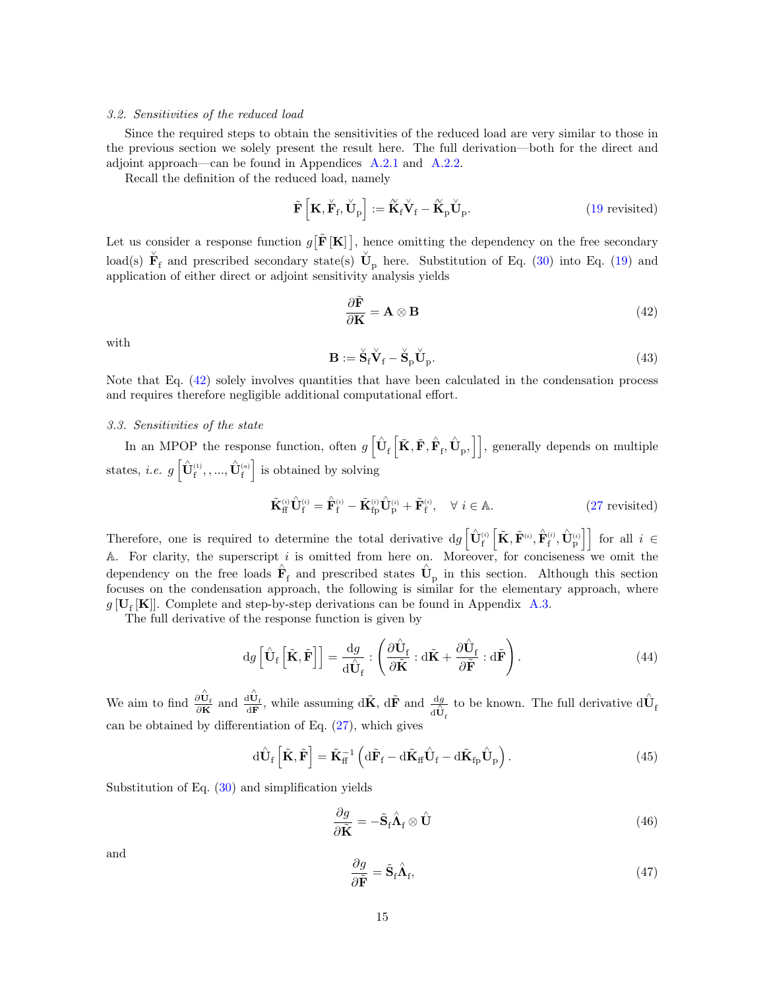# 3.2. Sensitivities of the reduced load

Since the required steps to obtain the sensitivities of the reduced load are very similar to those in the previous section we solely present the result here. The full derivation—both for the direct and adjoint approach—can be found in Appendices [A.2.1](#page-31-0) and [A.2.2.](#page-32-0)

Recall the definition of the reduced load, namely

$$
\tilde{\mathbf{F}}\left[\mathbf{K}, \check{\mathbf{F}}_{\rm f}, \check{\mathbf{U}}_{\rm p}\right] := \tilde{\mathbf{K}}_{\rm f} \check{\mathbf{V}}_{\rm f} - \tilde{\mathbf{K}}_{\rm p} \check{\mathbf{U}}_{\rm p}.
$$
\n(19 revisited)

Let us consider a response function  $g[\tilde{\mathbf{F}}[\mathbf{K}]]$ , hence omitting the dependency on the free secondary load(s)  $\check{\mathbf{F}}_f$  and prescribed secondary state(s)  $\check{\mathbf{U}}_p$  here. Substitution of Eq. [\(30\)](#page-12-0) into Eq. [\(19\)](#page-8-5) and application of either direct or adjoint sensitivity analysis yields

<span id="page-14-0"></span>
$$
\frac{\partial \tilde{\mathbf{F}}}{\partial \mathbf{K}} = \mathbf{A} \otimes \mathbf{B} \tag{42}
$$

with

<span id="page-14-1"></span>
$$
\mathbf{B} := \check{\mathbf{S}}_{\mathrm{f}} \check{\mathbf{V}}_{\mathrm{f}} - \check{\mathbf{S}}_{\mathrm{p}} \check{\mathbf{U}}_{\mathrm{p}}.\tag{43}
$$

Note that Eq.  $(42)$  solely involves quantities that have been calculated in the condensation process and requires therefore negligible additional computational effort.

# 3.3. Sensitivities of the state

In an MPOP the response function, often  $g\left[\hat{\mathbf{U}}_{\text{f}}\left[\tilde{\mathbf{K}}, \tilde{\mathbf{F}}, \hat{\mathbf{F}}_{\text{f}}, \hat{\mathbf{U}}_{\text{p}}, \right]\right]$ , generally depends on multiple states, *i.e.*  $g\left[\hat{\mathbf{U}}_{\text{f}}^{(1)}, ..., \hat{\mathbf{U}}_{\text{f}}^{(a)}\right]$  is obtained by solving

$$
\tilde{\mathbf{K}}_{\rm ff}^{(i)} \hat{\mathbf{U}}_{\rm f}^{(i)} = \hat{\mathbf{F}}_{\rm f}^{(i)} - \tilde{\mathbf{K}}_{\rm fp}^{(i)} \hat{\mathbf{U}}_{\rm p}^{(i)} + \tilde{\mathbf{F}}_{\rm f}^{(i)}, \quad \forall \ i \in \mathbb{A}.
$$
\n(27 revisited)

Therefore, one is required to determine the total derivative  $dg\left[\hat{\mathbf{U}}_{f}^{(i)}\left[\tilde{\mathbf{K}}, \tilde{\mathbf{F}}^{(i)}, \hat{\mathbf{F}}_{f}^{(i)}, \hat{\mathbf{U}}_{p}^{(i)}\right]\right]$  for all  $i \in$ A. For clarity, the superscript i is omitted from here on. Moreover, for conciseness we omit the dependency on the free loads  $\hat{\mathbf{F}}_f$  and prescribed states  $\hat{\mathbf{U}}_p$  in this section. Although this section focuses on the condensation approach, the following is similar for the elementary approach, where  $g[\mathbf{U}_{\mathrm{f}}[\mathbf{K}]]$ . Complete and step-by-step derivations can be found in Appendix [A.3.](#page-32-1)

The full derivative of the response function is given by

<span id="page-14-2"></span>
$$
dg\left[\hat{\mathbf{U}}_{\mathrm{f}}\left[\tilde{\mathbf{K}},\tilde{\mathbf{F}}\right]\right]=\frac{dg}{d\hat{\mathbf{U}}_{\mathrm{f}}}\,:\left(\frac{\partial\hat{\mathbf{U}}_{\mathrm{f}}}{\partial\tilde{\mathbf{K}}}\,:\mathrm{d}\tilde{\mathbf{K}}+\frac{\partial\hat{\mathbf{U}}_{\mathrm{f}}}{\partial\tilde{\mathbf{F}}}\,:\mathrm{d}\tilde{\mathbf{F}}\right). \tag{44}
$$

We aim to find  $\frac{\partial \hat{U}_f}{\partial \tilde{K}}$  and  $\frac{d\hat{U}_f}{d\tilde{F}}$ , while assuming  $d\tilde{K}$ ,  $d\tilde{F}$  and  $\frac{dg}{d\hat{U}_f}$ to be known. The full derivative  $\mathrm{d} \hat{\mathbf{U}}_\text{f}$ can be obtained by differentiation of Eq.  $(27)$ , which gives

$$
\mathrm{d}\hat{\mathbf{U}}_{\mathrm{f}}\left[\tilde{\mathbf{K}}, \tilde{\mathbf{F}}\right] = \tilde{\mathbf{K}}_{\mathrm{f}}^{-1} \left( \mathrm{d}\tilde{\mathbf{F}}_{\mathrm{f}} - \mathrm{d}\tilde{\mathbf{K}}_{\mathrm{f}\mathrm{f}} \hat{\mathbf{U}}_{\mathrm{f}} - \mathrm{d}\tilde{\mathbf{K}}_{\mathrm{f}\mathrm{p}} \hat{\mathbf{U}}_{\mathrm{p}} \right). \tag{45}
$$

Substitution of Eq. [\(30\)](#page-12-0) and simplification yields

$$
\frac{\partial g}{\partial \tilde{\mathbf{K}}} = -\tilde{\mathbf{S}}_{\text{f}} \hat{\mathbf{\Lambda}}_{\text{f}} \otimes \hat{\mathbf{U}} \tag{46}
$$

and

$$
\frac{\partial g}{\partial \tilde{\mathbf{F}}} = \tilde{\mathbf{S}}_{\text{f}} \hat{\mathbf{\Lambda}}_{\text{f}},\tag{47}
$$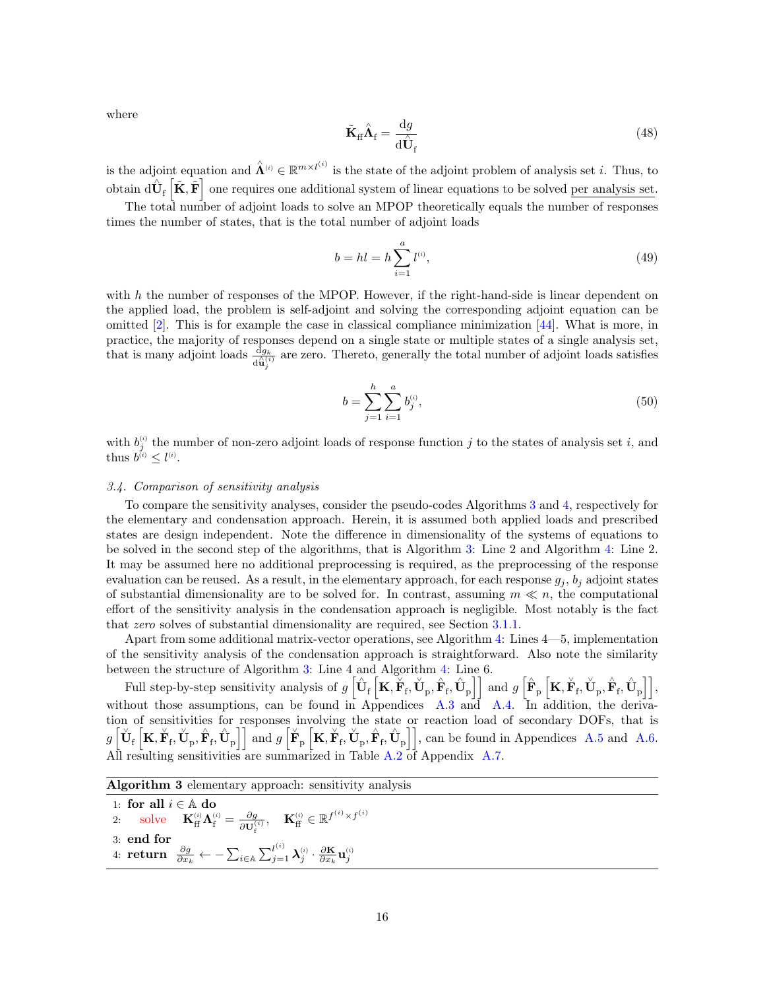where

<span id="page-15-1"></span>
$$
\tilde{\mathbf{K}}_{\rm ff} \hat{\mathbf{\Lambda}}_{\rm f} = \frac{\mathrm{d}g}{\mathrm{d}\hat{\mathbf{U}}_{\rm f}} \tag{48}
$$

is the adjoint equation and  $\hat{\Lambda}^{(i)} \in \mathbb{R}^{m \times l^{(i)}}$  is the state of the adjoint problem of analysis set i. Thus, to obtain  $d\hat{\mathbf{U}}_f\left[\tilde{\mathbf{K}}, \tilde{\mathbf{F}}\right]$  one requires one additional system of linear equations to be solved per analysis set.

The total number of adjoint loads to solve an MPOP theoretically equals the number of responses times the number of states, that is the total number of adjoint loads

$$
b = hl = h \sum_{i=1}^{a} l^{(i)},
$$
\n(49)

with  $h$  the number of responses of the MPOP. However, if the right-hand-side is linear dependent on the applied load, the problem is self-adjoint and solving the corresponding adjoint equation can be omitted  $[2]$ . This is for example the case in classical compliance minimization  $[44]$ . What is more, in practice, the majority of responses depend on a single state or multiple states of a single analysis set, that is many adjoint loads  $\frac{dg_k}{d\hat{u}_j^{(i)}}$  are zero. Thereto, generally the total number of adjoint loads satisfies

$$
b = \sum_{j=1}^{h} \sum_{i=1}^{a} b_j^{(i)},\tag{50}
$$

with  $b_j^{(i)}$  the number of non-zero adjoint loads of response function j to the states of analysis set i, and thus  $b^{(i)} \leq l^{(i)}$ .

# 3.4. Comparison of sensitivity analysis

To compare the sensitivity analyses, consider the pseudo-codes Algorithms [3](#page-15-0) and [4,](#page-16-1) respectively for the elementary and condensation approach. Herein, it is assumed both applied loads and prescribed states are design independent. Note the difference in dimensionality of the systems of equations to be solved in the second step of the algorithms, that is Algorithm [3:](#page-15-0) Line 2 and Algorithm [4:](#page-16-1) Line 2. It may be assumed here no additional preprocessing is required, as the preprocessing of the response evaluation can be reused. As a result, in the elementary approach, for each response  $g_i$ ,  $b_i$  adjoint states of substantial dimensionality are to be solved for. In contrast, assuming  $m \ll n$ , the computational effort of the sensitivity analysis in the condensation approach is negligible. Most notably is the fact that *zero* solves of substantial dimensionality are required, see Section [3.1.1.](#page-13-3)

Apart from some additional matrix-vector operations, see Algorithm [4:](#page-16-1) Lines 4—5, implementation of the sensitivity analysis of the condensation approach is straightforward. Also note the similarity between the structure of Algorithm [3:](#page-15-0) Line 4 and Algorithm [4:](#page-16-1) Line 6.

Full step-by-step sensitivity analysis of  $g\left[\hat{\mathbf{U}}_{\text{f}}\left[\mathbf{K}, \breve{\mathbf{F}}_{\text{f}}, \breve{\mathbf{U}}_{\text{p}}, \hat{\mathbf{F}}_{\text{f}}, \hat{\mathbf{U}}_{\text{p}}\right]\right]$  and  $g\left[\hat{\mathbf{F}}_{\text{p}}\left[\mathbf{K}, \breve{\mathbf{F}}_{\text{f}}, \breve{\mathbf{U}}_{\text{p}}, \hat{\mathbf{F}}_{\text{f}}, \hat{\mathbf{U}}_{\text{p}}$ without those assumptions, can be found in Appendices [A.3](#page-32-1) and [A.4.](#page-33-0) In addition, the derivation of sensitivities for responses involving the state or reaction load of secondary DOFs, that is  $g\left[\breve{\mathbf{U}}_{\text{f}}\left[\mathbf{K}, \breve{\mathbf{F}}_{\text{f}}, \hat{\mathbf{U}}_{\text{p}}\right]\right]$  and  $g\left[\breve{\mathbf{F}}_{\text{p}}\left[\mathbf{K}, \breve{\mathbf{F}}_{\text{f}}, \breve{\mathbf{U}}_{\text{p}}, \hat{\mathbf{F}}_{\text{f}}, \hat{\mathbf{U}}_{\text{p}}\right]\right]$ , can be found in Appendices [A.5](#page-35-0) and [A.6.](#page-36-0) All resulting sensitivities are summarized in Table [A.2](#page-38-0) of Appendix [A.7.](#page-38-1)

Algorithm 3 elementary approach: sensitivity analysis

<span id="page-15-0"></span>1: for all i ∈ A do 2: solve  $\mathbf{K}_{\text{ff}}^{(i)} \mathbf{\Lambda}_{\text{f}}^{(i)} = \frac{\partial g}{\partial \mathbf{I}^{\text{f}}}$  $\frac{\partial g}{\partial \mathbf{U}_{\rm f}^{(i)}}, \quad \mathbf{K}_{\rm ff}^{(i)} \in \mathbb{R}^{f^{(i)} \times f^{(i)}}$ 3: end for  $\mathcal{O} \subset \mathcal{C}_f$ 4: return  $\frac{\partial g}{\partial x_k} \leftarrow -\sum_{i \in \mathbb{A}} \sum_{j=1}^{l^{(i)}} \boldsymbol{\lambda}_j^{_{(i)}} \cdot \frac{\partial \mathbf{K}}{\partial x_k} \mathbf{u}_j^{_{(i)}}$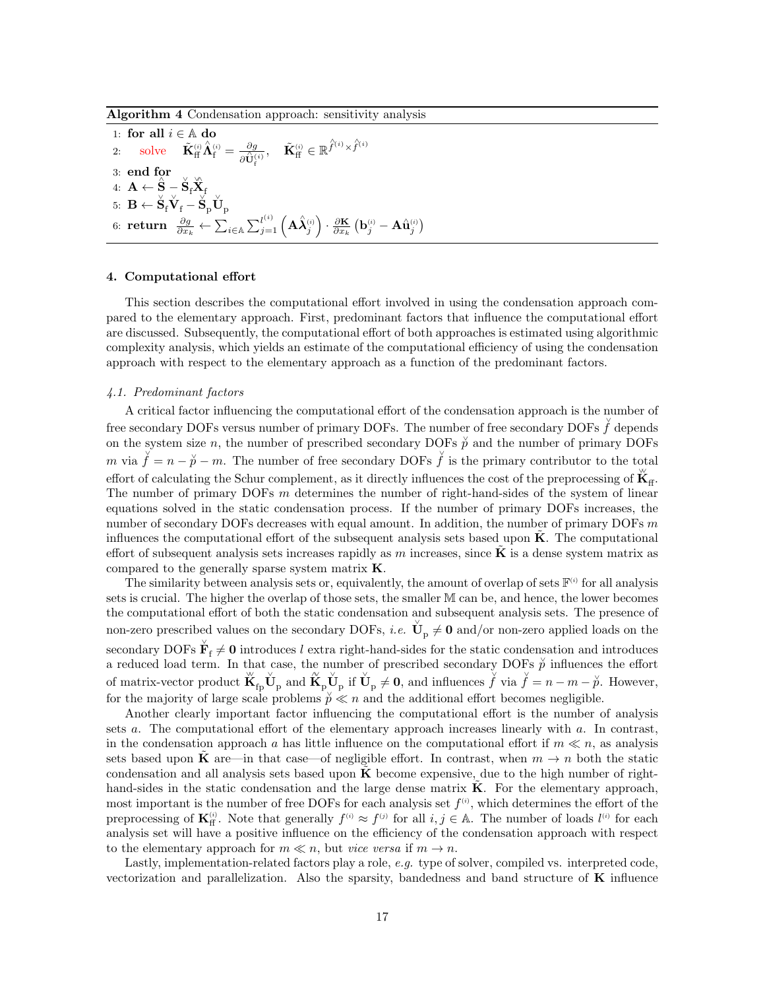Algorithm 4 Condensation approach: sensitivity analysis

<span id="page-16-1"></span>1: for all  $i \in \mathbb{A}$  do 2: solve  $\tilde{\mathbf{K}}_\text{ff}^{(i)}$  $\hat{\mathbf{\Lambda}}_{\rm f}^{\scriptscriptstyle(i)}=\frac{\partial g}{\mathbf{a}_{\rm\mathbf{I}}^{\mathbf{A}}\mathbf{I}}$  $\overline{\partial \hat{\mathbf{U}}_{\text{f}}^{(i)}}$  $\tilde{\mathbf{K}}_\text{ff}^{_{(i)}} \in \mathbb{R}^{\hat{f}^{(i)} \times \hat{f}^{(i)}}$ 3: end for 4:  $\mathbf{A} \leftarrow \hat{\mathbf{S}} - \breve{\mathbf{S}}_\mathrm{f} \breve{\mathbf{X}}_\mathrm{f}$  $\mathrm{5:}\;\; \mathbf{B} \leftarrow \check{\mathbf{S}}_{\mathrm{f}}\check{\mathbf{V}}_{\mathrm{f}} - \check{\mathbf{S}}_{\mathrm{p}}\check{\mathbf{U}}_{\mathrm{p}}$  $\displaystyle 6\colon \mathbf{return}\;\; \frac{\partial g}{\partial x_k} \leftarrow \sum_{i\in \mathbb{A}} \sum_{j=1}^{l^{(i)}} \left(\mathbf{A}\hat{\bm{\lambda}}_j^{_{(i)}}\right)\cdot \frac{\partial \mathbf{K}}{\partial x_k} \left(\mathbf{b}_j^{_{(i)}}-\mathbf{A}\hat{\mathbf{u}}_j^{_{(i)}}\right)$ 

### <span id="page-16-0"></span>4. Computational effort

This section describes the computational effort involved in using the condensation approach compared to the elementary approach. First, predominant factors that influence the computational effort are discussed. Subsequently, the computational effort of both approaches is estimated using algorithmic complexity analysis, which yields an estimate of the computational efficiency of using the condensation approach with respect to the elementary approach as a function of the predominant factors.

# 4.1. Predominant factors

A critical factor influencing the computational effort of the condensation approach is the number of free secondary DOFs versus number of primary DOFs. The number of free secondary DOFs  $\check{f}$  depends on the system size n, the number of prescribed secondary DOFs  $\check{p}$  and the number of primary DOFs m via  $\check{f} = n - \check{p} - m$ . The number of free secondary DOFs  $\check{f}$  is the primary contributor to the total effort of calculating the Schur complement, as it directly influences the cost of the preprocessing of  $\mathbf{K}_{\text{ff}}$ . The number of primary DOFs m determines the number of right-hand-sides of the system of linear equations solved in the static condensation process. If the number of primary DOFs increases, the number of secondary DOFs decreases with equal amount. In addition, the number of primary DOFs m influences the computational effort of the subsequent analysis sets based upon  $\bf{K}$ . The computational effort of subsequent analysis sets increases rapidly as m increases, since  $\bf{K}$  is a dense system matrix as compared to the generally sparse system matrix  $\bf{K}$ .

The similarity between analysis sets or, equivalently, the amount of overlap of sets  $\mathbb{F}^{(i)}$  for all analysis sets is crucial. The higher the overlap of those sets, the smaller M can be, and hence, the lower becomes the computational effort of both the static condensation and subsequent analysis sets. The presence of non-zero prescribed values on the secondary DOFs, *i.e.*  $\check{U}_p \neq 0$  and/or non-zero applied loads on the secondary DOFs  $\check{\mathbf{F}}_f \neq \mathbf{0}$  introduces l extra right-hand-sides for the static condensation and introduces a reduced load term. In that case, the number of prescribed secondary DOFs  $\check{p}$  influences the effort of matrix-vector product  $\breve{K}_{fp} \breve{U}_p$  and  $\widetilde{K}_p \breve{U}_p$  if  $\breve{U}_p \neq 0$ , and influences  $\breve{f}$  via  $\breve{f} = n - m - \breve{p}$ . However, for the majority of large scale problems  $\check{p} \ll n$  and the additional effort becomes negligible.

Another clearly important factor influencing the computational effort is the number of analysis sets a. The computational effort of the elementary approach increases linearly with a. In contrast, in the condensation approach a has little influence on the computational effort if  $m \ll n$ , as analysis sets based upon K are—in that case—of negligible effort. In contrast, when  $m \to n$  both the static condensation and all analysis sets based upon  $\bf{K}$  become expensive, due to the high number of righthand-sides in the static condensation and the large dense matrix  $\bf{K}$ . For the elementary approach, most important is the number of free DOFs for each analysis set  $f^{(i)}$ , which determines the effort of the preprocessing of  $\mathbf{K}_{\text{ff}}^{(i)}$ . Note that generally  $f^{(i)} \approx f^{(j)}$  for all  $i, j \in \mathbb{A}$ . The number of loads  $l^{(i)}$  for each analysis set will have a positive influence on the efficiency of the condensation approach with respect to the elementary approach for  $m \ll n$ , but vice versa if  $m \to n$ .

Lastly, implementation-related factors play a role, e.g. type of solver, compiled vs. interpreted code, vectorization and parallelization. Also the sparsity, bandedness and band structure of  $\bf{K}$  influence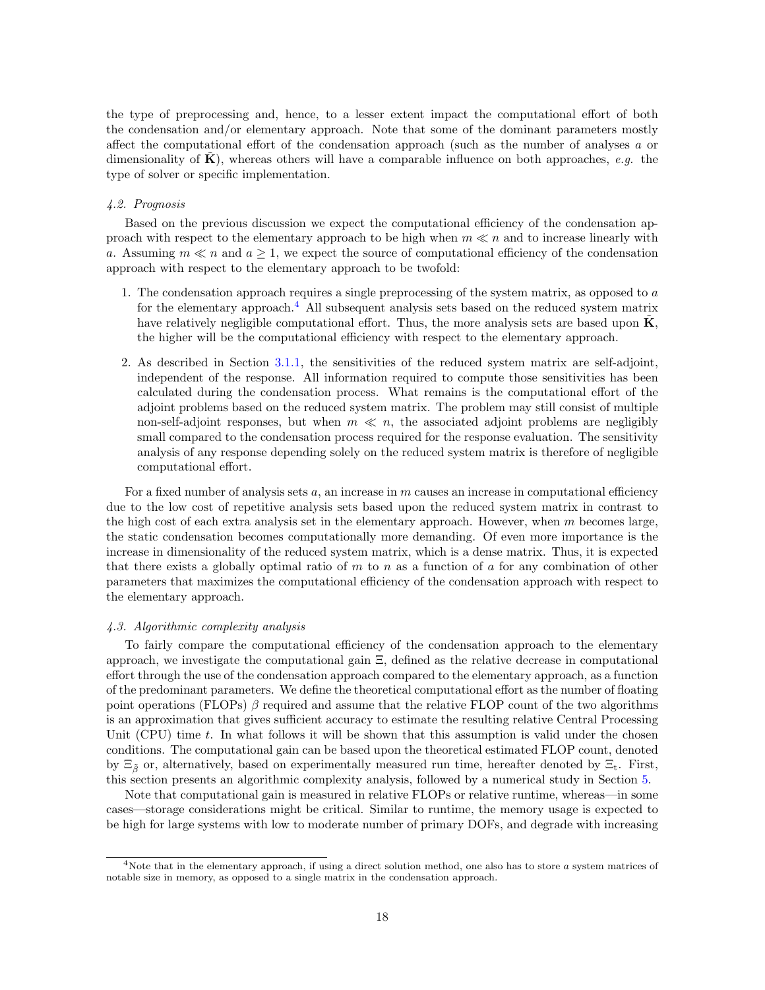the type of preprocessing and, hence, to a lesser extent impact the computational effort of both the condensation and/or elementary approach. Note that some of the dominant parameters mostly affect the computational effort of the condensation approach (such as the number of analyses  $a$  or dimensionality of  $\hat{\mathbf{K}}$ ), whereas others will have a comparable influence on both approaches, e.g. the type of solver or specific implementation.

# 4.2. Prognosis

Based on the previous discussion we expect the computational efficiency of the condensation approach with respect to the elementary approach to be high when  $m \ll n$  and to increase linearly with a. Assuming  $m \ll n$  and  $a \geq 1$ , we expect the source of computational efficiency of the condensation approach with respect to the elementary approach to be twofold:

- 1. The condensation approach requires a single preprocessing of the system matrix, as opposed to a for the elementary approach.<sup>[4](#page-17-0)</sup> All subsequent analysis sets based on the reduced system matrix have relatively negligible computational effort. Thus, the more analysis sets are based upon  $\mathbf{K}$ . the higher will be the computational efficiency with respect to the elementary approach.
- 2. As described in Section [3.1.1,](#page-13-3) the sensitivities of the reduced system matrix are self-adjoint, independent of the response. All information required to compute those sensitivities has been calculated during the condensation process. What remains is the computational effort of the adjoint problems based on the reduced system matrix. The problem may still consist of multiple non-self-adjoint responses, but when  $m \ll n$ , the associated adjoint problems are negligibly small compared to the condensation process required for the response evaluation. The sensitivity analysis of any response depending solely on the reduced system matrix is therefore of negligible computational effort.

For a fixed number of analysis sets  $a$ , an increase in m causes an increase in computational efficiency due to the low cost of repetitive analysis sets based upon the reduced system matrix in contrast to the high cost of each extra analysis set in the elementary approach. However, when  $m$  becomes large, the static condensation becomes computationally more demanding. Of even more importance is the increase in dimensionality of the reduced system matrix, which is a dense matrix. Thus, it is expected that there exists a globally optimal ratio of m to n as a function of a for any combination of other parameters that maximizes the computational efficiency of the condensation approach with respect to the elementary approach.

# 4.3. Algorithmic complexity analysis

To fairly compare the computational efficiency of the condensation approach to the elementary approach, we investigate the computational gain Ξ, defined as the relative decrease in computational effort through the use of the condensation approach compared to the elementary approach, as a function of the predominant parameters. We define the theoretical computational effort as the number of floating point operations (FLOPs)  $\beta$  required and assume that the relative FLOP count of the two algorithms is an approximation that gives sufficient accuracy to estimate the resulting relative Central Processing Unit (CPU) time t. In what follows it will be shown that this assumption is valid under the chosen conditions. The computational gain can be based upon the theoretical estimated FLOP count, denoted by  $\Xi_{\tilde{\beta}}$  or, alternatively, based on experimentally measured run time, hereafter denoted by  $\Xi_t$ . First, this section presents an algorithmic complexity analysis, followed by a numerical study in Section [5.](#page-19-0)

Note that computational gain is measured in relative FLOPs or relative runtime, whereas—in some cases—storage considerations might be critical. Similar to runtime, the memory usage is expected to be high for large systems with low to moderate number of primary DOFs, and degrade with increasing

<span id="page-17-0"></span> $4$ Note that in the elementary approach, if using a direct solution method, one also has to store  $a$  system matrices of notable size in memory, as opposed to a single matrix in the condensation approach.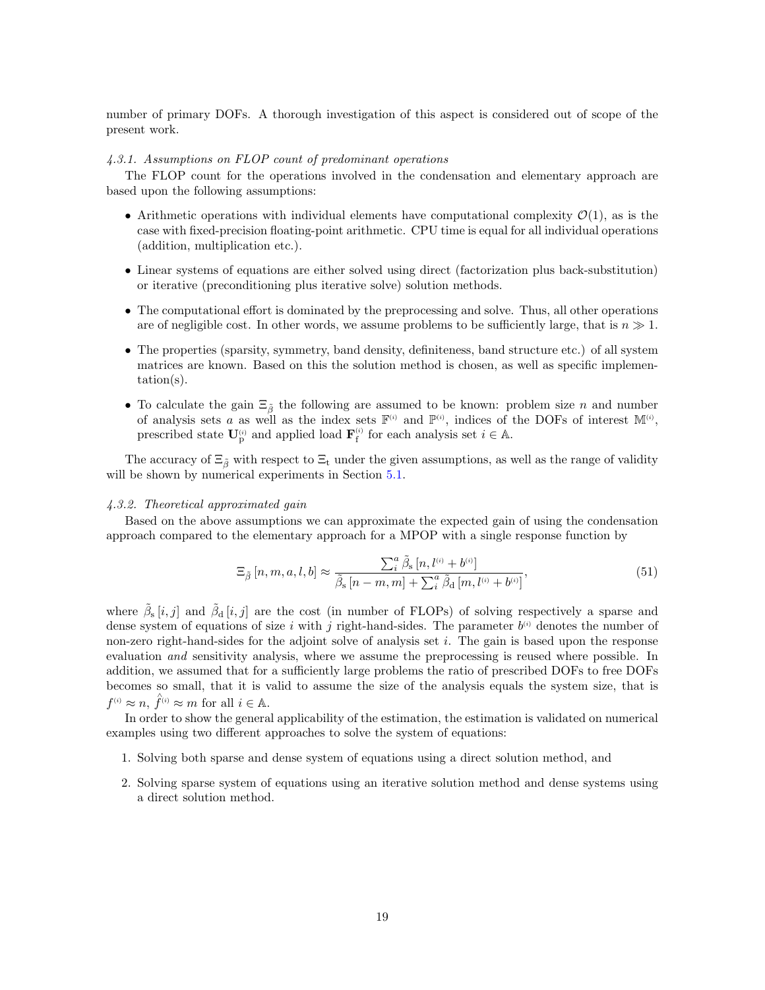number of primary DOFs. A thorough investigation of this aspect is considered out of scope of the present work.

# 4.3.1. Assumptions on FLOP count of predominant operations

The FLOP count for the operations involved in the condensation and elementary approach are based upon the following assumptions:

- Arithmetic operations with individual elements have computational complexity  $\mathcal{O}(1)$ , as is the case with fixed-precision floating-point arithmetic. CPU time is equal for all individual operations (addition, multiplication etc.).
- Linear systems of equations are either solved using direct (factorization plus back-substitution) or iterative (preconditioning plus iterative solve) solution methods.
- The computational effort is dominated by the preprocessing and solve. Thus, all other operations are of negligible cost. In other words, we assume problems to be sufficiently large, that is  $n \gg 1$ .
- The properties (sparsity, symmetry, band density, definiteness, band structure etc.) of all system matrices are known. Based on this the solution method is chosen, as well as specific implementation(s).
- To calculate the gain  $\Xi_{\tilde{\beta}}$  the following are assumed to be known: problem size n and number of analysis sets a as well as the index sets  $\mathbb{F}^{(i)}$  and  $\mathbb{P}^{(i)}$ , indices of the DOFs of interest  $\mathbb{M}^{(i)}$ , prescribed state  $\mathbf{U}_{\mathrm{p}}^{(i)}$  and applied load  $\mathbf{F}_{\mathrm{f}}^{(i)}$  for each analysis set  $i \in \mathbb{A}$ .

The accuracy of  $\Xi_{\tilde{\beta}}$  with respect to  $\Xi_t$  under the given assumptions, as well as the range of validity will be shown by numerical experiments in Section [5.1.](#page-20-0)

#### 4.3.2. Theoretical approximated gain

Based on the above assumptions we can approximate the expected gain of using the condensation approach compared to the elementary approach for a MPOP with a single response function by

<span id="page-18-0"></span>
$$
\Xi_{\tilde{\beta}}\left[n,m,a,l,b\right] \approx \frac{\sum_{i}^{a} \tilde{\beta}_{\rm s}\left[n,l^{(i)}+b^{(i)}\right]}{\tilde{\beta}_{\rm s}\left[n-m,m\right]+\sum_{i}^{a} \tilde{\beta}_{\rm d}\left[m,l^{(i)}+b^{(i)}\right]},\tag{51}
$$

where  $\tilde{\beta}_{s}[i,j]$  and  $\tilde{\beta}_{d}[i,j]$  are the cost (in number of FLOPs) of solving respectively a sparse and dense system of equations of size i with j right-hand-sides. The parameter  $b^{(i)}$  denotes the number of non-zero right-hand-sides for the adjoint solve of analysis set  $i$ . The gain is based upon the response evaluation and sensitivity analysis, where we assume the preprocessing is reused where possible. In addition, we assumed that for a sufficiently large problems the ratio of prescribed DOFs to free DOFs becomes so small, that it is valid to assume the size of the analysis equals the system size, that is  $f^{(i)} \approx n, \hat{f}^{(i)} \approx m$  for all  $i \in \mathbb{A}$ .

In order to show the general applicability of the estimation, the estimation is validated on numerical examples using two different approaches to solve the system of equations:

- 1. Solving both sparse and dense system of equations using a direct solution method, and
- 2. Solving sparse system of equations using an iterative solution method and dense systems using a direct solution method.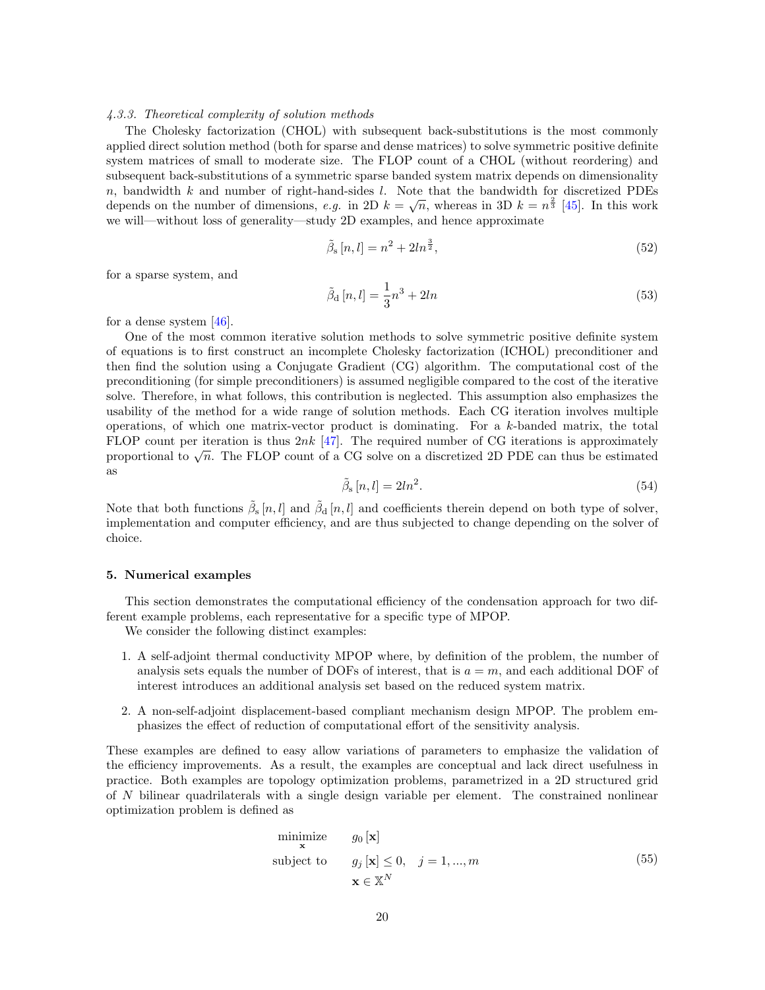#### 4.3.3. Theoretical complexity of solution methods

The Cholesky factorization (CHOL) with subsequent back-substitutions is the most commonly applied direct solution method (both for sparse and dense matrices) to solve symmetric positive definite system matrices of small to moderate size. The FLOP count of a CHOL (without reordering) and subsequent back-substitutions of a symmetric sparse banded system matrix depends on dimensionality  $n$ , bandwidth k and number of right-hand-sides l. Note that the bandwidth for discretized PDEs *n*, bandwidth *n* and number of dimensions, e.g. in 2D  $k = \sqrt{n}$ , whereas in 3D  $k = n^{\frac{2}{3}}$  [\[45\]](#page-28-14). In this work we will—without loss of generality—study 2D examples, and hence approximate

$$
\tilde{\beta}_{s}[n,l] = n^2 + 2ln^{\frac{3}{2}},\tag{52}
$$

for a sparse system, and

$$
\tilde{\beta}_{\mathbf{d}}\left[n,l\right] = \frac{1}{3}n^3 + 2ln\tag{53}
$$

for a dense system [\[46\]](#page-28-15).

One of the most common iterative solution methods to solve symmetric positive definite system of equations is to first construct an incomplete Cholesky factorization (ICHOL) preconditioner and then find the solution using a Conjugate Gradient (CG) algorithm. The computational cost of the preconditioning (for simple preconditioners) is assumed negligible compared to the cost of the iterative solve. Therefore, in what follows, this contribution is neglected. This assumption also emphasizes the usability of the method for a wide range of solution methods. Each CG iteration involves multiple operations, of which one matrix-vector product is dominating. For a  $k$ -banded matrix, the total FLOP count per iteration is thus  $2nk$  [\[47\]](#page-28-16). The required number of CG iterations is approximately proportional to  $\sqrt{n}$ . The FLOP count of a CG solve on a discretized 2D PDE can thus be estimated proportional to  $\sqrt{n}$ . The FLOP count of a CG solve on a discretized 2D PDE can thus be estimated as

$$
\tilde{\beta}_{\rm s}[n,l] = 2ln^2. \tag{54}
$$

Note that both functions  $\tilde{\beta}_{s}[n,l]$  and  $\tilde{\beta}_{d}[n,l]$  and coefficients therein depend on both type of solver, implementation and computer efficiency, and are thus subjected to change depending on the solver of choice.

# <span id="page-19-0"></span>5. Numerical examples

This section demonstrates the computational efficiency of the condensation approach for two different example problems, each representative for a specific type of MPOP.

We consider the following distinct examples:

- 1. A self-adjoint thermal conductivity MPOP where, by definition of the problem, the number of analysis sets equals the number of DOFs of interest, that is  $a = m$ , and each additional DOF of interest introduces an additional analysis set based on the reduced system matrix.
- 2. A non-self-adjoint displacement-based compliant mechanism design MPOP. The problem emphasizes the effect of reduction of computational effort of the sensitivity analysis.

These examples are defined to easy allow variations of parameters to emphasize the validation of the efficiency improvements. As a result, the examples are conceptual and lack direct usefulness in practice. Both examples are topology optimization problems, parametrized in a 2D structured grid of N bilinear quadrilaterals with a single design variable per element. The constrained nonlinear optimization problem is defined as

$$
\begin{array}{ll}\n\text{minimize} & g_0 \left[ \mathbf{x} \right] \\
\text{subject to} & g_j \left[ \mathbf{x} \right] \leq 0, \quad j = 1, \dots, m \\
& \mathbf{x} \in \mathbb{X}^N\n\end{array} \tag{55}
$$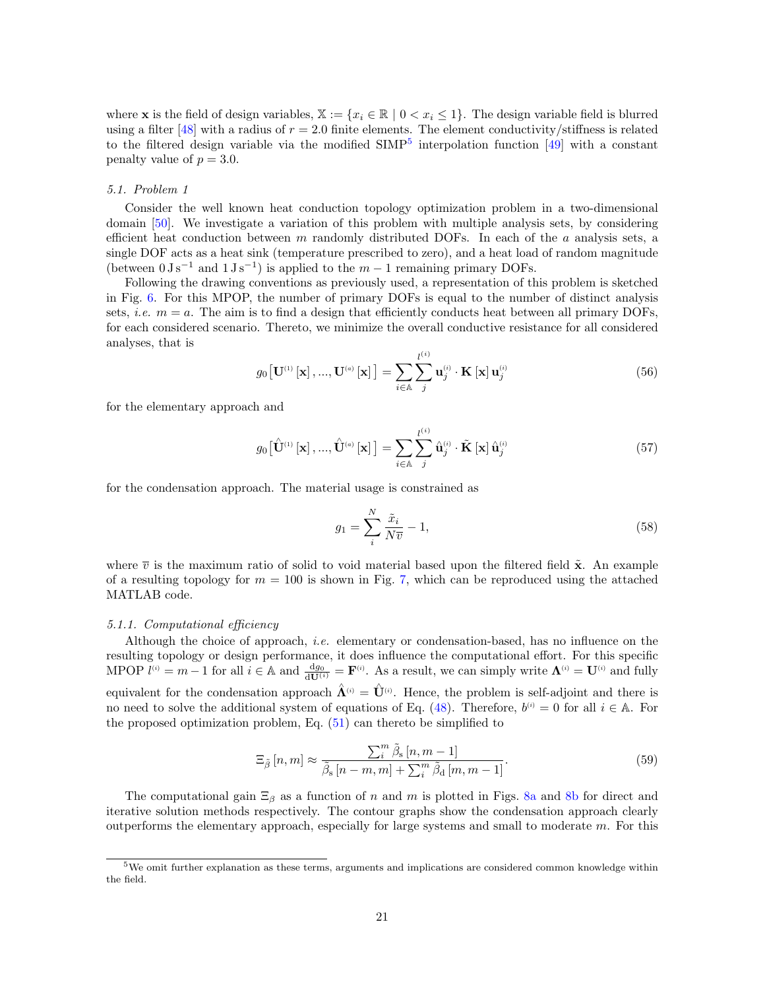where **x** is the field of design variables,  $\mathbb{X} := \{x_i \in \mathbb{R} \mid 0 < x_i \leq 1\}$ . The design variable field is blurred using a filter [\[48\]](#page-28-17) with a radius of  $r = 2.0$  finite elements. The element conductivity/stiffness is related to the filtered design variable via the modified  $SIMP<sup>5</sup>$  $SIMP<sup>5</sup>$  $SIMP<sup>5</sup>$  interpolation function [\[49\]](#page-28-18) with a constant penalty value of  $p = 3.0$ .

#### <span id="page-20-0"></span>5.1. Problem 1

Consider the well known heat conduction topology optimization problem in a two-dimensional domain [\[50\]](#page-28-19). We investigate a variation of this problem with multiple analysis sets, by considering efficient heat conduction between  $m$  randomly distributed DOFs. In each of the  $a$  analysis sets, a single DOF acts as a heat sink (temperature prescribed to zero), and a heat load of random magnitude (between  $0 \text{ J s}^{-1}$  and  $1 \text{ J s}^{-1}$ ) is applied to the  $m-1$  remaining primary DOFs.

Following the drawing conventions as previously used, a representation of this problem is sketched in Fig. [6.](#page-21-0) For this MPOP, the number of primary DOFs is equal to the number of distinct analysis sets, *i.e.*  $m = a$ . The aim is to find a design that efficiently conducts heat between all primary DOFs, for each considered scenario. Thereto, we minimize the overall conductive resistance for all considered analyses, that is

$$
g_0\left[\mathbf{U}^{(1)}\left[\mathbf{x}\right],...,\mathbf{U}^{(a)}\left[\mathbf{x}\right]\right] = \sum_{i \in \mathbb{A}} \sum_{j}^{l^{(i)}} \mathbf{u}_{j}^{(i)} \cdot \mathbf{K}\left[\mathbf{x}\right] \mathbf{u}_{j}^{(i)}
$$
(56)

for the elementary approach and

$$
g_0\big[\hat{\mathbf{U}}^{(1)}\left[\mathbf{x}\right],...,\hat{\mathbf{U}}^{(a)}\left[\mathbf{x}\right]\big] = \sum_{i \in \mathbb{A}} \sum_{j}^{l^{(i)}} \hat{\mathbf{u}}_j^{(i)} \cdot \tilde{\mathbf{K}}\left[\mathbf{x}\right] \hat{\mathbf{u}}_j^{(i)}
$$
(57)

for the condensation approach. The material usage is constrained as

$$
g_1 = \sum_{i}^{N} \frac{\tilde{x}_i}{N\overline{v}} - 1,\tag{58}
$$

where  $\bar{v}$  is the maximum ratio of solid to void material based upon the filtered field  $\tilde{x}$ . An example of a resulting topology for  $m = 100$  is shown in Fig. [7,](#page-21-1) which can be reproduced using the attached MATLAB code.

#### 5.1.1. Computational efficiency

Although the choice of approach, *i.e.* elementary or condensation-based, has no influence on the resulting topology or design performance, it does influence the computational effort. For this specific MPOP  $l^{(i)} = m - 1$  for all  $i \in \mathbb{A}$  and  $\frac{dg_0}{d\mathbf{U}^{(i)}} = \mathbf{F}^{(i)}$ . As a result, we can simply write  $\mathbf{\Lambda}^{(i)} = \mathbf{U}^{(i)}$  and fully equivalent for the condensation approach  $\hat{\Lambda}^{(i)} = \hat{U}^{(i)}$ . Hence, the problem is self-adjoint and there is no need to solve the additional system of equations of Eq. [\(48\)](#page-15-1). Therefore,  $b^{(i)} = 0$  for all  $i \in A$ . For the proposed optimization problem, Eq.  $(51)$  can thereto be simplified to

$$
\Xi_{\tilde{\beta}}\left[n,m\right] \approx \frac{\sum_{i}^{m} \tilde{\beta}_{\rm s}\left[n,m-1\right]}{\tilde{\beta}_{\rm s}\left[n-m,m\right]+\sum_{i}^{m} \tilde{\beta}_{\rm d}\left[m,m-1\right]}.\tag{59}
$$

The computational gain  $\Xi_\beta$  as a function of n and m is plotted in Figs. [8a](#page-22-0) and [8b](#page-22-0) for direct and iterative solution methods respectively. The contour graphs show the condensation approach clearly outperforms the elementary approach, especially for large systems and small to moderate  $m$ . For this

<span id="page-20-1"></span><sup>5</sup>We omit further explanation as these terms, arguments and implications are considered common knowledge within the field.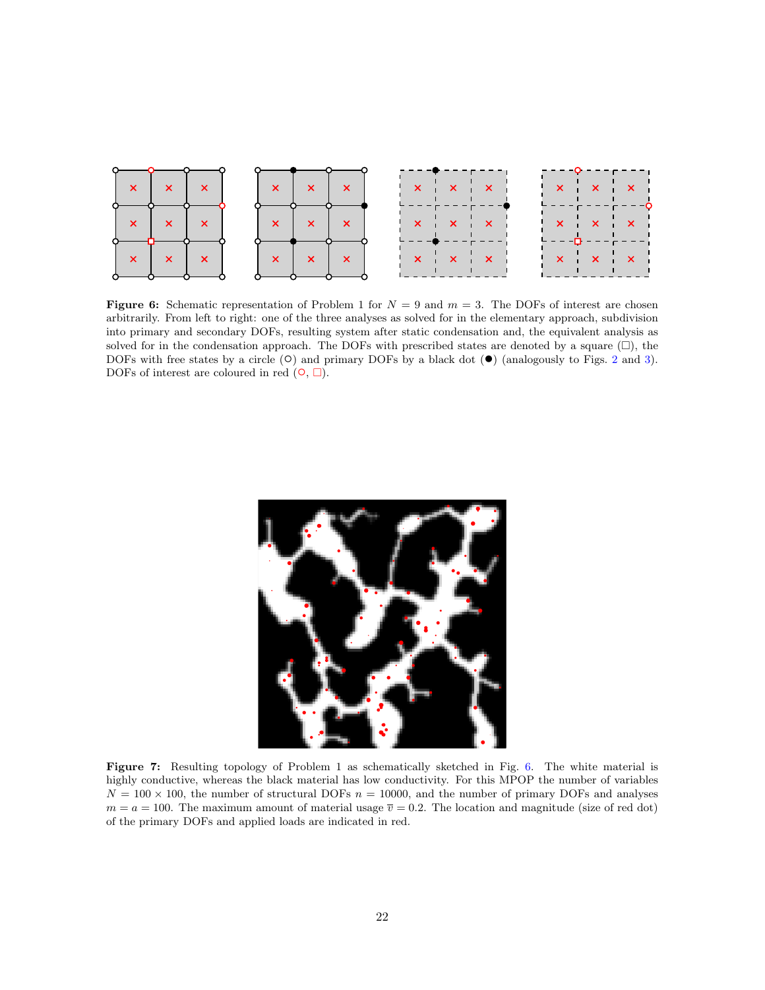<span id="page-21-0"></span>

**Figure 6:** Schematic representation of Problem 1 for  $N = 9$  and  $m = 3$ . The DOFs of interest are chosen arbitrarily. From left to right: one of the three analyses as solved for in the elementary approach, subdivision into primary and secondary DOFs, resulting system after static condensation and, the equivalent analysis as solved for in the condensation approach. The DOFs with prescribed states are denoted by a square  $(\Box)$ , the DOFs with free states by a circle  $(\circ)$  and primary DOFs by a black dot  $(\bullet)$  (analogously to Figs. [2](#page-3-0) and [3\)](#page-4-0). DOFs of interest are coloured in red  $(①, \Box)$ .

<span id="page-21-1"></span>

Figure 7: Resulting topology of Problem 1 as schematically sketched in Fig. [6.](#page-21-0) The white material is highly conductive, whereas the black material has low conductivity. For this MPOP the number of variables  $N = 100 \times 100$ , the number of structural DOFs  $n = 10000$ , and the number of primary DOFs and analyses  $m = a = 100$ . The maximum amount of material usage  $\overline{v} = 0.2$ . The location and magnitude (size of red dot) of the primary DOFs and applied loads are indicated in red.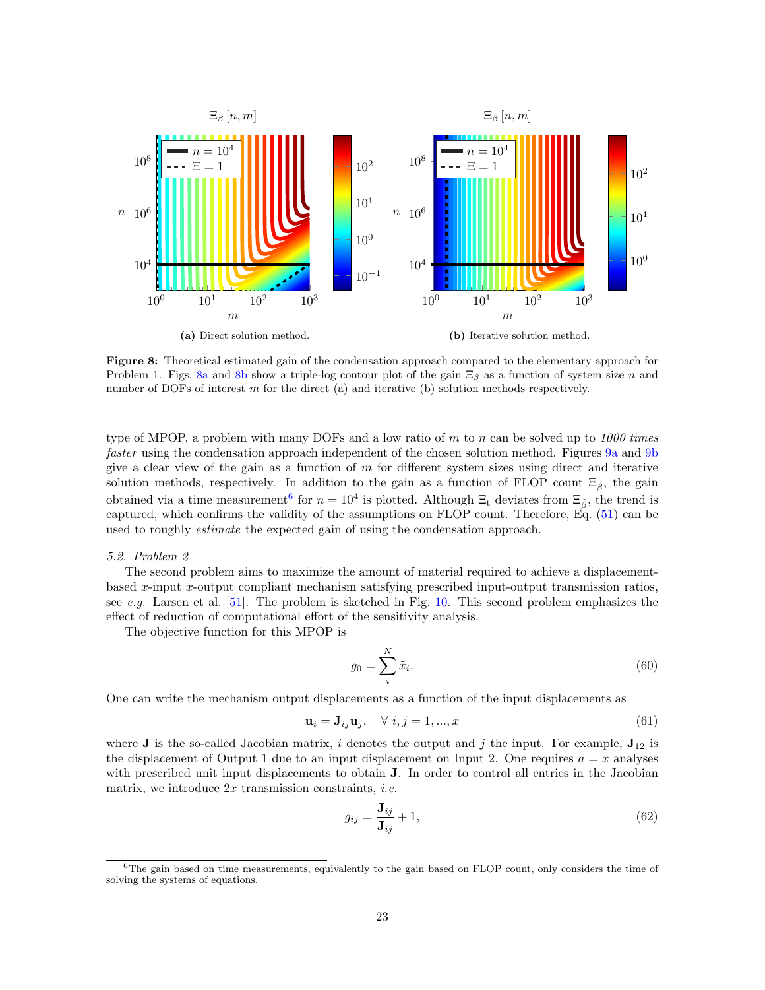<span id="page-22-0"></span>

Figure 8: Theoretical estimated gain of the condensation approach compared to the elementary approach for Problem 1. Figs. [8a](#page-22-0) and [8b](#page-22-0) show a triple-log contour plot of the gain  $\Xi_\beta$  as a function of system size n and number of DOFs of interest m for the direct (a) and iterative (b) solution methods respectively.

type of MPOP, a problem with many DOFs and a low ratio of m to n can be solved up to  $1000$  times faster using the condensation approach independent of the chosen solution method. Figures [9a](#page-23-0) and [9b](#page-23-0) give a clear view of the gain as a function of  $m$  for different system sizes using direct and iterative solution methods, respectively. In addition to the gain as a function of FLOP count  $\Xi_{\tilde{\beta}}$ , the gain obtained via a time measurement<sup>[6](#page-22-1)</sup> for  $n = 10^4$  is plotted. Although  $\Xi_t$  deviates from  $\Xi_{\tilde{\beta}}$ , the trend is captured, which confirms the validity of the assumptions on FLOP count. Therefore, Eq. [\(51\)](#page-18-0) can be used to roughly estimate the expected gain of using the condensation approach.

# <span id="page-22-2"></span>5.2. Problem 2

The second problem aims to maximize the amount of material required to achieve a displacementbased x-input x-output compliant mechanism satisfying prescribed input-output transmission ratios, see e.g. Larsen et al. [\[51\]](#page-28-20). The problem is sketched in Fig. [10.](#page-23-1) This second problem emphasizes the effect of reduction of computational effort of the sensitivity analysis.

The objective function for this MPOP is

$$
g_0 = \sum_i^N \tilde{x}_i. \tag{60}
$$

One can write the mechanism output displacements as a function of the input displacements as

$$
\mathbf{u}_i = \mathbf{J}_{ij}\mathbf{u}_j, \quad \forall \ i, j = 1, ..., x \tag{61}
$$

where **J** is the so-called Jacobian matrix, i denotes the output and j the input. For example,  $J_{12}$  is the displacement of Output 1 due to an input displacement on Input 2. One requires  $a = x$  analyses with prescribed unit input displacements to obtain **J**. In order to control all entries in the Jacobian matrix, we introduce  $2x$  transmission constraints, *i.e.* 

$$
g_{ij} = \frac{\mathbf{J}_{ij}}{\mathbf{\bar{J}}_{ij}} + 1,\tag{62}
$$

<span id="page-22-1"></span><sup>&</sup>lt;sup>6</sup>The gain based on time measurements, equivalently to the gain based on FLOP count, only considers the time of solving the systems of equations.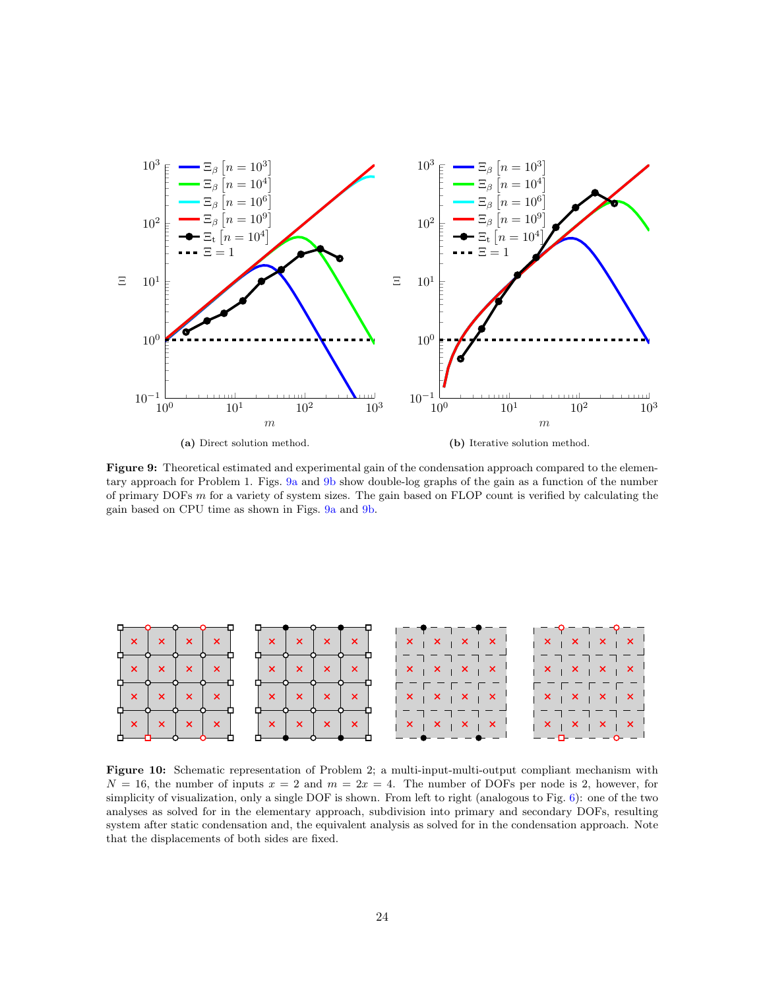<span id="page-23-0"></span>

Figure 9: Theoretical estimated and experimental gain of the condensation approach compared to the elementary approach for Problem 1. Figs. [9a](#page-23-0) and [9b](#page-23-0) show double-log graphs of the gain as a function of the number of primary DOFs  $m$  for a variety of system sizes. The gain based on FLOP count is verified by calculating the gain based on CPU time as shown in Figs. [9a](#page-23-0) and [9b.](#page-23-0)

<span id="page-23-1"></span>

Figure 10: Schematic representation of Problem 2; a multi-input-multi-output compliant mechanism with  $N = 16$ , the number of inputs  $x = 2$  and  $m = 2x = 4$ . The number of DOFs per node is 2, however, for simplicity of visualization, only a single DOF is shown. From left to right (analogous to Fig. [6\)](#page-21-0): one of the two analyses as solved for in the elementary approach, subdivision into primary and secondary DOFs, resulting system after static condensation and, the equivalent analysis as solved for in the condensation approach. Note that the displacements of both sides are fixed.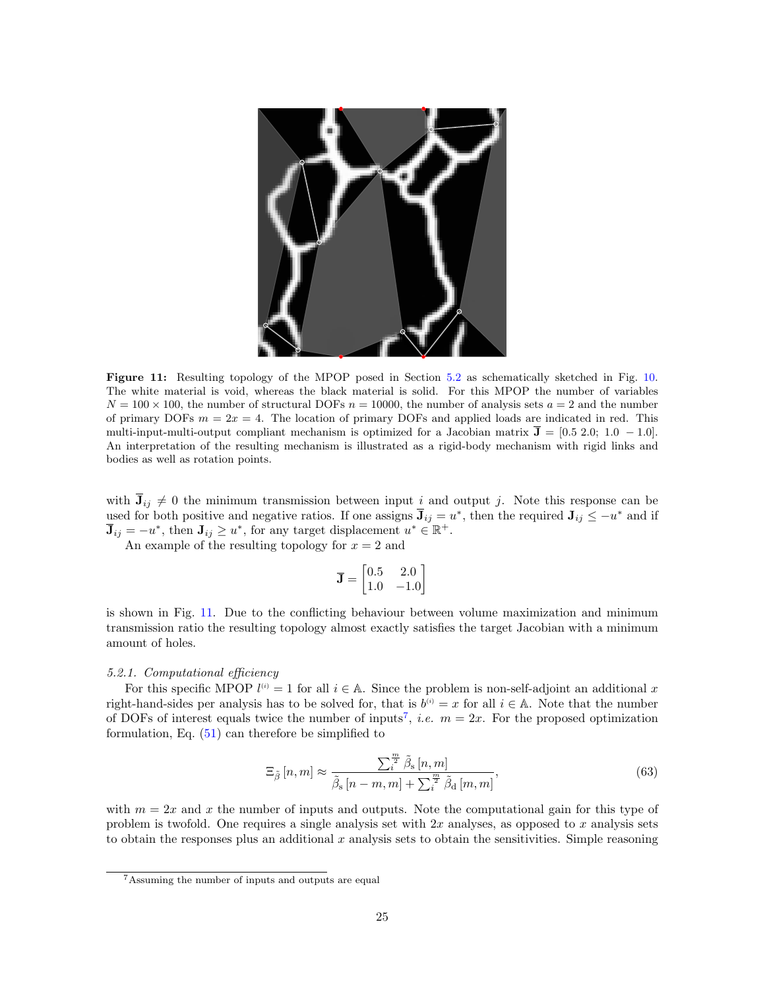<span id="page-24-0"></span>

Figure 11: Resulting topology of the MPOP posed in Section [5.2](#page-22-2) as schematically sketched in Fig. [10.](#page-23-1) The white material is void, whereas the black material is solid. For this MPOP the number of variables  $N = 100 \times 100$ , the number of structural DOFs  $n = 10000$ , the number of analysis sets  $a = 2$  and the number of primary DOFs  $m = 2x = 4$ . The location of primary DOFs and applied loads are indicated in red. This multi-input-multi-output compliant mechanism is optimized for a Jacobian matrix  $\bar{J} = [0.5, 2.0; 1.0, -1.0].$ An interpretation of the resulting mechanism is illustrated as a rigid-body mechanism with rigid links and bodies as well as rotation points.

with  $\bar{J}_{ij} \neq 0$  the minimum transmission between input i and output j. Note this response can be used for both positive and negative ratios. If one assigns  $\bar{J}_{ij} = u^*$ , then the required  $J_{ij} \le -u^*$  and if  $\overline{\mathbf{J}}_{ij} = -u^*$ , then  $\mathbf{J}_{ij} \geq u^*$ , for any target displacement  $u^* \in \mathbb{R}^+$ .

An example of the resulting topology for  $x = 2$  and

$$
\overline{\mathbf{J}} = \begin{bmatrix} 0.5 & 2.0 \\ 1.0 & -1.0 \end{bmatrix}
$$

is shown in Fig. [11.](#page-24-0) Due to the conflicting behaviour between volume maximization and minimum transmission ratio the resulting topology almost exactly satisfies the target Jacobian with a minimum amount of holes.

#### 5.2.1. Computational efficiency

For this specific MPOP  $l^{(i)} = 1$  for all  $i \in A$ . Since the problem is non-self-adjoint an additional x right-hand-sides per analysis has to be solved for, that is  $b^{(i)} = x$  for all  $i \in A$ . Note that the number of DOFs of interest equals twice the number of inputs<sup>[7](#page-24-1)</sup>, *i.e.*  $m = 2x$ . For the proposed optimization formulation, Eq.  $(51)$  can therefore be simplified to

$$
\Xi_{\tilde{\beta}}\left[n,m\right] \approx \frac{\sum_{i=1}^{\frac{m}{2}} \tilde{\beta}_{\rm s}\left[n,m\right]}{\tilde{\beta}_{\rm s}\left[n-m,m\right] + \sum_{i=1}^{\frac{m}{2}} \tilde{\beta}_{\rm d}\left[m,m\right]},\tag{63}
$$

with  $m = 2x$  and x the number of inputs and outputs. Note the computational gain for this type of problem is twofold. One requires a single analysis set with  $2x$  analyses, as opposed to x analysis sets to obtain the responses plus an additional  $x$  analysis sets to obtain the sensitivities. Simple reasoning

<span id="page-24-1"></span><sup>7</sup>Assuming the number of inputs and outputs are equal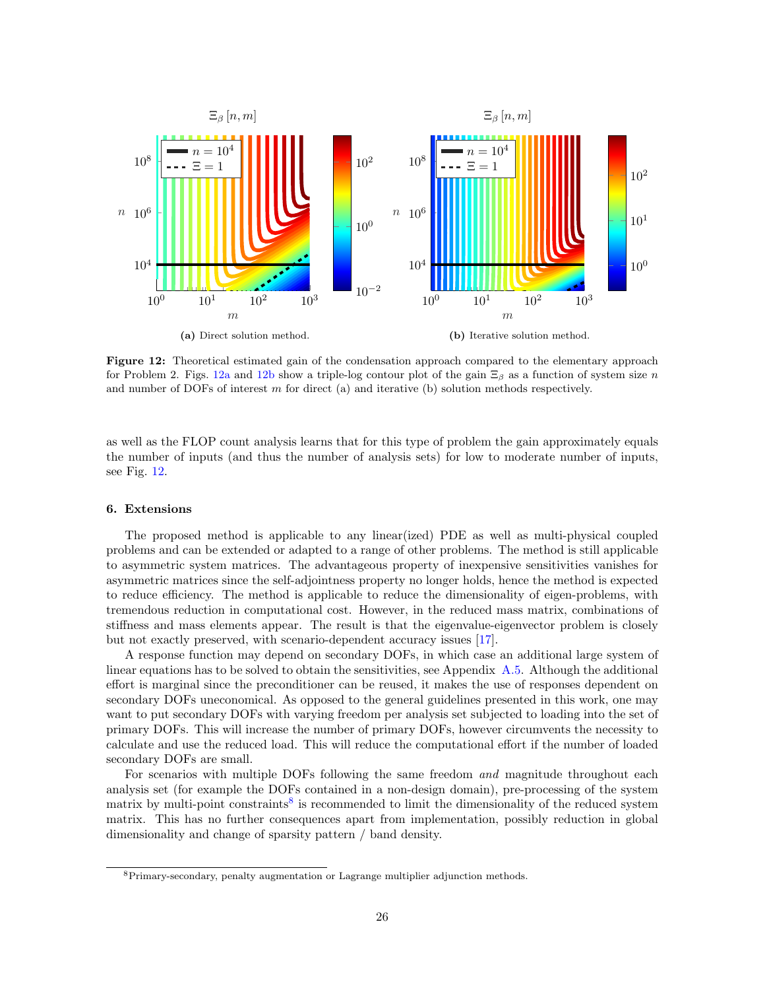<span id="page-25-0"></span>

Figure 12: Theoretical estimated gain of the condensation approach compared to the elementary approach for Problem 2. Figs. [12a](#page-25-0) and [12b](#page-25-0) show a triple-log contour plot of the gain  $\Xi_\beta$  as a function of system size n and number of DOFs of interest m for direct (a) and iterative (b) solution methods respectively.

as well as the FLOP count analysis learns that for this type of problem the gain approximately equals the number of inputs (and thus the number of analysis sets) for low to moderate number of inputs, see Fig. [12.](#page-25-0)

## 6. Extensions

The proposed method is applicable to any linear(ized) PDE as well as multi-physical coupled problems and can be extended or adapted to a range of other problems. The method is still applicable to asymmetric system matrices. The advantageous property of inexpensive sensitivities vanishes for asymmetric matrices since the self-adjointness property no longer holds, hence the method is expected to reduce efficiency. The method is applicable to reduce the dimensionality of eigen-problems, with tremendous reduction in computational cost. However, in the reduced mass matrix, combinations of stiffness and mass elements appear. The result is that the eigenvalue-eigenvector problem is closely but not exactly preserved, with scenario-dependent accuracy issues [\[17\]](#page-27-10).

A response function may depend on secondary DOFs, in which case an additional large system of linear equations has to be solved to obtain the sensitivities, see Appendix [A.5.](#page-35-0) Although the additional effort is marginal since the preconditioner can be reused, it makes the use of responses dependent on secondary DOFs uneconomical. As opposed to the general guidelines presented in this work, one may want to put secondary DOFs with varying freedom per analysis set subjected to loading into the set of primary DOFs. This will increase the number of primary DOFs, however circumvents the necessity to calculate and use the reduced load. This will reduce the computational effort if the number of loaded secondary DOFs are small.

For scenarios with multiple DOFs following the same freedom and magnitude throughout each analysis set (for example the DOFs contained in a non-design domain), pre-processing of the system matrix by multi-point constraints<sup>[8](#page-25-1)</sup> is recommended to limit the dimensionality of the reduced system matrix. This has no further consequences apart from implementation, possibly reduction in global dimensionality and change of sparsity pattern / band density.

<span id="page-25-1"></span><sup>8</sup>Primary-secondary, penalty augmentation or Lagrange multiplier adjunction methods.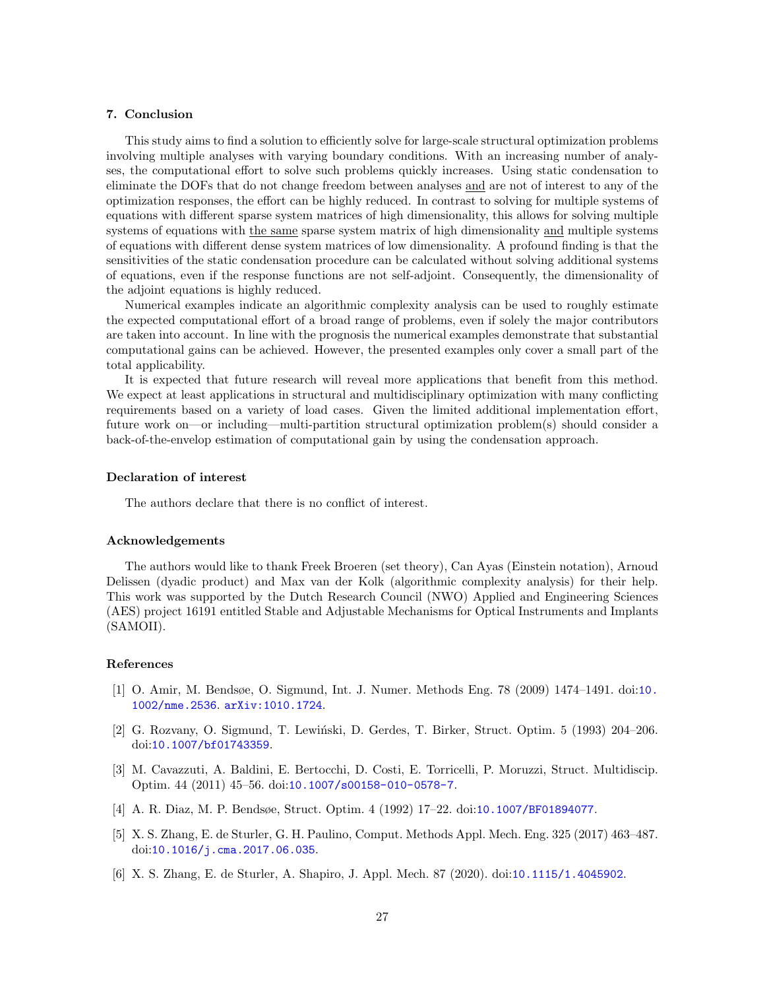# 7. Conclusion

This study aims to find a solution to efficiently solve for large-scale structural optimization problems involving multiple analyses with varying boundary conditions. With an increasing number of analyses, the computational effort to solve such problems quickly increases. Using static condensation to eliminate the DOFs that do not change freedom between analyses and are not of interest to any of the optimization responses, the effort can be highly reduced. In contrast to solving for multiple systems of equations with different sparse system matrices of high dimensionality, this allows for solving multiple systems of equations with the same sparse system matrix of high dimensionality and multiple systems of equations with different dense system matrices of low dimensionality. A profound finding is that the sensitivities of the static condensation procedure can be calculated without solving additional systems of equations, even if the response functions are not self-adjoint. Consequently, the dimensionality of the adjoint equations is highly reduced.

Numerical examples indicate an algorithmic complexity analysis can be used to roughly estimate the expected computational effort of a broad range of problems, even if solely the major contributors are taken into account. In line with the prognosis the numerical examples demonstrate that substantial computational gains can be achieved. However, the presented examples only cover a small part of the total applicability.

It is expected that future research will reveal more applications that benefit from this method. We expect at least applications in structural and multidisciplinary optimization with many conflicting requirements based on a variety of load cases. Given the limited additional implementation effort, future work on—or including—multi-partition structural optimization problem(s) should consider a back-of-the-envelop estimation of computational gain by using the condensation approach.

#### Declaration of interest

The authors declare that there is no conflict of interest.

#### Acknowledgements

The authors would like to thank Freek Broeren (set theory), Can Ayas (Einstein notation), Arnoud Delissen (dyadic product) and Max van der Kolk (algorithmic complexity analysis) for their help. This work was supported by the Dutch Research Council (NWO) Applied and Engineering Sciences (AES) project 16191 entitled Stable and Adjustable Mechanisms for Optical Instruments and Implants (SAMOII).

# References

- <span id="page-26-0"></span>[1] O. Amir, M. Bendsøe, O. Sigmund, Int. J. Numer. Methods Eng. 78 (2009) 1474–1491. doi:[10.](http://dx.doi.org/10.1002/nme.2536) [1002/nme.2536](http://dx.doi.org/10.1002/nme.2536). [arXiv:1010.1724](http://arxiv.org/abs/1010.1724).
- <span id="page-26-1"></span>[2] G. Rozvany, O. Sigmund, T. Lewiński, D. Gerdes, T. Birker, Struct. Optim. 5 (1993) 204–206. doi:[10.1007/bf01743359](http://dx.doi.org/10.1007/bf01743359).
- <span id="page-26-2"></span>[3] M. Cavazzuti, A. Baldini, E. Bertocchi, D. Costi, E. Torricelli, P. Moruzzi, Struct. Multidiscip. Optim. 44 (2011) 45–56. doi:[10.1007/s00158-010-0578-7](http://dx.doi.org/10.1007/s00158-010-0578-7).
- <span id="page-26-3"></span>[4] A. R. Diaz, M. P. Bendsøe, Struct. Optim. 4 (1992) 17–22. doi:[10.1007/BF01894077](http://dx.doi.org/10.1007/BF01894077).
- <span id="page-26-4"></span>[5] X. S. Zhang, E. de Sturler, G. H. Paulino, Comput. Methods Appl. Mech. Eng. 325 (2017) 463–487. doi:[10.1016/j.cma.2017.06.035](http://dx.doi.org/10.1016/j.cma.2017.06.035).
- <span id="page-26-5"></span>[6] X. S. Zhang, E. de Sturler, A. Shapiro, J. Appl. Mech. 87 (2020). doi:[10.1115/1.4045902](http://dx.doi.org/10.1115/1.4045902).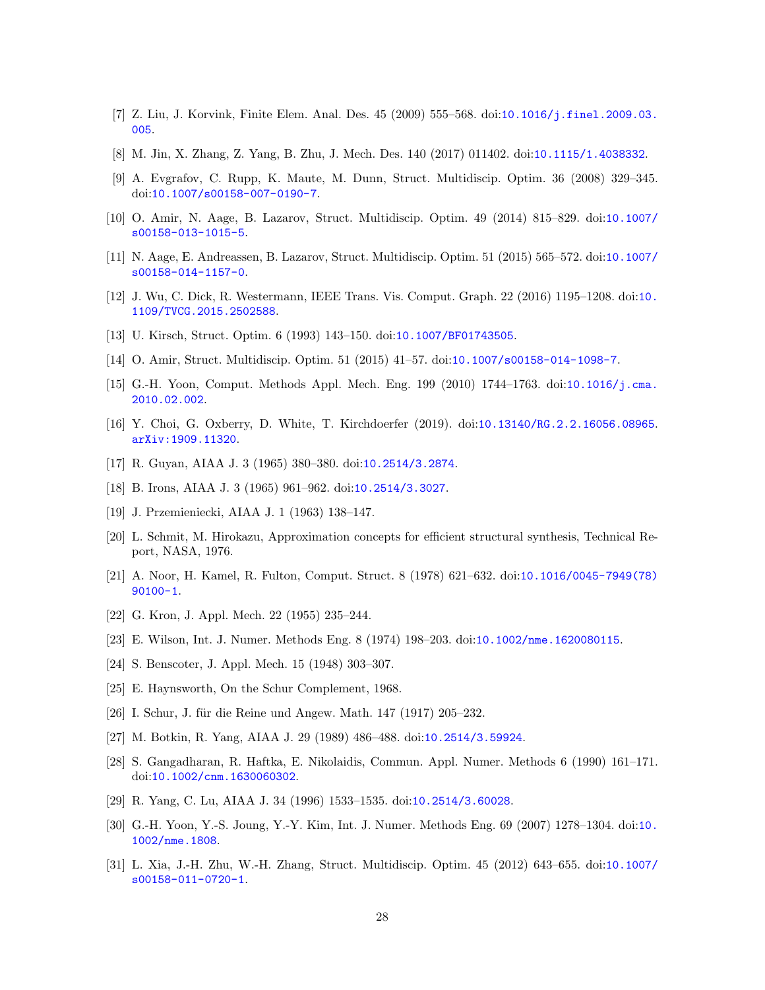- <span id="page-27-0"></span>[7] Z. Liu, J. Korvink, Finite Elem. Anal. Des. 45 (2009) 555–568. doi:[10.1016/j.finel.2009.03.](http://dx.doi.org/10.1016/j.finel.2009.03.005) [005](http://dx.doi.org/10.1016/j.finel.2009.03.005).
- <span id="page-27-1"></span>[8] M. Jin, X. Zhang, Z. Yang, B. Zhu, J. Mech. Des. 140 (2017) 011402. doi:[10.1115/1.4038332](http://dx.doi.org/10.1115/1.4038332).
- <span id="page-27-2"></span>[9] A. Evgrafov, C. Rupp, K. Maute, M. Dunn, Struct. Multidiscip. Optim. 36 (2008) 329–345. doi:[10.1007/s00158-007-0190-7](http://dx.doi.org/10.1007/s00158-007-0190-7).
- <span id="page-27-3"></span>[10] O. Amir, N. Aage, B. Lazarov, Struct. Multidiscip. Optim. 49 (2014) 815–829. doi:[10.1007/](http://dx.doi.org/10.1007/s00158-013-1015-5) [s00158-013-1015-5](http://dx.doi.org/10.1007/s00158-013-1015-5).
- <span id="page-27-4"></span>[11] N. Aage, E. Andreassen, B. Lazarov, Struct. Multidiscip. Optim. 51 (2015) 565–572. doi:[10.1007/](http://dx.doi.org/10.1007/s00158-014-1157-0) [s00158-014-1157-0](http://dx.doi.org/10.1007/s00158-014-1157-0).
- <span id="page-27-5"></span>[12] J. Wu, C. Dick, R. Westermann, IEEE Trans. Vis. Comput. Graph. 22 (2016) 1195–1208. doi:[10.](http://dx.doi.org/10.1109/TVCG.2015.2502588) [1109/TVCG.2015.2502588](http://dx.doi.org/10.1109/TVCG.2015.2502588).
- <span id="page-27-6"></span>[13] U. Kirsch, Struct. Optim. 6 (1993) 143–150. doi:[10.1007/BF01743505](http://dx.doi.org/10.1007/BF01743505).
- <span id="page-27-7"></span>[14] O. Amir, Struct. Multidiscip. Optim. 51 (2015) 41–57. doi:[10.1007/s00158-014-1098-7](http://dx.doi.org/10.1007/s00158-014-1098-7).
- <span id="page-27-8"></span>[15] G.-H. Yoon, Comput. Methods Appl. Mech. Eng. 199 (2010) 1744–1763. doi:[10.1016/j.cma.](http://dx.doi.org/10.1016/j.cma.2010.02.002) [2010.02.002](http://dx.doi.org/10.1016/j.cma.2010.02.002).
- <span id="page-27-9"></span>[16] Y. Choi, G. Oxberry, D. White, T. Kirchdoerfer (2019). doi:[10.13140/RG.2.2.16056.08965](http://dx.doi.org/10.13140/RG.2.2.16056.08965). [arXiv:1909.11320](http://arxiv.org/abs/1909.11320).
- <span id="page-27-10"></span>[17] R. Guyan, AIAA J. 3 (1965) 380–380. doi:[10.2514/3.2874](http://dx.doi.org/10.2514/3.2874).
- <span id="page-27-11"></span>[18] B. Irons, AIAA J. 3 (1965) 961–962. doi:[10.2514/3.3027](http://dx.doi.org/10.2514/3.3027).
- <span id="page-27-12"></span>[19] J. Przemieniecki, AIAA J. 1 (1963) 138–147.
- <span id="page-27-13"></span>[20] L. Schmit, M. Hirokazu, Approximation concepts for efficient structural synthesis, Technical Report, NASA, 1976.
- <span id="page-27-14"></span>[21] A. Noor, H. Kamel, R. Fulton, Comput. Struct. 8 (1978) 621–632. doi:[10.1016/0045-7949\(78\)](http://dx.doi.org/10.1016/0045-7949(78)90100-1) [90100-1](http://dx.doi.org/10.1016/0045-7949(78)90100-1).
- <span id="page-27-15"></span>[22] G. Kron, J. Appl. Mech. 22 (1955) 235–244.
- <span id="page-27-16"></span>[23] E. Wilson, Int. J. Numer. Methods Eng. 8 (1974) 198–203. doi:[10.1002/nme.1620080115](http://dx.doi.org/10.1002/nme.1620080115).
- <span id="page-27-17"></span>[24] S. Benscoter, J. Appl. Mech. 15 (1948) 303–307.
- <span id="page-27-18"></span>[25] E. Haynsworth, On the Schur Complement, 1968.
- <span id="page-27-19"></span>[26] I. Schur, J. für die Reine und Angew. Math. 147 (1917) 205–232.
- <span id="page-27-20"></span>[27] M. Botkin, R. Yang, AIAA J. 29 (1989) 486–488. doi:[10.2514/3.59924](http://dx.doi.org/10.2514/3.59924).
- <span id="page-27-21"></span>[28] S. Gangadharan, R. Haftka, E. Nikolaidis, Commun. Appl. Numer. Methods 6 (1990) 161–171. doi:[10.1002/cnm.1630060302](http://dx.doi.org/10.1002/cnm.1630060302).
- <span id="page-27-22"></span>[29] R. Yang, C. Lu, AIAA J. 34 (1996) 1533–1535. doi:[10.2514/3.60028](http://dx.doi.org/10.2514/3.60028).
- <span id="page-27-23"></span>[30] G.-H. Yoon, Y.-S. Joung, Y.-Y. Kim, Int. J. Numer. Methods Eng. 69 (2007) 1278–1304. doi:[10.](http://dx.doi.org/10.1002/nme.1808) [1002/nme.1808](http://dx.doi.org/10.1002/nme.1808).
- <span id="page-27-24"></span>[31] L. Xia, J.-H. Zhu, W.-H. Zhang, Struct. Multidiscip. Optim. 45 (2012) 643–655. doi:[10.1007/](http://dx.doi.org/10.1007/s00158-011-0720-1) [s00158-011-0720-1](http://dx.doi.org/10.1007/s00158-011-0720-1).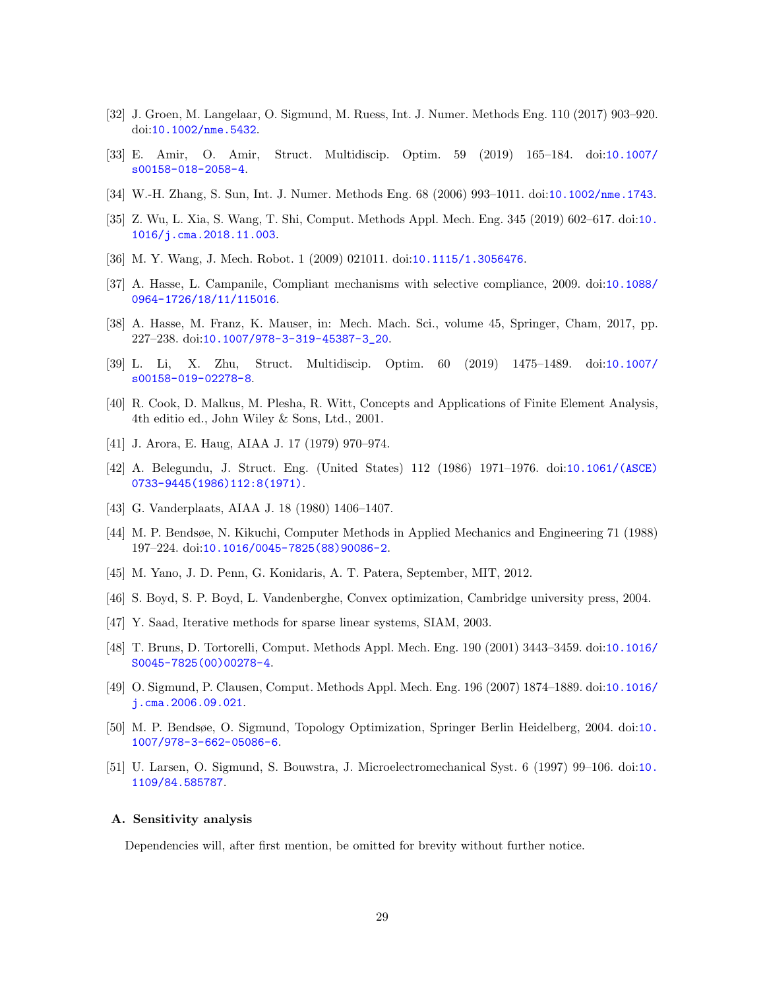- <span id="page-28-0"></span>[32] J. Groen, M. Langelaar, O. Sigmund, M. Ruess, Int. J. Numer. Methods Eng. 110 (2017) 903–920. doi:[10.1002/nme.5432](http://dx.doi.org/10.1002/nme.5432).
- <span id="page-28-1"></span>[33] E. Amir, O. Amir, Struct. Multidiscip. Optim. 59 (2019) 165–184. doi:[10.1007/](http://dx.doi.org/10.1007/s00158-018-2058-4) [s00158-018-2058-4](http://dx.doi.org/10.1007/s00158-018-2058-4).
- <span id="page-28-2"></span>[34] W.-H. Zhang, S. Sun, Int. J. Numer. Methods Eng. 68 (2006) 993–1011. doi:[10.1002/nme.1743](http://dx.doi.org/10.1002/nme.1743).
- <span id="page-28-3"></span>[35] Z. Wu, L. Xia, S. Wang, T. Shi, Comput. Methods Appl. Mech. Eng. 345 (2019) 602–617. doi:[10.](http://dx.doi.org/10.1016/j.cma.2018.11.003) [1016/j.cma.2018.11.003](http://dx.doi.org/10.1016/j.cma.2018.11.003).
- <span id="page-28-4"></span>[36] M. Y. Wang, J. Mech. Robot. 1 (2009) 021011. doi:[10.1115/1.3056476](http://dx.doi.org/10.1115/1.3056476).
- <span id="page-28-5"></span>[37] A. Hasse, L. Campanile, Compliant mechanisms with selective compliance, 2009. doi:[10.1088/](http://dx.doi.org/10.1088/0964-1726/18/11/115016) [0964-1726/18/11/115016](http://dx.doi.org/10.1088/0964-1726/18/11/115016).
- <span id="page-28-6"></span>[38] A. Hasse, M. Franz, K. Mauser, in: Mech. Mach. Sci., volume 45, Springer, Cham, 2017, pp. 227–238. doi:[10.1007/978-3-319-45387-3\\_20](http://dx.doi.org/10.1007/978-3-319-45387-3_20).
- <span id="page-28-7"></span>[39] L. Li, X. Zhu, Struct. Multidiscip. Optim. 60 (2019) 1475–1489. doi:[10.1007/](http://dx.doi.org/10.1007/s00158-019-02278-8) [s00158-019-02278-8](http://dx.doi.org/10.1007/s00158-019-02278-8).
- <span id="page-28-8"></span>[40] R. Cook, D. Malkus, M. Plesha, R. Witt, Concepts and Applications of Finite Element Analysis, 4th editio ed., John Wiley & Sons, Ltd., 2001.
- <span id="page-28-10"></span>[41] J. Arora, E. Haug, AIAA J. 17 (1979) 970–974.
- <span id="page-28-11"></span>[42] A. Belegundu, J. Struct. Eng. (United States) 112 (1986) 1971–1976. doi:[10.1061/\(ASCE\)](http://dx.doi.org/10.1061/(ASCE)0733-9445(1986)112:8(1971)) [0733-9445\(1986\)112:8\(1971\)](http://dx.doi.org/10.1061/(ASCE)0733-9445(1986)112:8(1971)).
- <span id="page-28-12"></span>[43] G. Vanderplaats, AIAA J. 18 (1980) 1406–1407.
- <span id="page-28-13"></span>[44] M. P. Bendsøe, N. Kikuchi, Computer Methods in Applied Mechanics and Engineering 71 (1988) 197–224. doi:[10.1016/0045-7825\(88\)90086-2](http://dx.doi.org/10.1016/0045-7825(88)90086-2).
- <span id="page-28-14"></span>[45] M. Yano, J. D. Penn, G. Konidaris, A. T. Patera, September, MIT, 2012.
- <span id="page-28-15"></span>[46] S. Boyd, S. P. Boyd, L. Vandenberghe, Convex optimization, Cambridge university press, 2004.
- <span id="page-28-16"></span>[47] Y. Saad, Iterative methods for sparse linear systems, SIAM, 2003.
- <span id="page-28-17"></span>[48] T. Bruns, D. Tortorelli, Comput. Methods Appl. Mech. Eng. 190 (2001) 3443–3459. doi:[10.1016/](http://dx.doi.org/10.1016/S0045-7825(00)00278-4) [S0045-7825\(00\)00278-4](http://dx.doi.org/10.1016/S0045-7825(00)00278-4).
- <span id="page-28-18"></span>[49] O. Sigmund, P. Clausen, Comput. Methods Appl. Mech. Eng. 196 (2007) 1874–1889. doi:[10.1016/](http://dx.doi.org/10.1016/j.cma.2006.09.021) [j.cma.2006.09.021](http://dx.doi.org/10.1016/j.cma.2006.09.021).
- <span id="page-28-19"></span>[50] M. P. Bendsøe, O. Sigmund, Topology Optimization, Springer Berlin Heidelberg, 2004. doi:[10.](http://dx.doi.org/10.1007/978-3-662-05086-6) [1007/978-3-662-05086-6](http://dx.doi.org/10.1007/978-3-662-05086-6).
- <span id="page-28-20"></span>[51] U. Larsen, O. Sigmund, S. Bouwstra, J. Microelectromechanical Syst. 6 (1997) 99–106. doi:[10.](http://dx.doi.org/10.1109/84.585787) [1109/84.585787](http://dx.doi.org/10.1109/84.585787).

#### <span id="page-28-9"></span>A. Sensitivity analysis

Dependencies will, after first mention, be omitted for brevity without further notice.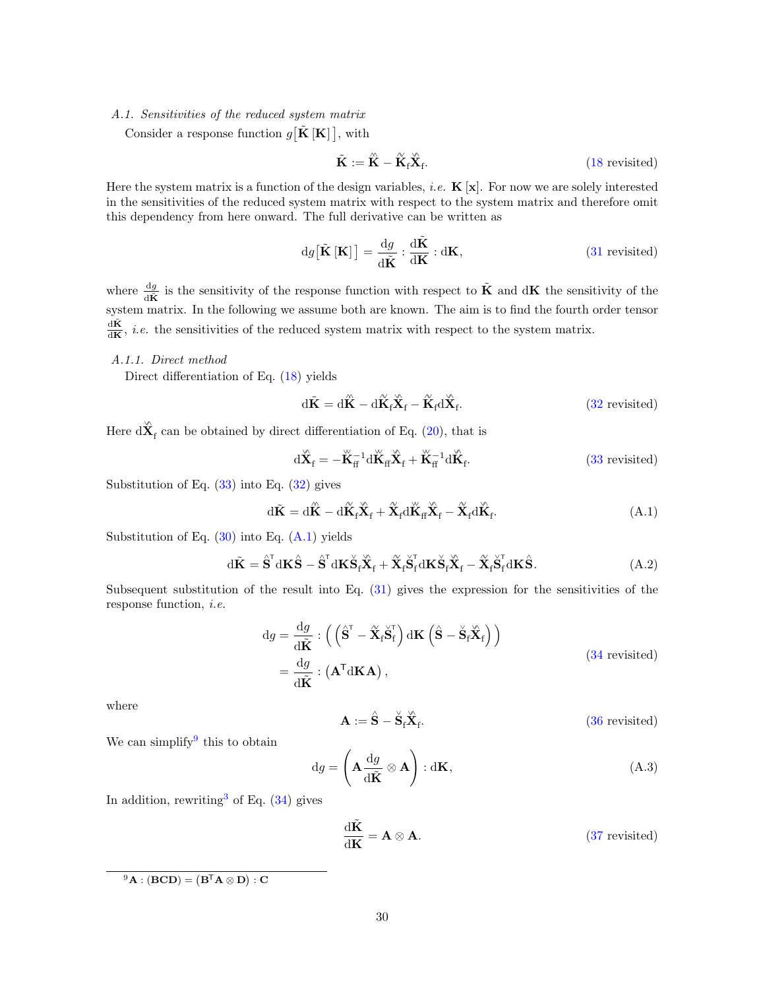# <span id="page-29-4"></span>A.1. Sensitivities of the reduced system matrix

Consider a response function  $g[\tilde{\mathbf{K}}[\mathbf{K}]]$ , with

$$
\tilde{\mathbf{K}} := \hat{\mathbf{K}} - \hat{\mathbf{K}}_{\text{f}} \hat{\mathbf{X}}_{\text{f}}.
$$
\n(18 revisited)

Here the system matrix is a function of the design variables, *i.e.*  $\mathbf{K}[\mathbf{x}]$ . For now we are solely interested in the sensitivities of the reduced system matrix with respect to the system matrix and therefore omit this dependency from here onward. The full derivative can be written as

$$
dg[\tilde{\mathbf{K}}\left[\mathbf{K}\right]] = \frac{dg}{d\tilde{\mathbf{K}}} : \frac{d\tilde{\mathbf{K}}}{d\mathbf{K}} : d\mathbf{K},
$$
\n(31 revisited)

where  $\frac{dg}{d\tilde{K}}$  is the sensitivity of the response function with respect to  $\tilde{K}$  and  $dK$  the sensitivity of the system matrix. In the following we assume both are known. The aim is to find the fourth order tensor dK˜  $\frac{d\mathbf{R}}{d\mathbf{K}}$ , *i.e.* the sensitivities of the reduced system matrix with respect to the system matrix.

#### <span id="page-29-0"></span>A.1.1. Direct method

Direct differentiation of Eq. [\(18\)](#page-8-4) yields

$$
d\tilde{\mathbf{K}} = d\hat{\mathbf{K}} - d\hat{\mathbf{K}}_{f}\tilde{\mathbf{X}}_{f} - \tilde{\mathbf{K}}_{f}d\tilde{\mathbf{X}}_{f}.
$$
 (32 revisited)

Here  $d\hat{\mathbf{X}}_f$  can be obtained by direct differentiation of Eq. [\(20\)](#page-8-6), that is

$$
\mathrm{d}\mathbf{\hat{X}}_{\mathrm{f}} = -\mathbf{\ddot{K}}_{\mathrm{f}}^{-1} \mathrm{d}\mathbf{\ddot{K}}_{\mathrm{f}} \mathbf{\ddot{X}}_{\mathrm{f}} + \mathbf{\ddot{K}}_{\mathrm{f}}^{-1} \mathrm{d}\mathbf{\dot{K}}_{\mathrm{f}}.
$$
 (33 revisited)

Substitution of Eq.  $(33)$  into Eq.  $(32)$  gives

<span id="page-29-1"></span>
$$
\mathrm{d}\tilde{\mathbf{K}} = \mathrm{d}\tilde{\mathbf{K}} - \mathrm{d}\tilde{\mathbf{K}}_{\mathrm{f}}\tilde{\mathbf{X}}_{\mathrm{f}} + \tilde{\mathbf{X}}_{\mathrm{f}}\mathrm{d}\tilde{\mathbf{K}}_{\mathrm{f}}\tilde{\mathbf{X}}_{\mathrm{f}} - \tilde{\mathbf{X}}_{\mathrm{f}}\mathrm{d}\tilde{\mathbf{K}}_{\mathrm{f}}.\tag{A.1}
$$

Substitution of Eq.  $(30)$  into Eq.  $(A.1)$  yields

$$
\mathrm{d}\tilde{\mathbf{K}} = \hat{\mathbf{S}}^{\mathsf{T}} \mathrm{d}\mathbf{K}\hat{\mathbf{S}} - \hat{\mathbf{S}}^{\mathsf{T}} \mathrm{d}\mathbf{K}\check{\mathbf{S}}_{\mathsf{f}}\check{\mathbf{X}}_{\mathsf{f}} + \check{\mathbf{X}}_{\mathsf{f}}\check{\mathbf{S}}_{\mathsf{f}}^{\mathsf{T}} \mathrm{d}\mathbf{K}\check{\mathbf{S}}_{\mathsf{f}}\check{\mathbf{X}}_{\mathsf{f}} - \check{\mathbf{X}}_{\mathsf{f}}\check{\mathbf{S}}_{\mathsf{f}}^{\mathsf{T}} \mathrm{d}\mathbf{K}\hat{\mathbf{S}}.\tag{A.2}
$$

Subsequent substitution of the result into Eq. [\(31\)](#page-12-2) gives the expression for the sensitivities of the response function, i.e.

$$
dg = \frac{dg}{d\tilde{K}} : \left( \left( \hat{S}^{T} - \tilde{X}_{f} \tilde{S}_{f}^{T} \right) dK \left( \hat{S} - \tilde{S}_{f} \tilde{X}_{f} \right) \right)
$$
  
= 
$$
\frac{dg}{d\tilde{K}} : (A^{T} dK A),
$$
 (34 revisited)

where

 $\mathbf{A} := \overset{\wedge}{\mathbf{S}} - \overset{\vee}{\mathbf{S}}_{\mathrm{f}} \overset{\wedge}{\mathbf{X}}_{\mathrm{f}}$ . [\(36](#page-13-5) revisited)

We can simplify this to obtain

<span id="page-29-3"></span>
$$
dg = \left(\mathbf{A} \frac{dg}{d\tilde{\mathbf{K}}} \otimes \mathbf{A}\right) : d\mathbf{K},
$$
\n(A.3)

In addition, rewriting<sup>[3](#page-13-1)</sup> of Eq.  $(34)$  gives

$$
\frac{\mathrm{d}\tilde{\mathbf{K}}}{\mathrm{d}\mathbf{K}} = \mathbf{A} \otimes \mathbf{A}.
$$
 (37 revisited)

<span id="page-29-2"></span> ${}^{9}{\rm A}:({\rm BCD})=({\rm B}^{\sf T}{\rm A}\otimes{\rm D}):{\rm C}$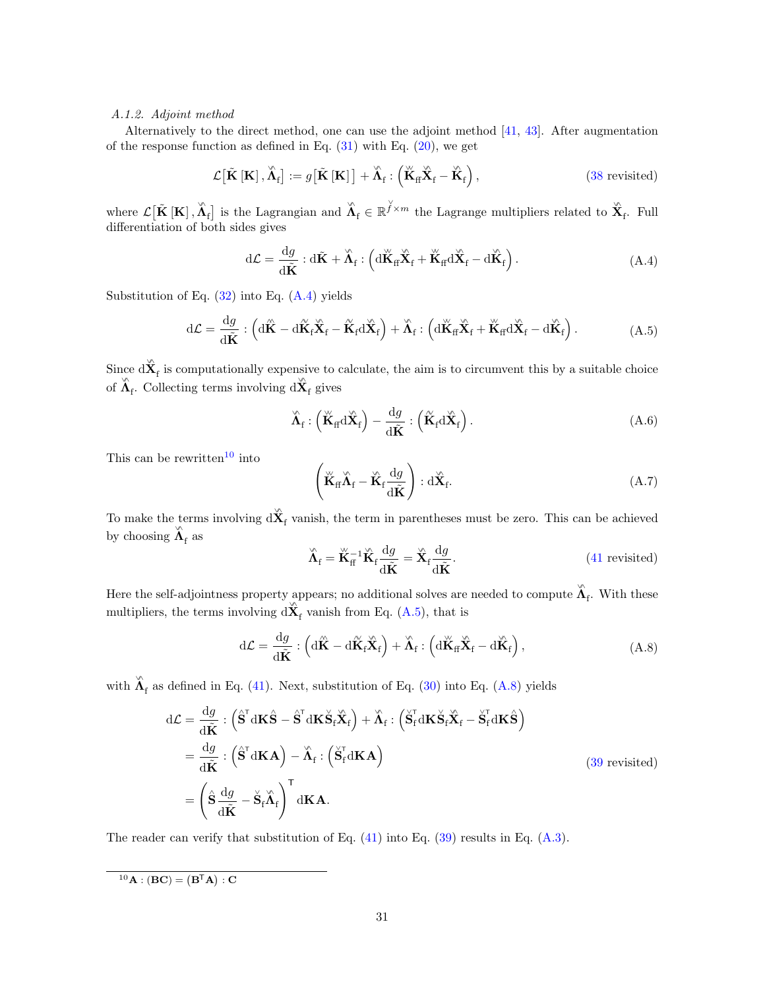# <span id="page-30-0"></span>A.1.2. Adjoint method

Alternatively to the direct method, one can use the adjoint method [\[41,](#page-28-10) [43\]](#page-28-12). After augmentation of the response function as defined in Eq.  $(31)$  with Eq.  $(20)$ , we get

$$
\mathcal{L}\big[\tilde{\mathbf{K}}\left[\mathbf{K}\right],\tilde{\boldsymbol{\Lambda}}_{\mathrm{f}}\big] := g\big[\tilde{\mathbf{K}}\left[\mathbf{K}\right]\big] + \tilde{\boldsymbol{\Lambda}}_{\mathrm{f}} : \left(\tilde{\mathbf{K}}_{\mathrm{ff}}\tilde{\mathbf{X}}_{\mathrm{f}} - \tilde{\mathbf{K}}_{\mathrm{f}}\right),\tag{38 \text{ revisited}}
$$

where  $\mathcal{L}[\tilde{\mathbf{K}}\left[\mathbf{K}\right], \tilde{\mathbf{\Lambda}}_{\mathrm{f}}]$  is the Lagrangian and  $\tilde{\mathbf{\Lambda}}_{\mathrm{f}} \in \mathbb{R}^{\tilde{\mathcal{Y}} \times m}$  the Lagrange multipliers related to  $\tilde{\mathbf{X}}_{\mathrm{f}}$ . Full differentiation of both sides gives

$$
d\mathcal{L} = \frac{dg}{d\tilde{K}} : d\tilde{K} + \tilde{\Lambda}_{f} : \left( d\breve{K}_{ff} \breve{X}_{f} + \breve{K}_{ff} d\breve{X}_{f} - d\breve{K}_{f} \right). \tag{A.4}
$$

Substitution of Eq.  $(32)$  into Eq.  $(A.4)$  yields

$$
d\mathcal{L} = \frac{dg}{d\tilde{K}} : \left( d\hat{K} - d\tilde{K}_{f}\tilde{X}_{f} - \tilde{K}_{f}d\tilde{X}_{f} \right) + \tilde{\Lambda}_{f} : \left( d\tilde{K}_{f} \tilde{X}_{f} + \tilde{K}_{f}d\tilde{X}_{f} - d\tilde{K}_{f} \right).
$$
\n(A.5)

Since  $d\hat{\mathbf{X}}_f$  is computationally expensive to calculate, the aim is to circumvent this by a suitable choice of  $\hat{\Lambda}_{f}$ . Collecting terms involving  $d\hat{X}_{f}$  gives

<span id="page-30-1"></span>
$$
\hat{\mathbf{\Lambda}}_{\mathrm{f}} : \left( \breve{\mathbf{K}}_{\mathrm{ff}} \mathrm{d} \breve{\mathbf{X}}_{\mathrm{f}} \right) - \frac{\mathrm{d} g}{\mathrm{d} \tilde{\mathbf{K}}} : \left( \breve{\mathbf{K}}_{\mathrm{f}} \mathrm{d} \breve{\mathbf{X}}_{\mathrm{f}} \right). \tag{A.6}
$$

This can be rewritten<sup>[10](#page-30-2)</sup> into

<span id="page-30-3"></span>
$$
\left(\breve{\mathbf{K}}_{\text{ff}}\breve{\mathbf{\Lambda}}_{\text{f}} - \breve{\mathbf{K}}_{\text{f}}\frac{\mathrm{d}g}{\mathrm{d}\tilde{\mathbf{K}}}\right) : \mathrm{d}\breve{\mathbf{X}}_{\text{f}}.\tag{A.7}
$$

To make the terms involving  $d\mathbf{X}_f$  vanish, the term in parentheses must be zero. This can be achieved by choosing  $\hat{\Lambda}_{\mathrm{f}}$  as

<span id="page-30-4"></span>
$$
\hat{\mathbf{\Lambda}}_{\rm f} = \breve{\mathbf{K}}_{\rm f}^{-1} \breve{\mathbf{K}}_{\rm f} \frac{\mathrm{d}g}{\mathrm{d}\tilde{\mathbf{K}}} = \breve{\mathbf{X}}_{\rm f} \frac{\mathrm{d}g}{\mathrm{d}\tilde{\mathbf{K}}}.
$$
\n(41 revisited)

Here the self-adjointness property appears; no additional solves are needed to compute  $\hat{\lambda}_f$ . With these multipliers, the terms involving  $d\hat{\mathbf{X}}_f$  vanish from Eq. [\(A.5\)](#page-30-3), that is

$$
d\mathcal{L} = \frac{dg}{d\tilde{K}} : \left( d\tilde{K} - d\tilde{K}_{f}\tilde{X}_{f} \right) + \tilde{\Lambda}_{f} : \left( d\tilde{K}_{f}\tilde{X}_{f} - d\tilde{K}_{f} \right), \tag{A.8}
$$

with  $\hat{\Lambda}_{f}$  as defined in Eq. [\(41\)](#page-13-8). Next, substitution of Eq. [\(30\)](#page-12-0) into Eq. [\(A.8\)](#page-30-4) yields

$$
d\mathcal{L} = \frac{dg}{d\tilde{K}} : (\hat{S}^{\mathsf{T}} dK\hat{S} - \hat{S}^{\mathsf{T}} dK\check{S}_{f}\check{X}_{f}) + \check{\Lambda}_{f} : (\check{S}_{f}^{\mathsf{T}} dK\check{S}_{f}\check{X}_{f} - \check{S}_{f}^{\mathsf{T}} dK\hat{S})
$$
  
\n
$$
= \frac{dg}{d\tilde{K}} : (\hat{S}^{\mathsf{T}} dK\mathbf{A}) - \check{\Lambda}_{f} : (\check{S}_{f}^{\mathsf{T}} dK\mathbf{A})
$$
  
\n
$$
= (\hat{S}\frac{dg}{d\tilde{K}} - \check{S}_{f}\check{\Lambda}_{f})^{\mathsf{T}} dK\mathbf{A}.
$$
  
\n(39 revisited)

The reader can verify that substitution of Eq. [\(41\)](#page-13-8) into Eq. [\(39\)](#page-13-9) results in Eq. [\(A.3\)](#page-29-3).

<span id="page-30-2"></span> $^{10}\textbf{A}:(\textbf{B}\textbf{C})=(\textbf{B}^{\textsf{T}}\textbf{A}):\textbf{C}$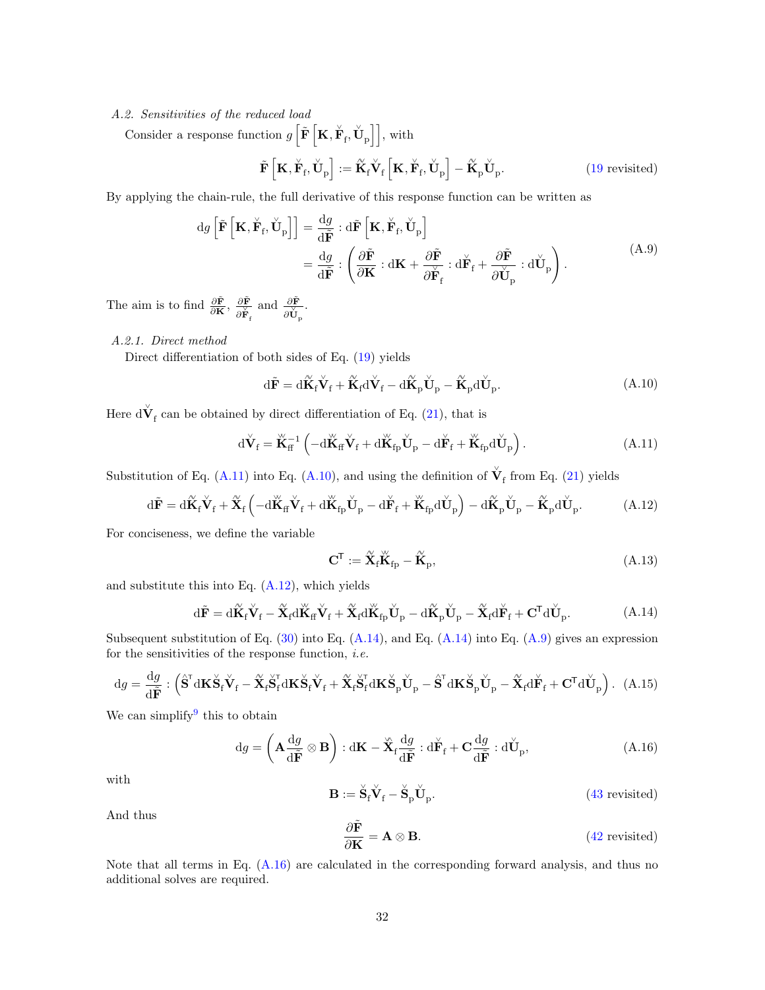### A.2. Sensitivities of the reduced load

Consider a response function  $g\left[\tilde{\mathbf{F}}\left[\mathbf{K}, \breve{\mathbf{F}}_{f}, \breve{\mathbf{U}}_{p}\right]\right]$ , with

<span id="page-31-5"></span>
$$
\tilde{\mathbf{F}}\left[\mathbf{K}, \check{\mathbf{F}}_{\rm f}, \check{\mathbf{U}}_{\rm p}\right] := \overset{\sim}{\mathbf{K}}_{\rm f} \check{\mathbf{V}}_{\rm f}\left[\mathbf{K}, \check{\mathbf{F}}_{\rm f}, \check{\mathbf{U}}_{\rm p}\right] - \overset{\sim}{\mathbf{K}}_{\rm p} \check{\mathbf{U}}_{\rm p}.
$$
\n(19 revisited)

By applying the chain-rule, the full derivative of this response function can be written as

$$
dg\left[\tilde{\mathbf{F}}\left[\mathbf{K}, \check{\mathbf{F}}_{f}, \check{\mathbf{U}}_{p}\right]\right] = \frac{dg}{d\tilde{\mathbf{F}}} : d\tilde{\mathbf{F}}\left[\mathbf{K}, \check{\mathbf{F}}_{f}, \check{\mathbf{U}}_{p}\right]
$$

$$
= \frac{dg}{d\tilde{\mathbf{F}}} : \left(\frac{\partial \tilde{\mathbf{F}}}{\partial \mathbf{K}} : d\mathbf{K} + \frac{\partial \tilde{\mathbf{F}}}{\partial \check{\mathbf{F}}_{f}} : d\check{\mathbf{F}}_{f} + \frac{\partial \tilde{\mathbf{F}}}{\partial \check{\mathbf{U}}_{p}} : d\check{\mathbf{U}}_{p}\right).
$$
(A.9)

The aim is to find  $\frac{\partial \tilde{\mathbf{F}}}{\partial \mathbf{K}}$ ,  $\frac{\partial \tilde{\mathbf{F}}}{\partial \tilde{\mathbf{F}}}$  $\overline{\partial\breve{\mathbf{F}}_{\rm f}}$ and  $\frac{\partial \tilde{\mathbf{F}}}{\partial \mathbf{U}_{\mathbf{p}}}.$ 

# <span id="page-31-0"></span>A.2.1. Direct method

Direct differentiation of both sides of Eq. [\(19\)](#page-8-5) yields

$$
\mathrm{d}\tilde{\mathbf{F}} = \mathrm{d}\tilde{\mathbf{K}}_{\mathrm{f}}\check{\mathbf{V}}_{\mathrm{f}} + \tilde{\mathbf{K}}_{\mathrm{f}}\mathrm{d}\check{\mathbf{V}}_{\mathrm{f}} - \mathrm{d}\tilde{\mathbf{K}}_{\mathrm{p}}\check{\mathbf{U}}_{\mathrm{p}} - \tilde{\mathbf{K}}_{\mathrm{p}}\mathrm{d}\check{\mathbf{U}}_{\mathrm{p}}.\tag{A.10}
$$

Here  $d\check{\mathbf{V}}_{\mathrm{f}}$  can be obtained by direct differentiation of Eq. [\(21\)](#page-8-7), that is

<span id="page-31-1"></span>
$$
\mathrm{d}\check{\mathbf{V}}_{\mathrm{f}} = \check{\mathbf{K}}_{\mathrm{f}}^{-1} \left( -\mathrm{d}\check{\mathbf{K}}_{\mathrm{f}} \check{\mathbf{V}}_{\mathrm{f}} + \mathrm{d}\check{\mathbf{K}}_{\mathrm{fp}} \check{\mathbf{U}}_{\mathrm{p}} - \mathrm{d}\check{\mathbf{F}}_{\mathrm{f}} + \check{\mathbf{K}}_{\mathrm{fp}} \mathrm{d}\check{\mathbf{U}}_{\mathrm{p}} \right). \tag{A.11}
$$

Substitution of Eq. [\(A.11\)](#page-31-1) into Eq. [\(A.10\)](#page-31-2), and using the definition of  $\check{\mathbf{V}}_f$  from Eq. [\(21\)](#page-8-7) yields

$$
\mathrm{d}\tilde{\mathbf{F}} = \mathrm{d}\tilde{\mathbf{K}}_{\mathrm{f}}\check{\mathbf{V}}_{\mathrm{f}} + \tilde{\mathbf{X}}_{\mathrm{f}}\left(-\mathrm{d}\breve{\mathbf{K}}_{\mathrm{f}}\check{\mathbf{V}}_{\mathrm{f}} + \mathrm{d}\breve{\mathbf{K}}_{\mathrm{f}\mathrm{p}}\check{\mathbf{U}}_{\mathrm{p}} - \mathrm{d}\breve{\mathbf{F}}_{\mathrm{f}} + \breve{\mathbf{K}}_{\mathrm{f}\mathrm{p}}\mathrm{d}\check{\mathbf{U}}_{\mathrm{p}}\right) - \mathrm{d}\tilde{\mathbf{K}}_{\mathrm{p}}\check{\mathbf{U}}_{\mathrm{p}} - \tilde{\mathbf{K}}_{\mathrm{p}}\mathrm{d}\check{\mathbf{U}}_{\mathrm{p}}.\tag{A.12}
$$

For conciseness, we define the variable

<span id="page-31-7"></span><span id="page-31-4"></span><span id="page-31-3"></span><span id="page-31-2"></span>
$$
\mathbf{C}^{\mathsf{T}} := \widetilde{\mathbf{X}}_{\mathsf{f}} \widetilde{\mathbf{K}}_{\mathsf{fp}} - \widetilde{\mathbf{K}}_{\mathsf{p}},\tag{A.13}
$$

and substitute this into Eq.  $(A.12)$ , which yields

$$
\mathrm{d}\tilde{\mathbf{F}} = \mathrm{d}\tilde{\mathbf{K}}_{\mathrm{f}}\check{\mathbf{V}}_{\mathrm{f}} - \tilde{\mathbf{X}}_{\mathrm{f}}\mathrm{d}\check{\mathbf{K}}_{\mathrm{f}}\check{\mathbf{V}}_{\mathrm{f}} + \tilde{\mathbf{X}}_{\mathrm{f}}\mathrm{d}\check{\mathbf{K}}_{\mathrm{fp}}\check{\mathbf{U}}_{\mathrm{p}} - \mathrm{d}\tilde{\mathbf{K}}_{\mathrm{p}}\check{\mathbf{U}}_{\mathrm{p}} - \tilde{\mathbf{X}}_{\mathrm{f}}\mathrm{d}\check{\mathbf{F}}_{\mathrm{f}} + \mathbf{C}^{\mathsf{T}}\mathrm{d}\check{\mathbf{U}}_{\mathrm{p}}.\tag{A.14}
$$

Subsequent substitution of Eq.  $(30)$  into Eq.  $(A.14)$ , and Eq.  $(A.14)$  into Eq.  $(A.9)$  gives an expression for the sensitivities of the response function, *i.e.* 

$$
\mathrm{d}g = \frac{\mathrm{d}g}{\mathrm{d}\tilde{\mathbf{F}}} : \left( \hat{\mathbf{S}}^{\mathsf{T}} \mathrm{d}\mathbf{K} \check{\mathbf{S}}_{\mathsf{f}} \check{\mathbf{V}}_{\mathsf{f}} - \tilde{\mathbf{X}}_{\mathsf{f}} \check{\mathbf{S}}_{\mathsf{f}}^{\mathsf{T}} \mathrm{d}\mathbf{K} \check{\mathbf{S}}_{\mathsf{f}} \check{\mathbf{V}}_{\mathsf{f}} + \tilde{\mathbf{X}}_{\mathsf{f}} \check{\mathbf{S}}_{\mathsf{f}}^{\mathsf{T}} \mathrm{d}\mathbf{K} \check{\mathbf{S}}_{\mathsf{p}} \check{\mathbf{U}}_{\mathsf{p}} - \hat{\mathbf{S}}^{\mathsf{T}} \mathrm{d}\mathbf{K} \check{\mathbf{S}}_{\mathsf{p}} \check{\mathbf{U}}_{\mathsf{p}} - \tilde{\mathbf{X}}_{\mathsf{f}} \mathrm{d}\check{\mathbf{F}}_{\mathsf{f}} + \mathbf{C}^{\mathsf{T}} \mathrm{d}\check{\mathbf{U}}_{\mathsf{p}} \right). (A.15)
$$

We can simplify this to obtain

<span id="page-31-6"></span>
$$
\mathrm{d}g = \left(\mathbf{A}\frac{\mathrm{d}g}{\mathrm{d}\tilde{\mathbf{F}}}\otimes\mathbf{B}\right): \mathrm{d}\mathbf{K} - \mathbf{\tilde{X}}_{\mathrm{f}}\frac{\mathrm{d}g}{\mathrm{d}\tilde{\mathbf{F}}}: \mathrm{d}\mathbf{\tilde{F}}_{\mathrm{f}} + \mathbf{C}\frac{\mathrm{d}g}{\mathrm{d}\tilde{\mathbf{F}}}: \mathrm{d}\mathbf{\tilde{U}}_{\mathrm{p}},\tag{A.16}
$$

with

$$
\mathbf{B} := \check{\mathbf{S}}_{\mathrm{f}} \check{\mathbf{V}}_{\mathrm{f}} - \check{\mathbf{S}}_{\mathrm{p}} \check{\mathbf{U}}_{\mathrm{p}}.
$$
 (43 revisited)

And thus

$$
\frac{\partial \tilde{\mathbf{F}}}{\partial \mathbf{K}} = \mathbf{A} \otimes \mathbf{B}.
$$
 (42 revisited)

Note that all terms in Eq. [\(A.16\)](#page-31-6) are calculated in the corresponding forward analysis, and thus no additional solves are required.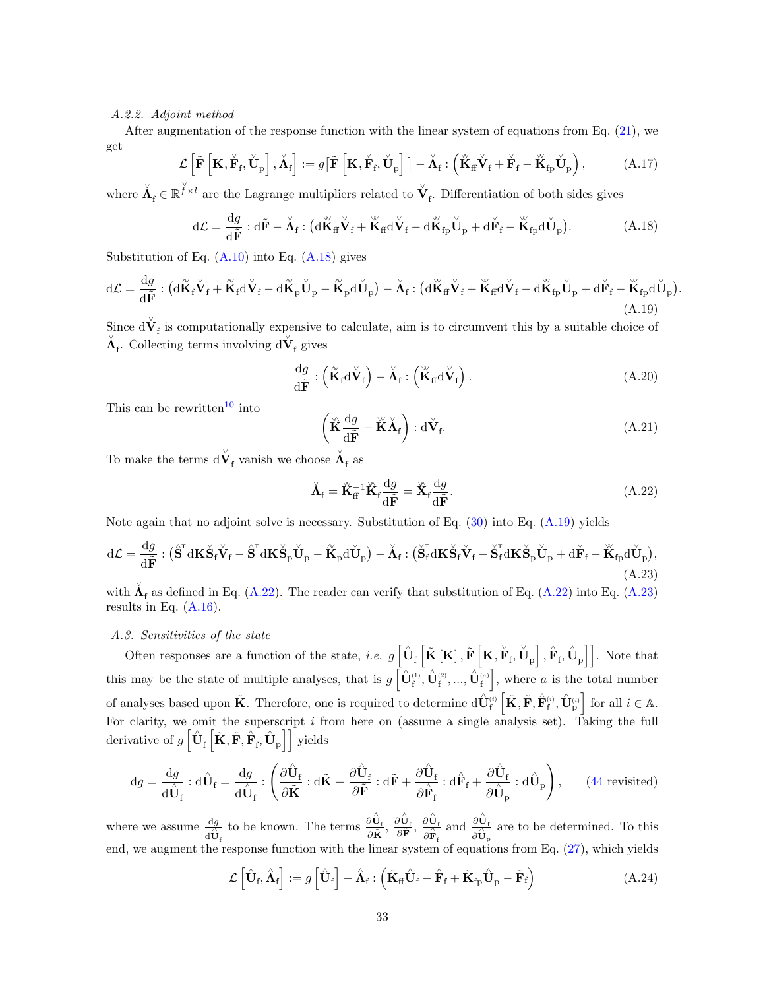# <span id="page-32-0"></span>A.2.2. Adjoint method

After augmentation of the response function with the linear system of equations from Eq.  $(21)$ , we get

$$
\mathcal{L}\left[\tilde{\mathbf{F}}\left[\mathbf{K}, \check{\mathbf{F}}_{\rm f}, \check{\mathbf{U}}_{\rm p}\right], \check{\mathbf{\Lambda}}_{\rm f}\right] := g\left[\tilde{\mathbf{F}}\left[\mathbf{K}, \check{\mathbf{F}}_{\rm f}, \check{\mathbf{U}}_{\rm p}\right]\right] - \check{\mathbf{\Lambda}}_{\rm f} : \left(\check{\mathbf{K}}_{\rm f} \check{\mathbf{V}}_{\rm f} + \check{\mathbf{F}}_{\rm f} - \check{\mathbf{K}}_{\rm fp} \check{\mathbf{U}}_{\rm p}\right),\tag{A.17}
$$

where  $\check{A}_f \in \mathbb{R}^{\check{f} \times l}$  are the Lagrange multipliers related to  $\check{V}_f$ . Differentiation of both sides gives

<span id="page-32-2"></span>
$$
d\mathcal{L} = \frac{dg}{d\tilde{F}} : d\tilde{F} - \check{\Lambda}_{f} : (d\breve{K}_{ff}\breve{V}_{f} + \breve{K}_{ff}d\breve{V}_{f} - d\breve{K}_{fp}\breve{U}_{p} + d\breve{F}_{f} - \breve{K}_{fp}d\breve{U}_{p}). \tag{A.18}
$$

Substitution of Eq.  $(A.10)$  into Eq.  $(A.18)$  gives

<span id="page-32-3"></span>
$$
d\mathcal{L} = \frac{dg}{d\tilde{F}} : (d\tilde{K}_{f}\check{V}_{f} + \tilde{K}_{f}d\check{V}_{f} - d\tilde{K}_{p}\check{U}_{p} - \tilde{K}_{p}d\check{U}_{p}) - \check{\Lambda}_{f} : (d\check{K}_{f}f\check{V}_{f} + \check{K}_{f}d\check{V}_{f} - d\check{K}_{fp}\check{U}_{p} + d\check{F}_{f} - \check{K}_{fp}d\check{U}_{p}).
$$
\n(A.19)

Since  $d\check{\mathbf{V}}_f$  is computationally expensive to calculate, aim is to circumvent this by a suitable choice of  $\check{\mathbf{\Lambda}}_{\mathrm{f}}$  . Collecting terms involving  $\mathrm{d}\check{\mathbf{V}}_{\mathrm{f}}$  gives

$$
\frac{\mathrm{d}g}{\mathrm{d}\tilde{\mathbf{F}}} : \left(\tilde{\mathbf{K}}_{\mathrm{f}} \mathrm{d}\check{\mathbf{V}}_{\mathrm{f}}\right) - \check{\mathbf{\Lambda}}_{\mathrm{f}} : \left(\check{\mathbf{K}}_{\mathrm{ff}} \mathrm{d}\check{\mathbf{V}}_{\mathrm{f}}\right). \tag{A.20}
$$

This can be rewritten<sup>[10](#page-30-2)</sup> into

$$
\left(\mathbf{\tilde{K}}\frac{\mathrm{d}g}{\mathrm{d}\tilde{\mathbf{F}}}-\mathbf{\tilde{K}}\mathbf{\tilde{\Lambda}}_{\mathrm{f}}\right):\mathrm{d}\mathbf{\tilde{V}}_{\mathrm{f}}.\tag{A.21}
$$

To make the terms  $\text{d}\check{\mathbf{V}}_{\mathrm{f}}$  vanish we choose  $\check{\mathbf{\Lambda}}_{\mathrm{f}}$  as

<span id="page-32-4"></span>
$$
\check{\mathbf{\Lambda}}_{\mathbf{f}} = \check{\mathbf{K}}_{\mathbf{f}}^{-1} \check{\mathbf{K}}_{\mathbf{f}} \frac{\mathrm{d}g}{\mathrm{d}\tilde{\mathbf{F}}} = \check{\mathbf{X}}_{\mathbf{f}} \frac{\mathrm{d}g}{\mathrm{d}\tilde{\mathbf{F}}}.
$$
\n(A.22)

Note again that no adjoint solve is necessary. Substitution of Eq.  $(30)$  into Eq.  $(A.19)$  yields

<span id="page-32-5"></span>
$$
d\mathcal{L} = \frac{dg}{d\tilde{F}} : (\hat{\mathbf{S}}^{T} d\mathbf{K} \check{\mathbf{S}}_{f} \check{\mathbf{V}}_{f} - \hat{\mathbf{S}}^{T} d\mathbf{K} \check{\mathbf{S}}_{p} \check{\mathbf{U}}_{p} - \tilde{\mathbf{K}}_{p} d\check{\mathbf{U}}_{p}) - \check{\mathbf{\Lambda}}_{f} : (\check{\mathbf{S}}_{f}^{T} d\mathbf{K} \check{\mathbf{S}}_{f} \check{\mathbf{V}}_{f} - \check{\mathbf{S}}_{f}^{T} d\mathbf{K} \check{\mathbf{S}}_{p} \check{\mathbf{U}}_{p} + d\check{\mathbf{F}}_{f} - \check{\mathbf{K}}_{fp} d\check{\mathbf{U}}_{p}),
$$
(A.23)

with  $\check{\Lambda}_{\rm f}$  as defined in Eq. [\(A.22\)](#page-32-4). The reader can verify that substitution of Eq. (A.22) into Eq. [\(A.23\)](#page-32-5) results in Eq.  $(A.16)$ .

# <span id="page-32-1"></span>A.3. Sensitivities of the state

Often responses are a function of the state, *i.e.*  $g\left[\hat{\mathbf{U}}_{\text{f}}\left[\tilde{\mathbf{K}}\left[\mathbf{K}\right], \tilde{\mathbf{F}}\left[\mathbf{K}, \breve{\mathbf{F}}_{\text{f}}, \breve{\mathbf{U}}_{\text{p}}\right], \hat{\mathbf{F}}_{\text{f}}, \hat{\mathbf{U}}_{\text{p}}\right]\right]$ . Note that this may be the state of multiple analyses, that is  $g\left[\hat{\mathbf{U}}_f^{(1)}, \hat{\mathbf{U}}_f^{(2)}, ..., \hat{\mathbf{U}}_f^{(a)}\right]$ , where a is the total number of analyses based upon  $\tilde{\mathbf{K}}$ . Therefore, one is required to determine  $d\hat{\mathbf{U}}_{f}^{(i)}\left[\tilde{\mathbf{K}}, \tilde{\mathbf{F}}, \hat{\mathbf{F}}_{f}^{(i)}, \hat{\mathbf{U}}_{p}^{(i)}\right]$  for all  $i \in \mathbb{A}$ . For clarity, we omit the superscript  $i$  from here on (assume a single analysis set). Taking the full derivative of  $g\left[\hat{\mathbf{U}}_{\text{f}}\left[\tilde{\mathbf{K}},\tilde{\mathbf{F}},\hat{\mathbf{F}}_{\text{f}},\hat{\mathbf{U}}_{\text{p}}\right]\right]$  yields

$$
\mathrm{d}g = \frac{\mathrm{d}g}{\mathrm{d}\hat{\mathbf{U}}_{\mathrm{f}}} : \mathrm{d}\hat{\mathbf{U}}_{\mathrm{f}} = \frac{\mathrm{d}g}{\mathrm{d}\hat{\mathbf{U}}_{\mathrm{f}}} : \left( \frac{\partial \hat{\mathbf{U}}_{\mathrm{f}}}{\partial \tilde{\mathbf{K}}} : \mathrm{d}\tilde{\mathbf{K}} + \frac{\partial \hat{\mathbf{U}}_{\mathrm{f}}}{\partial \tilde{\mathbf{F}}} : \mathrm{d}\tilde{\mathbf{F}} + \frac{\partial \hat{\mathbf{U}}_{\mathrm{f}}}{\partial \hat{\mathbf{F}}_{\mathrm{f}}} : \mathrm{d}\hat{\mathbf{F}}_{\mathrm{f}} + \frac{\partial \hat{\mathbf{U}}_{\mathrm{f}}}{\partial \hat{\mathbf{U}}_{\mathrm{p}}} : \mathrm{d}\hat{\mathbf{U}}_{\mathrm{p}} \right), \qquad (44 \text{ revisited})
$$

where we assume  $\frac{dg}{d\hat{U}_f}$ to be known. The terms  $\frac{\partial \hat{\mathbf{U}}_{\text{f}}}{\partial \tilde{\mathbf{V}}}$  $\frac{\partial \hat{\mathbf{U}}_{\text{f}}}{\partial \tilde{\mathbf{K}}}, \, \frac{\partial \hat{\mathbf{U}}_{\text{f}}}{\partial \tilde{\mathbf{F}}}, \, \frac{\partial \hat{\mathbf{U}}_{\text{f}}}{\partial \hat{\mathbf{F}}_{\text{c}}}$  $\overline{\partial\overset{\wedge}{\mathbf{F}}_{\mathrm{f}}}$ and  $\frac{\partial \hat{\mathbf{U}}_{\text{f}}}{\partial \mathbf{A}}$  $\frac{\partial \mathbf{O}_{\mathbf{f}}}{\partial \hat{\mathbf{U}}_{\mathbf{p}}}$  are to be determined. To this end, we augment the response function with the linear system of equations from Eq. [\(27\)](#page-10-0), which yields

$$
\mathcal{L}\left[\hat{\mathbf{U}}_{\mathrm{f}}, \hat{\mathbf{\Lambda}}_{\mathrm{f}}\right] := g\left[\hat{\mathbf{U}}_{\mathrm{f}}\right] - \hat{\mathbf{\Lambda}}_{\mathrm{f}} : \left(\tilde{\mathbf{K}}_{\mathrm{ff}}\hat{\mathbf{U}}_{\mathrm{f}} - \hat{\mathbf{F}}_{\mathrm{f}} + \tilde{\mathbf{K}}_{\mathrm{fp}}\hat{\mathbf{U}}_{\mathrm{p}} - \tilde{\mathbf{F}}_{\mathrm{f}}\right) \tag{A.24}
$$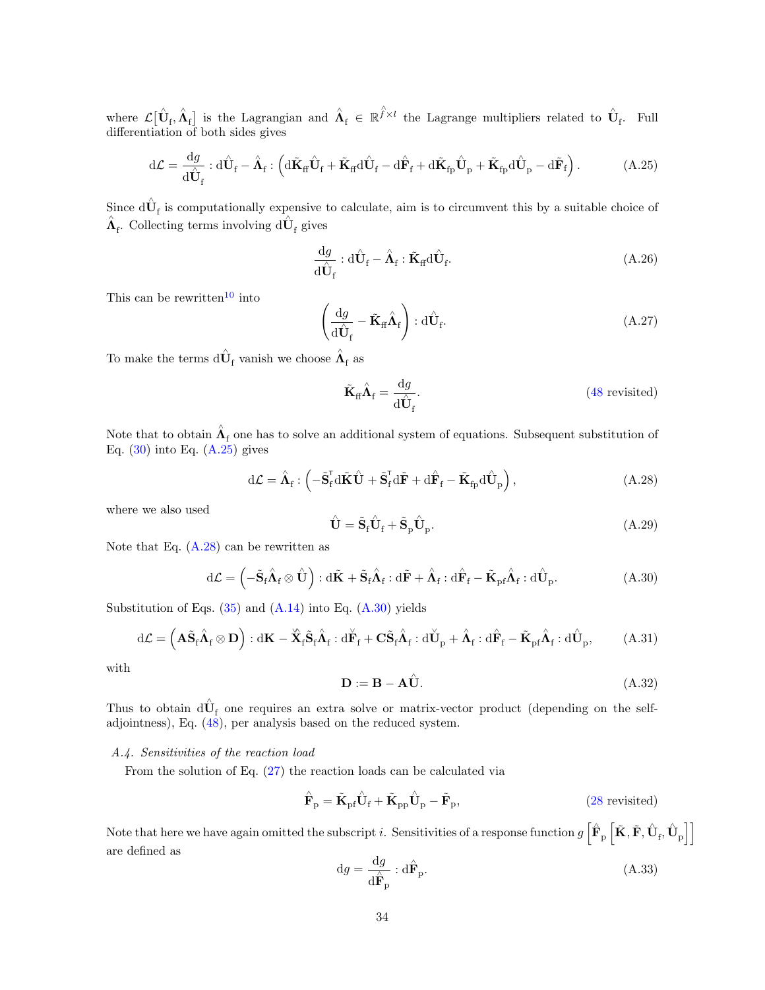where  $\mathcal{L}[\hat{\mathbf{U}}_{\text{f}}, \hat{\mathbf{\Lambda}}_{\text{f}}]$  is the Lagrangian and  $\hat{\mathbf{\Lambda}}_{\text{f}} \in \mathbb{R}^{\hat{f} \times l}$  the Lagrange multipliers related to  $\hat{\mathbf{U}}_{\text{f}}$ . Full differentiation of both sides gives

<span id="page-33-1"></span>
$$
d\mathcal{L} = \frac{dg}{d\hat{U}_f} : d\hat{U}_f - \hat{\Lambda}_f : \left( d\tilde{\mathbf{K}}_f \hat{\mathbf{U}}_f + \tilde{\mathbf{K}}_f d\hat{\mathbf{U}}_f - d\hat{\mathbf{F}}_f + d\tilde{\mathbf{K}}_{fp} \hat{\mathbf{U}}_p + \tilde{\mathbf{K}}_{fp} d\hat{\mathbf{U}}_p - d\tilde{\mathbf{F}}_f \right).
$$
 (A.25)

Since  $d\hat{\mathbf{U}}_f$  is computationally expensive to calculate, aim is to circumvent this by a suitable choice of  $\hat{\mathbf{\Lambda}}_{\rm f}.$  Collecting terms involving  ${\rm d}\hat{\mathbf{U}}_{\rm f}$  gives

$$
\frac{\mathrm{d}g}{\mathrm{d}\hat{\mathbf{U}}_{\mathrm{f}}}:\mathrm{d}\hat{\mathbf{U}}_{\mathrm{f}}-\hat{\mathbf{\Lambda}}_{\mathrm{f}}:\tilde{\mathbf{K}}_{\mathrm{ff}}\mathrm{d}\hat{\mathbf{U}}_{\mathrm{f}}.\tag{A.26}
$$

This can be rewritten<sup>[10](#page-30-2)</sup> into

$$
\left(\frac{\mathrm{d}g}{\mathrm{d}\hat{\mathbf{U}}_{\mathrm{f}}}-\tilde{\mathbf{K}}_{\mathrm{ff}}\hat{\mathbf{\Lambda}}_{\mathrm{f}}\right):\mathrm{d}\hat{\mathbf{U}}_{\mathrm{f}}.\tag{A.27}
$$

To make the terms  $\hat{\mathrm{d}} \hat{\mathrm{U}}_\mathrm{f}$  vanish we choose  $\hat{\mathrm{A}}_\mathrm{f}$  as

$$
\tilde{\mathbf{K}}_{\text{ff}} \hat{\mathbf{\Lambda}}_{\text{f}} = \frac{\mathrm{d}g}{\mathrm{d}\hat{\mathbf{U}}_{\text{f}}}.
$$
\n(48 revisited)

Note that to obtain  $\hat{\Lambda}_{\mathrm{f}}$  one has to solve an additional system of equations. Subsequent substitution of Eq.  $(30)$  into Eq.  $(A.25)$  gives

<span id="page-33-2"></span>
$$
d\mathcal{L} = \hat{\Lambda}_{f} : \left( -\tilde{\mathbf{S}}_{f}^{T} d\tilde{\mathbf{K}} \hat{\mathbf{U}} + \tilde{\mathbf{S}}_{f}^{T} d\tilde{\mathbf{F}} + d\hat{\mathbf{F}}_{f} - \tilde{\mathbf{K}}_{fp} d\hat{\mathbf{U}}_{p} \right), \tag{A.28}
$$

where we also used

<span id="page-33-4"></span>
$$
\hat{\mathbf{U}} = \tilde{\mathbf{S}}_{\text{f}} \hat{\mathbf{U}}_{\text{f}} + \tilde{\mathbf{S}}_{\text{p}} \hat{\mathbf{U}}_{\text{p}}.
$$
\n(A.29)

Note that Eq.  $(A.28)$  can be rewritten as

<span id="page-33-3"></span>
$$
d\mathcal{L} = \left(-\tilde{\mathbf{S}}_{f}\hat{\mathbf{\Lambda}}_{f} \otimes \hat{\mathbf{U}}\right) : d\tilde{\mathbf{K}} + \tilde{\mathbf{S}}_{f}\hat{\mathbf{\Lambda}}_{f} : d\tilde{\mathbf{F}} + \hat{\mathbf{\Lambda}}_{f} : d\hat{\mathbf{F}}_{f} - \tilde{\mathbf{K}}_{pf}\hat{\mathbf{\Lambda}}_{f} : d\hat{\mathbf{U}}_{p}.
$$
 (A.30)

Substitution of Eqs.  $(35)$  and  $(A.14)$  into Eq.  $(A.30)$  yields

$$
d\mathcal{L} = \left( \mathbf{A}\tilde{\mathbf{S}}_{\mathbf{f}}\hat{\mathbf{\Lambda}}_{\mathbf{f}} \otimes \mathbf{D} \right) : d\mathbf{K} - \tilde{\mathbf{X}}_{\mathbf{f}}\tilde{\mathbf{S}}_{\mathbf{f}}\hat{\mathbf{\Lambda}}_{\mathbf{f}} : d\check{\mathbf{F}}_{\mathbf{f}} + \mathbf{C}\tilde{\mathbf{S}}_{\mathbf{f}}\hat{\mathbf{\Lambda}}_{\mathbf{f}} : d\check{\mathbf{U}}_{\mathbf{p}} + \hat{\mathbf{\Lambda}}_{\mathbf{f}} : d\hat{\mathbf{F}}_{\mathbf{f}} - \tilde{\mathbf{K}}_{\mathbf{p}\mathbf{f}}\hat{\mathbf{\Lambda}}_{\mathbf{f}} : d\hat{\mathbf{U}}_{\mathbf{p}}, \tag{A.31}
$$

with

<span id="page-33-5"></span>
$$
\mathbf{D} := \mathbf{B} - \mathbf{A}\hat{\mathbf{U}}.\tag{A.32}
$$

Thus to obtain  $d\hat{\mathbf{U}}_f$  one requires an extra solve or matrix-vector product (depending on the selfadjointness), Eq. [\(48\)](#page-15-1), per analysis based on the reduced system.

### <span id="page-33-0"></span>A.4. Sensitivities of the reaction load

From the solution of Eq. [\(27\)](#page-10-0) the reaction loads can be calculated via

$$
\hat{\mathbf{F}}_{\mathbf{p}} = \tilde{\mathbf{K}}_{\mathbf{p}\mathbf{f}} \hat{\mathbf{U}}_{\mathbf{f}} + \tilde{\mathbf{K}}_{\mathbf{p}\mathbf{p}} \hat{\mathbf{U}}_{\mathbf{p}} - \tilde{\mathbf{F}}_{\mathbf{p}},
$$
\n(28 revisited)

Note that here we have again omitted the subscript *i*. Sensitivities of a response function  $g\left[\hat{\mathbf{F}}_{\text{p}}\left[\tilde{\mathbf{K}},\tilde{\mathbf{F}},\hat{\mathbf{U}}_{\text{f}},\hat{\mathbf{U}}_{\text{p}}\right]\right]$ are defined as

$$
dg = \frac{dg}{d\hat{F}_p} : d\hat{F}_p.
$$
\n(A.33)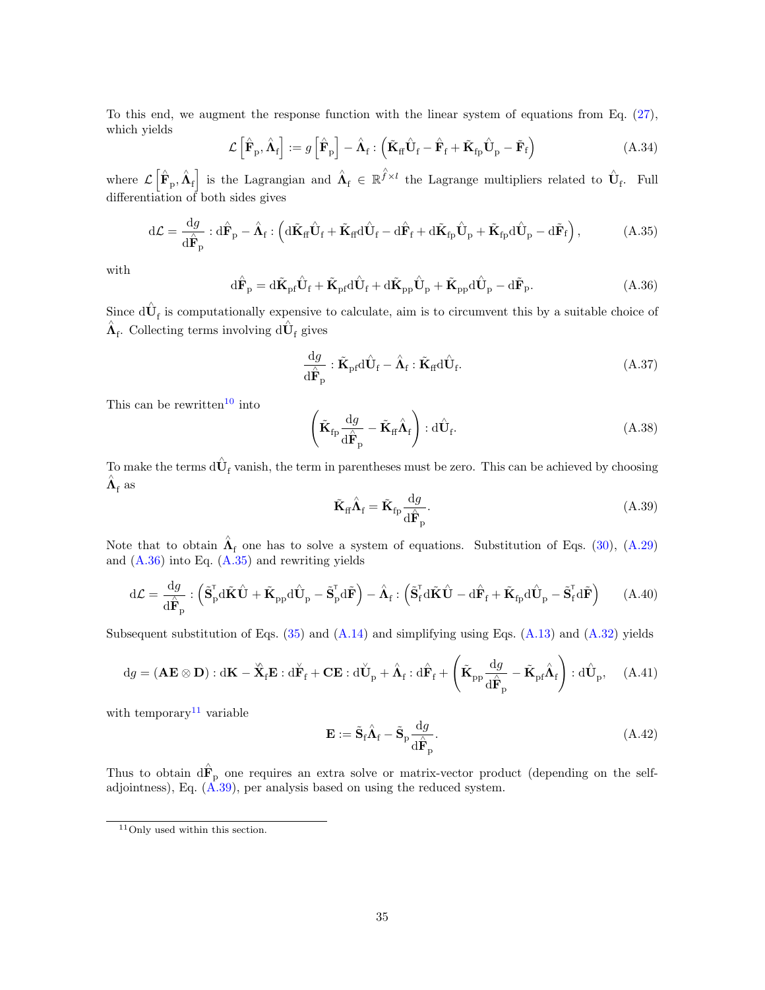To this end, we augment the response function with the linear system of equations from Eq. [\(27\)](#page-10-0), which yields

$$
\mathcal{L}\left[\hat{\mathbf{F}}_{\mathrm{p}}, \hat{\mathbf{\Lambda}}_{\mathrm{f}}\right] := g\left[\hat{\mathbf{F}}_{\mathrm{p}}\right] - \hat{\mathbf{\Lambda}}_{\mathrm{f}} : \left(\tilde{\mathbf{K}}_{\mathrm{f}\mathrm{f}}\hat{\mathbf{U}}_{\mathrm{f}} - \hat{\mathbf{F}}_{\mathrm{f}} + \tilde{\mathbf{K}}_{\mathrm{fp}}\hat{\mathbf{U}}_{\mathrm{p}} - \tilde{\mathbf{F}}_{\mathrm{f}}\right) \tag{A.34}
$$

where  $\mathcal{L}\left[\hat{\mathbf{F}}_{\text{p}},\hat{\mathbf{\Lambda}}_{\text{f}}\right]$  is the Lagrangian and  $\hat{\mathbf{\Lambda}}_{\text{f}} \in \mathbb{R}^{\hat{f}\times l}$  the Lagrange multipliers related to  $\hat{\mathbf{U}}_{\text{f}}$ . Full differentiation of both sides gives

<span id="page-34-1"></span>
$$
d\mathcal{L} = \frac{dg}{d\hat{\mathbf{F}}_p} \cdot d\hat{\mathbf{F}}_p - \hat{\mathbf{\Lambda}}_f : \left( d\tilde{\mathbf{K}}_f \hat{\mathbf{U}}_f + \tilde{\mathbf{K}}_f d\hat{\mathbf{U}}_f - d\hat{\mathbf{F}}_f + d\tilde{\mathbf{K}}_{fp} \hat{\mathbf{U}}_p + \tilde{\mathbf{K}}_{fp} d\hat{\mathbf{U}}_p - d\tilde{\mathbf{F}}_f \right), \tag{A.35}
$$

with

<span id="page-34-0"></span>
$$
\mathrm{d}\hat{\mathbf{F}}_{\mathrm{p}} = \mathrm{d}\tilde{\mathbf{K}}_{\mathrm{pf}}\hat{\mathbf{U}}_{\mathrm{f}} + \tilde{\mathbf{K}}_{\mathrm{pf}}\mathrm{d}\hat{\mathbf{U}}_{\mathrm{f}} + \mathrm{d}\tilde{\mathbf{K}}_{\mathrm{pp}}\hat{\mathbf{U}}_{\mathrm{p}} + \tilde{\mathbf{K}}_{\mathrm{pp}}\mathrm{d}\hat{\mathbf{U}}_{\mathrm{p}} - \mathrm{d}\tilde{\mathbf{F}}_{\mathrm{p}}.\tag{A.36}
$$

Since  $d\hat{\mathbf{U}}_f$  is computationally expensive to calculate, aim is to circumvent this by a suitable choice of  $\hat{\mathbf{\Lambda}}_{\rm f}.$  Collecting terms involving  ${\rm d}\hat{\mathbf{U}}_{\rm f}$  gives

$$
\frac{\mathrm{d}g}{\mathrm{d}\hat{\mathbf{F}}_{\mathrm{p}}} : \tilde{\mathbf{K}}_{\mathrm{pf}} \mathrm{d}\hat{\mathbf{U}}_{\mathrm{f}} - \hat{\mathbf{\Lambda}}_{\mathrm{f}} : \tilde{\mathbf{K}}_{\mathrm{ff}} \mathrm{d}\hat{\mathbf{U}}_{\mathrm{f}}.\tag{A.37}
$$

This can be rewritten<sup>[10](#page-30-2)</sup> into

$$
\left(\tilde{\mathbf{K}}_{\text{fp}}\frac{\mathrm{d}g}{\mathrm{d}\hat{\mathbf{F}}_{\text{p}}}-\tilde{\mathbf{K}}_{\text{ff}}\hat{\mathbf{\Lambda}}_{\text{f}}\right):\mathrm{d}\hat{\mathbf{U}}_{\text{f}}.\tag{A.38}
$$

To make the terms  $d\hat{\mathbf{U}}_f$  vanish, the term in parentheses must be zero. This can be achieved by choosing  $\hat{\mathbf{\Lambda}}_{\rm f}$  as

<span id="page-34-3"></span>
$$
\tilde{\mathbf{K}}_{\text{ff}} \hat{\Lambda}_{\text{f}} = \tilde{\mathbf{K}}_{\text{fp}} \frac{\mathrm{d}g}{\mathrm{d}\hat{\mathbf{F}}_{\text{p}}}.\tag{A.39}
$$

Note that to obtain  $\hat{\Lambda}_{\rm f}$  one has to solve a system of equations. Substitution of Eqs. [\(30\)](#page-12-0), [\(A.29\)](#page-33-4) and [\(A.36\)](#page-34-0) into Eq. [\(A.35\)](#page-34-1) and rewriting yields

$$
d\mathcal{L} = \frac{dg}{d\hat{\mathbf{F}}_p} : \left( \tilde{\mathbf{S}}_p^{\mathsf{T}} d\tilde{\mathbf{K}} \hat{\mathbf{U}} + \tilde{\mathbf{K}}_{pp} d\hat{\mathbf{U}}_p - \tilde{\mathbf{S}}_p^{\mathsf{T}} d\tilde{\mathbf{F}} \right) - \hat{\mathbf{\Lambda}}_f : \left( \tilde{\mathbf{S}}_f^{\mathsf{T}} d\tilde{\mathbf{K}} \hat{\mathbf{U}} - d\hat{\mathbf{F}}_f + \tilde{\mathbf{K}}_{fp} d\hat{\mathbf{U}}_p - \tilde{\mathbf{S}}_f^{\mathsf{T}} d\tilde{\mathbf{F}} \right) \tag{A.40}
$$

Subsequent substitution of Eqs.  $(35)$  and  $(A.14)$  and simplifying using Eqs.  $(A.13)$  and  $(A.32)$  yields

$$
dg = (\mathbf{A}\mathbf{E} \otimes \mathbf{D}) : d\mathbf{K} - \mathbf{\hat{X}}_f \mathbf{E} : d\mathbf{\hat{F}}_f + \mathbf{C}\mathbf{E} : d\mathbf{\hat{U}}_p + \mathbf{\hat{A}}_f : d\mathbf{\hat{F}}_f + \left(\mathbf{\tilde{K}}_{pp}\frac{dg}{d\mathbf{\hat{F}}_p} - \mathbf{\tilde{K}}_{pf}\mathbf{\hat{A}}_f\right) : d\mathbf{\hat{U}}_p, \quad (A.41)
$$

with temporary<br> $\real^{11}$  $\real^{11}$  $\real^{11}$  variable

$$
\mathbf{E} := \tilde{\mathbf{S}}_{\text{f}} \hat{\mathbf{\Lambda}}_{\text{f}} - \tilde{\mathbf{S}}_{\text{p}} \frac{\mathrm{d}g}{\mathrm{d}\hat{\mathbf{F}}_{\text{p}}}.
$$
 (A.42)

Thus to obtain  $\hat{dF}_p$  one requires an extra solve or matrix-vector product (depending on the selfadjointness), Eq. [\(A.39\)](#page-34-3), per analysis based on using the reduced system.

<span id="page-34-2"></span><sup>11</sup>Only used within this section.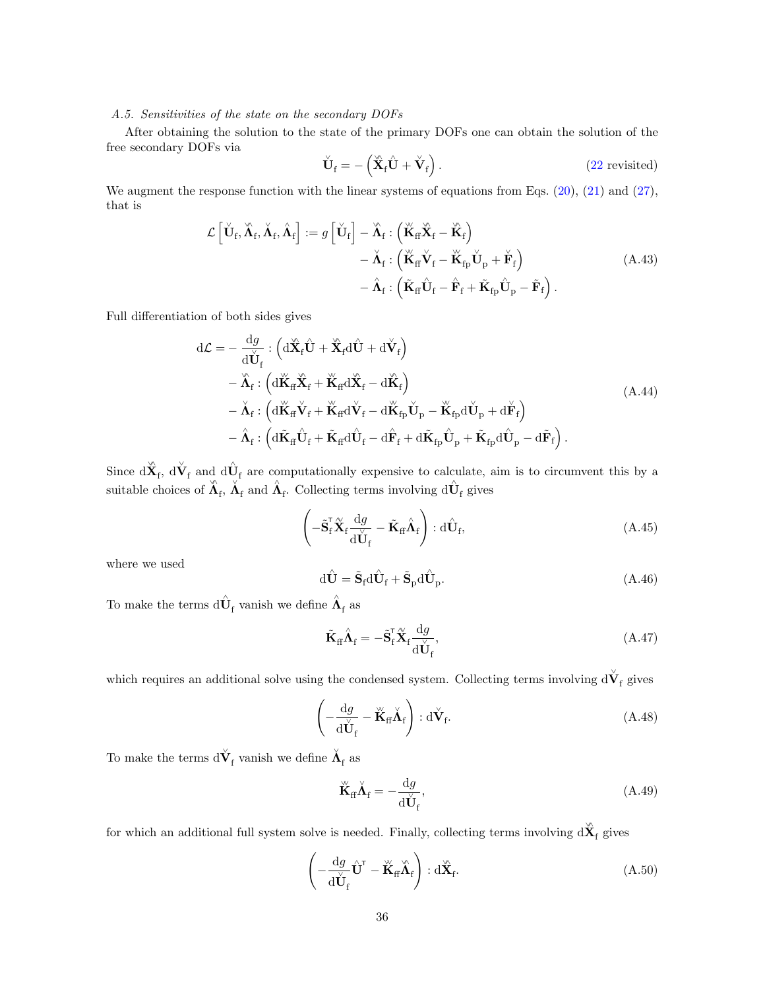# <span id="page-35-0"></span>A.5. Sensitivities of the state on the secondary DOFs

After obtaining the solution to the state of the primary DOFs one can obtain the solution of the free secondary DOFs via

$$
\check{\mathbf{U}}_{\mathrm{f}} = -\left(\check{\mathbf{X}}_{\mathrm{f}}\hat{\mathbf{U}} + \check{\mathbf{V}}_{\mathrm{f}}\right). \tag{22 revisited}
$$

We augment the response function with the linear systems of equations from Eqs. [\(20\)](#page-8-6), [\(21\)](#page-8-7) and [\(27\)](#page-10-0), that is

$$
\mathcal{L}\left[\check{\mathbf{U}}_{\mathrm{f}}, \check{\mathbf{\Lambda}}_{\mathrm{f}}, \check{\mathbf{\Lambda}}_{\mathrm{f}}\right] := g\left[\check{\mathbf{U}}_{\mathrm{f}}\right] - \check{\mathbf{\Lambda}}_{\mathrm{f}} : \left(\check{\mathbf{K}}_{\mathrm{f}} \check{\mathbf{X}}_{\mathrm{f}} - \check{\mathbf{K}}_{\mathrm{f}}\right) - \check{\mathbf{\Lambda}}_{\mathrm{f}} : \left(\check{\mathbf{K}}_{\mathrm{f}} \check{\mathbf{V}}_{\mathrm{f}} - \check{\mathbf{K}}_{\mathrm{f}\mathrm{p}} \check{\mathbf{U}}_{\mathrm{p}} + \check{\mathbf{F}}_{\mathrm{f}}\right) - \hat{\mathbf{\Lambda}}_{\mathrm{f}} : \left(\check{\mathbf{K}}_{\mathrm{f}\mathrm{f}} \hat{\mathbf{U}}_{\mathrm{f}} - \hat{\mathbf{F}}_{\mathrm{f}} + \check{\mathbf{K}}_{\mathrm{f}\mathrm{p}} \hat{\mathbf{U}}_{\mathrm{p}} - \check{\mathbf{F}}_{\mathrm{f}}\right).
$$
\n(A.43)

Full differentiation of both sides gives

<span id="page-35-3"></span>
$$
d\mathcal{L} = -\frac{dg}{d\check{U}_{f}} : (d\check{X}_{f}\hat{U} + \check{X}_{f}d\hat{U} + d\check{V}_{f})
$$
  
\n
$$
- \check{\Lambda}_{f} : (d\check{K}_{f} \check{X}_{f} + \check{K}_{f}d\check{X}_{f} - d\check{K}_{f})
$$
  
\n
$$
- \check{\Lambda}_{f} : (d\check{K}_{f} \check{V}_{f} + \check{K}_{f}d\check{V}_{f} - d\check{K}_{fp}\check{U}_{p} - \check{K}_{fp}d\check{U}_{p} + d\check{F}_{f})
$$
  
\n
$$
- \hat{\Lambda}_{f} : (d\check{K}_{f} \hat{U}_{f} + \check{K}_{f}d\hat{U}_{f} - d\hat{F}_{f} + d\check{K}_{fp}\hat{U}_{p} + \tilde{K}_{fp}d\hat{U}_{p} - d\tilde{F}_{f}).
$$
\n(A.44)

Since  $d\hat{\mathbf{X}}_f$ ,  $d\check{\mathbf{V}}_f$  and  $d\hat{\mathbf{U}}_f$  are computationally expensive to calculate, aim is to circumvent this by a suitable choices of  $\hat{\Lambda}_{f}$ ,  $\hat{\Lambda}_{f}$  and  $\hat{\Lambda}_{f}$ . Collecting terms involving  $d\hat{U}_{f}$  gives

$$
\left(-\tilde{\mathbf{S}}_{\mathrm{f}}^{\mathsf{T}}\tilde{\mathbf{X}}_{\mathrm{f}}\frac{\mathrm{d}g}{\mathrm{d}\check{\mathbf{U}}_{\mathrm{f}}}-\tilde{\mathbf{K}}_{\mathrm{f}\mathrm{f}}\hat{\mathbf{\Lambda}}_{\mathrm{f}}\right):\mathrm{d}\hat{\mathbf{U}}_{\mathrm{f}},\tag{A.45}
$$

where we used

<span id="page-35-2"></span>
$$
d\hat{\mathbf{U}} = \tilde{\mathbf{S}}_{f} d\hat{\mathbf{U}}_{f} + \tilde{\mathbf{S}}_{p} d\hat{\mathbf{U}}_{p}.
$$
 (A.46)

To make the terms  $\hat{\mathbf{d}}\hat{\mathbf{U}}_{\text{f}}$  vanish we define  $\hat{\mathbf{A}}_{\text{f}}$  as

$$
\tilde{\mathbf{K}}_{\text{ff}} \hat{\mathbf{\Lambda}}_{\text{f}} = -\tilde{\mathbf{S}}_{\text{f}}^{\text{T}} \tilde{\mathbf{X}}_{\text{f}} \frac{\mathrm{d}g}{\mathrm{d}\check{\mathbf{U}}_{\text{f}}},\tag{A.47}
$$

which requires an additional solve using the condensed system. Collecting terms involving  $d\check{\mathbf{V}}_{\text{f}}$  gives

$$
\left(-\frac{\mathrm{d}g}{\mathrm{d}\check{\mathbf{U}}_{\mathrm{f}}}-\check{\mathbf{K}}_{\mathrm{f}}\check{\mathbf{\Lambda}}_{\mathrm{f}}\right):\mathrm{d}\check{\mathbf{V}}_{\mathrm{f}}.\tag{A.48}
$$

To make the terms  $\text{d}\check{\mathbf{V}}_{\mathrm{f}}$  vanish we define  $\check{\mathbf{\Lambda}}_{\mathrm{f}}$  as

<span id="page-35-1"></span>
$$
\breve{\mathbf{K}}_{\text{ff}} \breve{\mathbf{\Lambda}}_{\text{f}} = -\frac{\mathrm{d}g}{\mathrm{d}\breve{\mathbf{U}}_{\text{f}}},\tag{A.49}
$$

for which an additional full system solve is needed. Finally, collecting terms involving  $d\hat{\mathbf{X}}_f$  gives

$$
\left(-\frac{\mathrm{d}g}{\mathrm{d}\check{\mathbf{U}}_{\mathrm{f}}}\hat{\mathbf{U}}^{\mathrm{T}} - \check{\mathbf{K}}_{\mathrm{ff}}\hat{\mathbf{\Lambda}}_{\mathrm{f}}\right) : \mathrm{d}\hat{\mathbf{X}}_{\mathrm{f}}.\tag{A.50}
$$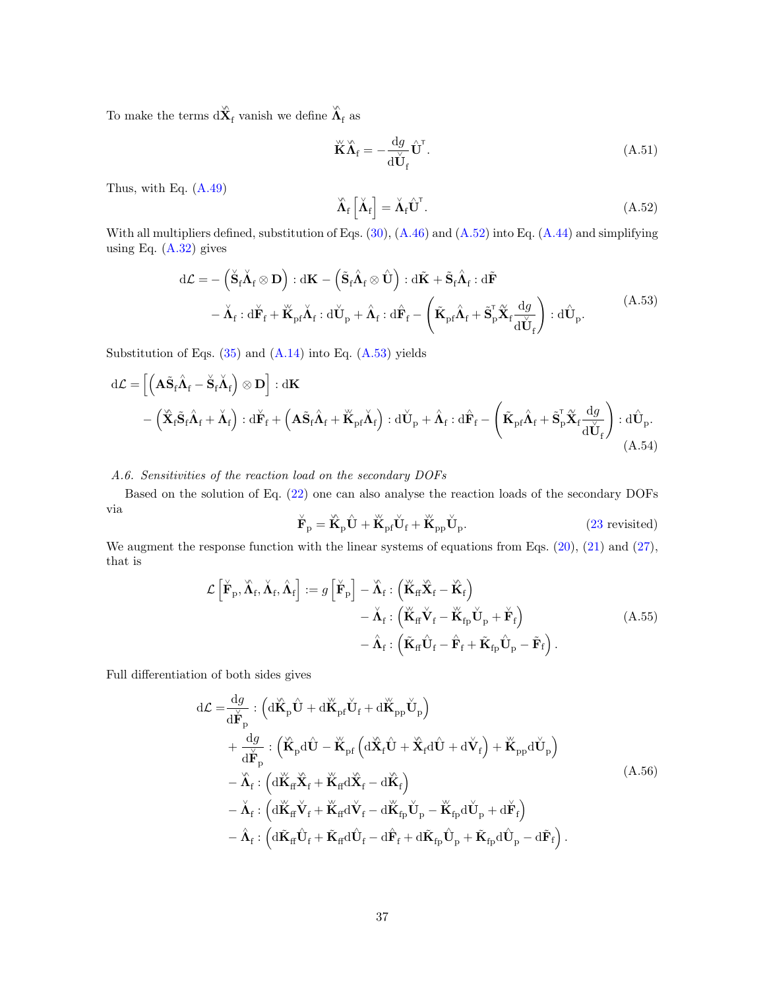To make the terms  $d\overset{\backsim}{\mathbf{X}}_f$  vanish we define  $\overset{\backsim}{\mathbf{A}}_f$  as

$$
\breve{\mathbf{K}}\breve{\mathbf{\Lambda}}_{\mathbf{f}} = -\frac{\mathrm{d}g}{\mathrm{d}\breve{\mathbf{U}}_{\mathbf{f}}} \hat{\mathbf{U}}^{\mathsf{T}}.\tag{A.51}
$$

Thus, with Eq. [\(A.49\)](#page-35-1)

<span id="page-36-1"></span>
$$
\hat{\Lambda}_{\rm f}\left[\check{\Lambda}_{\rm f}\right] = \check{\Lambda}_{\rm f}\hat{\mathbf{U}}^{\rm T}.\tag{A.52}
$$

With all multipliers defined, substitution of Eqs. [\(30\)](#page-12-0), [\(A.46\)](#page-35-2) and [\(A.52\)](#page-36-1) into Eq. [\(A.44\)](#page-35-3) and simplifying using Eq. [\(A.32\)](#page-33-5) gives

<span id="page-36-2"></span>
$$
d\mathcal{L} = -(\dot{\mathbf{S}}_f \dot{\mathbf{\Lambda}}_f \otimes \mathbf{D}) : d\mathbf{K} - (\tilde{\mathbf{S}}_f \hat{\mathbf{\Lambda}}_f \otimes \hat{\mathbf{U}}) : d\tilde{\mathbf{K}} + \tilde{\mathbf{S}}_f \hat{\mathbf{\Lambda}}_f : d\tilde{\mathbf{F}} - \dot{\mathbf{\Lambda}}_f : d\dot{\mathbf{F}}_f + \ddot{\mathbf{K}}_{pf} \dot{\mathbf{\Lambda}}_f : d\dot{\mathbf{U}}_p + \hat{\mathbf{\Lambda}}_f : d\hat{\mathbf{F}}_f - (\tilde{\mathbf{K}}_{pf} \hat{\mathbf{\Lambda}}_f + \tilde{\mathbf{S}}_p^{\mathsf{T}} \tilde{\mathbf{X}}_f \frac{dg}{d\dot{\mathbf{U}}_f}) : d\hat{\mathbf{U}}_p.
$$
\n(A.53)

Substitution of Eqs.  $(35)$  and  $(A.14)$  into Eq.  $(A.53)$  yields

$$
d\mathcal{L} = \left[ \left( \mathbf{A} \tilde{\mathbf{S}}_{f} \hat{\mathbf{\Lambda}}_{f} - \dot{\mathbf{S}}_{f} \dot{\mathbf{\Lambda}}_{f} \right) \otimes \mathbf{D} \right] : d\mathbf{K} - \left( \tilde{\mathbf{X}}_{f} \tilde{\mathbf{S}}_{f} \hat{\mathbf{\Lambda}}_{f} + \dot{\mathbf{\Lambda}}_{f} \right) : d\dot{\mathbf{F}}_{f} + \left( \mathbf{A} \tilde{\mathbf{S}}_{f} \hat{\mathbf{\Lambda}}_{f} + \ddot{\mathbf{K}}_{pf} \dot{\mathbf{\Lambda}}_{f} \right) : d\dot{\mathbf{U}}_{p} + \hat{\mathbf{\Lambda}}_{f} : d\hat{\mathbf{F}}_{f} - \left( \tilde{\mathbf{K}}_{pf} \hat{\mathbf{\Lambda}}_{f} + \tilde{\mathbf{S}}_{p}^{\mathsf{T}} \tilde{\mathbf{X}}_{f} \frac{dg}{d\mathbf{U}_{f}} \right) : d\dot{\mathbf{U}}_{p}.
$$
\n(A.54)

<span id="page-36-0"></span>A.6. Sensitivities of the reaction load on the secondary DOFs

Based on the solution of Eq. [\(22\)](#page-9-2) one can also analyse the reaction loads of the secondary DOFs via

$$
\breve{\mathbf{F}}_{\mathbf{p}} = \breve{\mathbf{K}}_{\mathbf{p}} \hat{\mathbf{U}} + \breve{\mathbf{K}}_{\mathbf{p} \mathbf{f}} \breve{\mathbf{U}}_{\mathbf{f}} + \breve{\mathbf{K}}_{\mathbf{p} \mathbf{p}} \breve{\mathbf{U}}_{\mathbf{p}}.
$$
 (23 revisited)

We augment the response function with the linear systems of equations from Eqs.  $(20)$ ,  $(21)$  and  $(27)$ , that is

$$
\mathcal{L}\left[\breve{\mathbf{F}}_{\mathrm{p}}, \breve{\mathbf{\Lambda}}_{\mathrm{f}}, \breve{\mathbf{\Lambda}}_{\mathrm{f}}\right] := g\left[\breve{\mathbf{F}}_{\mathrm{p}}\right] - \breve{\mathbf{\Lambda}}_{\mathrm{f}} : \left(\breve{\mathbf{K}}_{\mathrm{ff}} \breve{\mathbf{X}}_{\mathrm{f}} - \breve{\mathbf{K}}_{\mathrm{f}}\right) - \breve{\mathbf{\Lambda}}_{\mathrm{f}} : \left(\breve{\mathbf{K}}_{\mathrm{ff}} \breve{\mathbf{V}}_{\mathrm{f}} - \breve{\mathbf{K}}_{\mathrm{fp}} \breve{\mathbf{U}}_{\mathrm{p}} + \breve{\mathbf{F}}_{\mathrm{f}}\right) - \hat{\mathbf{\Lambda}}_{\mathrm{f}} : \left(\breve{\mathbf{K}}_{\mathrm{ff}} \hat{\mathbf{U}}_{\mathrm{f}} - \hat{\mathbf{F}}_{\mathrm{f}} + \breve{\mathbf{K}}_{\mathrm{fp}} \hat{\mathbf{U}}_{\mathrm{p}} - \tilde{\mathbf{F}}_{\mathrm{f}}\right).
$$
\n(A.55)

Full differentiation of both sides gives

<span id="page-36-3"></span>
$$
d\mathcal{L} = \frac{dg}{d\breve{F}_{p}} : (d\breve{K}_{p}\hat{U} + d\breve{K}_{pf}\breve{U}_{f} + d\breve{K}_{pp}\breve{U}_{p}) + \frac{dg}{d\breve{F}_{p}} : (\breve{K}_{p}d\hat{U} - \breve{K}_{pf}(d\breve{X}_{f}\hat{U} + \breve{X}_{f}d\hat{U} + d\breve{V}_{f}) + \breve{K}_{pp}d\breve{U}_{p}) - \breve{\Lambda}_{f} : (d\breve{K}_{f}\breve{X}_{f} + \breve{K}_{f}d\breve{X}_{f} - d\breve{K}_{f}) - \breve{\Lambda}_{f} : (d\breve{K}_{f}\breve{V}_{f} + \breve{K}_{f}d\breve{V}_{f} - d\breve{K}_{fp}\breve{U}_{p} - \breve{K}_{fp}d\breve{U}_{p} + d\breve{F}_{f}) - \hat{\Lambda}_{f} : (d\breve{K}_{f}f\hat{U}_{f} + \breve{K}_{f}d\hat{U}_{f} - d\hat{F}_{f} + d\breve{K}_{fp}\hat{U}_{p} + \breve{K}_{fp}d\hat{U}_{p} - d\breve{F}_{f}).
$$
\n(A.56)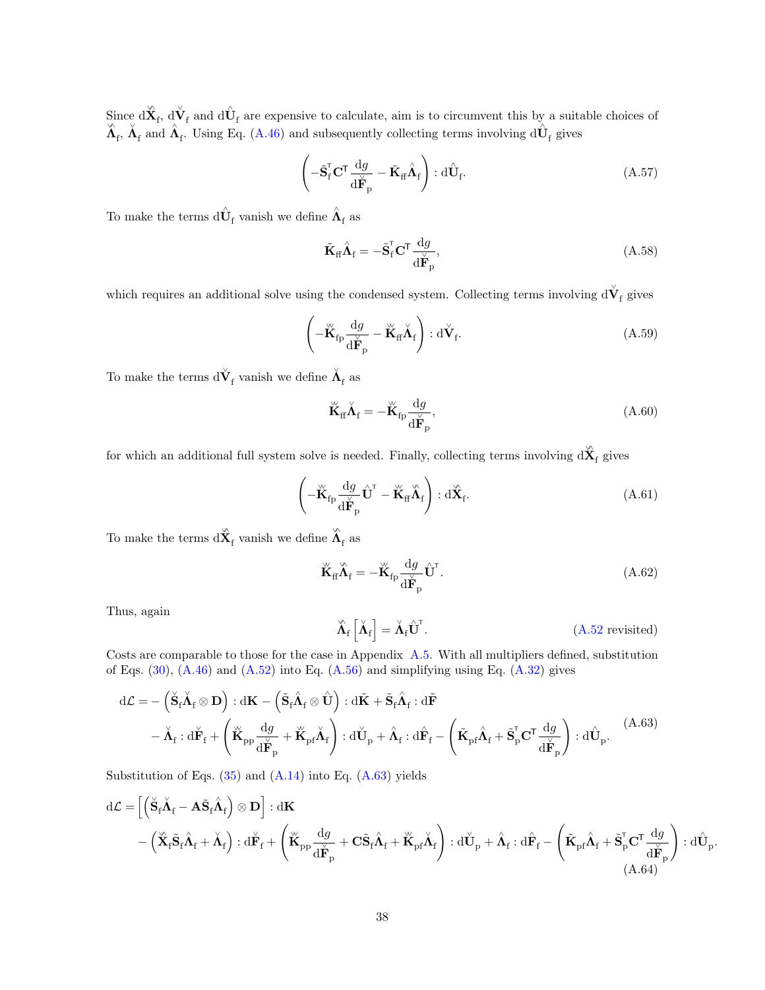Since  $d\hat{\mathbf{X}}_f$ ,  $d\hat{\mathbf{V}}_f$  and  $d\hat{\mathbf{U}}_f$  are expensive to calculate, aim is to circumvent this by a suitable choices of  $\hat{\mathbf{X}}_f$ ,  $\hat{\mathbf{A}}_f$  and  $\hat{\mathbf{A}}_f$ . Using Eq. [\(A.46\)](#page-35-2) and subsequently collecting

$$
\left(-\tilde{\mathbf{S}}_{\mathrm{f}}^{\mathsf{T}}\mathbf{C}^{\mathsf{T}}\frac{\mathrm{d}g}{\mathrm{d}\mathbf{\check{F}}_{\mathrm{p}}}-\tilde{\mathbf{K}}_{\mathrm{ff}}\hat{\mathbf{\Lambda}}_{\mathrm{f}}\right):\mathrm{d}\hat{\mathbf{U}}_{\mathrm{f}}.\tag{A.57}
$$

To make the terms  $\hat{\mathbf{d}}\hat{\mathbf{U}}_{\text{f}}$  vanish we define  $\hat{\mathbf{\Lambda}}_{\text{f}}$  as

$$
\tilde{\mathbf{K}}_{\text{ff}} \hat{\boldsymbol{\Lambda}}_{\text{f}} = -\tilde{\mathbf{S}}_{\text{f}}^{\text{T}} \mathbf{C}^{\text{T}} \frac{\mathrm{d}g}{\mathrm{d}\check{\mathbf{F}}_{\text{p}}},\tag{A.58}
$$

which requires an additional solve using the condensed system. Collecting terms involving  $d\check{\mathbf{V}}_{\text{f}}$  gives

$$
\left(-\overset{\vee}{\mathbf{K}}_{\mathrm{fp}}\frac{\mathrm{d}g}{\mathrm{d}\overset{\vee}{\mathbf{F}}_{\mathrm{p}}}-\overset{\vee}{\mathbf{K}}_{\mathrm{ff}}\overset{\vee}{\Lambda}_{\mathrm{f}}\right):\mathrm{d}\overset{\vee}{\mathbf{V}}_{\mathrm{f}}.\tag{A.59}
$$

To make the terms  $\text{d}\check{\mathbf{V}}_{\mathrm{f}}$  vanish we define  $\check{\mathbf{\Lambda}}_{\mathrm{f}}$  as

$$
\breve{\mathbf{K}}_{\text{ff}} \breve{\mathbf{\Lambda}}_{\text{f}} = -\breve{\mathbf{K}}_{\text{fp}} \frac{\mathrm{d}g}{\mathrm{d}\breve{\mathbf{F}}_{\text{p}}},\tag{A.60}
$$

for which an additional full system solve is needed. Finally, collecting terms involving  $d\hat{\mathbf{X}}_f$  gives

$$
\left(-\overset{\vee}{\mathbf{K}}_{\mathrm{fp}}\frac{\mathrm{d}g}{\mathrm{d}\overset{\vee}{\mathbf{F}}_{\mathrm{p}}}\overset{\vee}{\mathbf{U}}^{\mathrm{T}}-\overset{\vee}{\mathbf{K}}_{\mathrm{ff}}\overset{\vee}{\mathbf{\Lambda}}_{\mathrm{f}}\right):\mathrm{d}\overset{\vee}{\mathbf{X}}_{\mathrm{f}}.\tag{A.61}
$$

To make the terms  $d\overset{\backsim}{\mathbf{X}}_f$  vanish we define  $\overset{\backsim}{\mathbf{A}}_f$  as

$$
\breve{\mathbf{K}}_{\text{ff}} \hat{\mathbf{\Lambda}}_{\text{f}} = -\breve{\mathbf{K}}_{\text{fp}} \frac{\mathrm{d}g}{\mathrm{d}\breve{\mathbf{F}}_{\text{p}}} \hat{\mathbf{U}}^{\text{T}}.
$$
\n(A.62)

Thus, again

$$
\hat{\Lambda}_{f}\left[\check{\Lambda}_{f}\right] = \check{\Lambda}_{f}\hat{U}^{T}.
$$
\n(A.52 revisited)

Costs are comparable to those for the case in Appendix [A.5.](#page-35-0) With all multipliers defined, substitution of Eqs.  $(30)$ ,  $(A.46)$  and  $(A.52)$  into Eq.  $(A.56)$  and simplifying using Eq.  $(A.32)$  gives

<span id="page-37-0"></span>
$$
d\mathcal{L} = -(\check{S}_{f}\check{\Lambda}_{f} \otimes \mathbf{D}) : d\mathbf{K} - (\tilde{S}_{f}\hat{\Lambda}_{f} \otimes \hat{\mathbf{U}}) : d\tilde{\mathbf{K}} + \tilde{S}_{f}\hat{\Lambda}_{f} : d\tilde{\mathbf{F}} - \check{\Lambda}_{f} : d\check{\mathbf{F}}_{f} + (\check{\mathbf{K}}_{pp}\frac{dg}{d\check{\mathbf{F}}_{p}} + \check{\mathbf{K}}_{pf}\check{\Lambda}_{f}) : d\check{\mathbf{U}}_{p} + \hat{\Lambda}_{f} : d\hat{\mathbf{F}}_{f} - (\tilde{\mathbf{K}}_{pf}\hat{\Lambda}_{f} + \tilde{S}_{p}^{\mathsf{T}}\mathbf{C}^{\mathsf{T}}\frac{dg}{d\check{\mathbf{F}}_{p}}) : d\hat{\mathbf{U}}_{p}.
$$
\n(A.63)

Substitution of Eqs.  $(35)$  and  $(A.14)$  into Eq.  $(A.63)$  yields

$$
d\mathcal{L} = \left[ \left( \check{\mathbf{S}}_{f} \check{\mathbf{\Lambda}}_{f} - \mathbf{A} \tilde{\mathbf{S}}_{f} \hat{\mathbf{\Lambda}}_{f} \right) \otimes \mathbf{D} \right] : d\mathbf{K} - \left( \check{\mathbf{X}}_{f} \tilde{\mathbf{S}}_{f} \hat{\mathbf{\Lambda}}_{f} + \check{\mathbf{\Lambda}}_{f} \right) : d\check{\mathbf{F}}_{f} + \left( \check{\mathbf{K}}_{pp} \frac{dg}{d\check{\mathbf{F}}_{p}} + \mathbf{C} \tilde{\mathbf{S}}_{f} \hat{\mathbf{\Lambda}}_{f} + \check{\mathbf{K}}_{pf} \check{\mathbf{\Lambda}}_{f} \right) : d\check{\mathbf{U}}_{p} + \hat{\mathbf{\Lambda}}_{f} : d\hat{\mathbf{F}}_{f} - \left( \tilde{\mathbf{K}}_{pf} \hat{\mathbf{\Lambda}}_{f} + \tilde{\mathbf{S}}_{p}^{\mathsf{T}} \mathbf{C}^{\mathsf{T}} \frac{dg}{d\check{\mathbf{F}}_{p}} \right) : d\hat{\mathbf{U}}_{p}.
$$
\n(A.64)